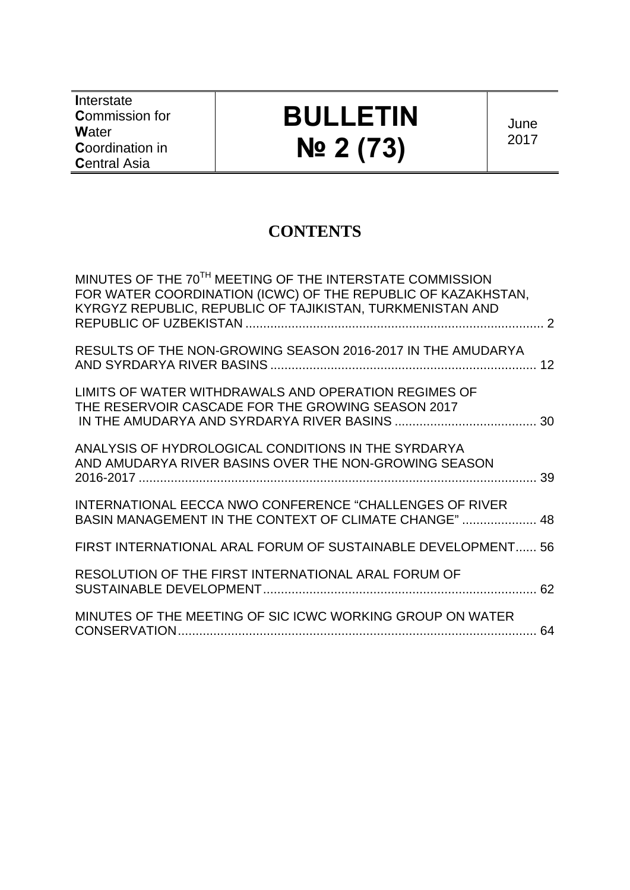**I**nterstate **C**ommission for **W**ater **C**oordination in **C**entral Asia

# **BULLETIN № 2 (73)**

June 2017

# **CONTENTS**

| MINUTES OF THE 70 <sup>TH</sup> MEETING OF THE INTERSTATE COMMISSION<br>FOR WATER COORDINATION (ICWC) OF THE REPUBLIC OF KAZAKHSTAN,<br>KYRGYZ REPUBLIC, REPUBLIC OF TAJIKISTAN, TURKMENISTAN AND |  |
|---------------------------------------------------------------------------------------------------------------------------------------------------------------------------------------------------|--|
| RESULTS OF THE NON-GROWING SEASON 2016-2017 IN THE AMUDARYA                                                                                                                                       |  |
| LIMITS OF WATER WITHDRAWALS AND OPERATION REGIMES OF<br>THE RESERVOIR CASCADE FOR THE GROWING SEASON 2017                                                                                         |  |
| ANALYSIS OF HYDROLOGICAL CONDITIONS IN THE SYRDARYA<br>AND AMUDARYA RIVER BASINS OVER THE NON-GROWING SEASON                                                                                      |  |
| <b>INTERNATIONAL EECCA NWO CONFERENCE "CHALLENGES OF RIVER</b><br>BASIN MANAGEMENT IN THE CONTEXT OF CLIMATE CHANGE"  48                                                                          |  |
| FIRST INTERNATIONAL ARAL FORUM OF SUSTAINABLE DEVELOPMENT 56                                                                                                                                      |  |
| RESOLUTION OF THE FIRST INTERNATIONAL ARAL FORUM OF                                                                                                                                               |  |
| MINUTES OF THE MEETING OF SIC ICWC WORKING GROUP ON WATER                                                                                                                                         |  |
|                                                                                                                                                                                                   |  |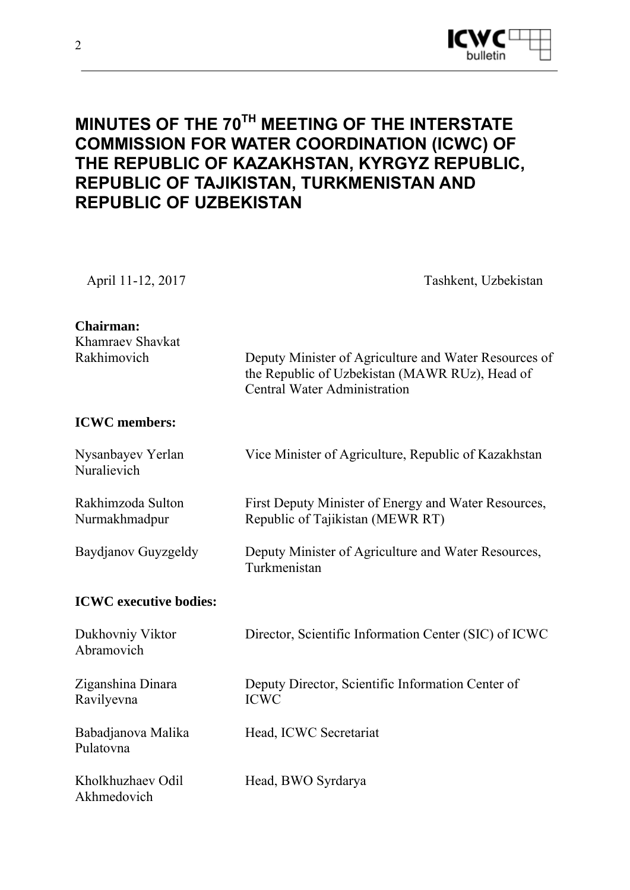

# **MINUTES OF THE 70TH MEETING OF THE INTERSTATE COMMISSION FOR WATER COORDINATION (ICWC) OF THE REPUBLIC OF KAZAKHSTAN, KYRGYZ REPUBLIC, REPUBLIC OF TAJIKISTAN, TURKMENISTAN AND REPUBLIC OF UZBEKISTAN**

April 11-12, 2017 Tashkent, Uzbekistan

| <b>Chairman:</b><br>Khamraev Shavkat |                                                                                                                                                |
|--------------------------------------|------------------------------------------------------------------------------------------------------------------------------------------------|
| Rakhimovich                          | Deputy Minister of Agriculture and Water Resources of<br>the Republic of Uzbekistan (MAWR RUz), Head of<br><b>Central Water Administration</b> |
| <b>ICWC</b> members:                 |                                                                                                                                                |
| Nysanbayev Yerlan<br>Nuralievich     | Vice Minister of Agriculture, Republic of Kazakhstan                                                                                           |
| Rakhimzoda Sulton<br>Nurmakhmadpur   | First Deputy Minister of Energy and Water Resources,<br>Republic of Tajikistan (MEWR RT)                                                       |
| Baydjanov Guyzgeldy                  | Deputy Minister of Agriculture and Water Resources,<br>Turkmenistan                                                                            |
| <b>ICWC</b> executive bodies:        |                                                                                                                                                |
| Dukhovniy Viktor<br>Abramovich       | Director, Scientific Information Center (SIC) of ICWC                                                                                          |
| Ziganshina Dinara<br>Ravilyevna      | Deputy Director, Scientific Information Center of<br><b>ICWC</b>                                                                               |
| Babadjanova Malika<br>Pulatovna      | Head, ICWC Secretariat                                                                                                                         |
| Kholkhuzhaev Odil<br>Akhmedovich     | Head, BWO Syrdarya                                                                                                                             |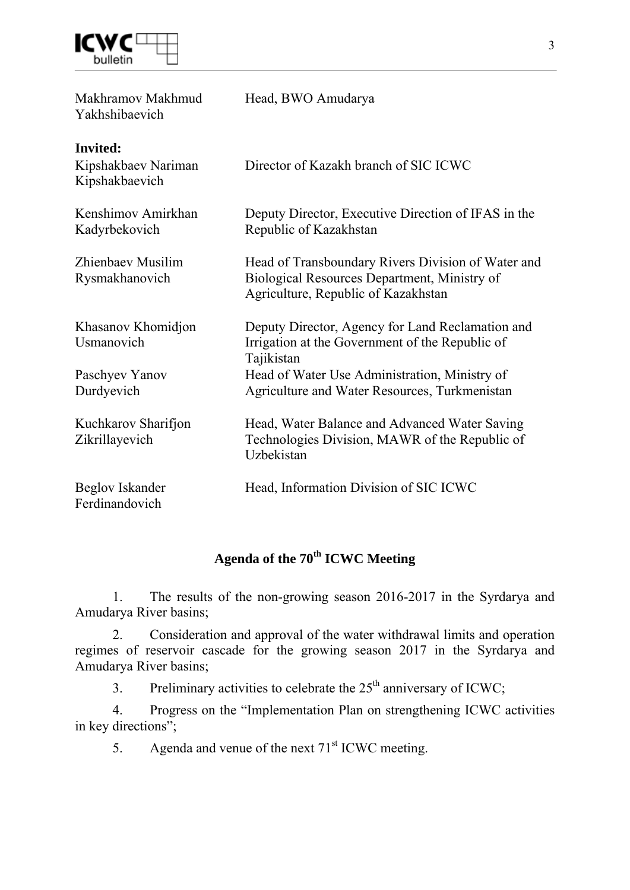

| Makhramov Makhmud<br>Yakhshibaevich                      | Head, BWO Amudarya                                                                                                                        |
|----------------------------------------------------------|-------------------------------------------------------------------------------------------------------------------------------------------|
| <b>Invited:</b><br>Kipshakbaev Nariman<br>Kipshakbaevich | Director of Kazakh branch of SIC ICWC                                                                                                     |
| Kenshimov Amirkhan<br>Kadyrbekovich                      | Deputy Director, Executive Direction of IFAS in the<br>Republic of Kazakhstan                                                             |
| Zhienbaev Musilim<br>Rysmakhanovich                      | Head of Transboundary Rivers Division of Water and<br>Biological Resources Department, Ministry of<br>Agriculture, Republic of Kazakhstan |
| Khasanov Khomidjon<br>Usmanovich                         | Deputy Director, Agency for Land Reclamation and<br>Irrigation at the Government of the Republic of<br>Tajikistan                         |
| Paschyev Yanov<br>Durdyevich                             | Head of Water Use Administration, Ministry of<br>Agriculture and Water Resources, Turkmenistan                                            |
| Kuchkarov Sharifjon<br>Zikrillayevich                    | Head, Water Balance and Advanced Water Saving<br>Technologies Division, MAWR of the Republic of<br>Uzbekistan                             |
| Beglov Iskander<br>Ferdinandovich                        | Head, Information Division of SIC ICWC                                                                                                    |

# **Agenda of the 70th ICWC Meeting**

1. The results of the non-growing season 2016-2017 in the Syrdarya and Amudarya River basins;

2. Consideration and approval of the water withdrawal limits and operation regimes of reservoir cascade for the growing season 2017 in the Syrdarya and Amudarya River basins;

3. Preliminary activities to celebrate the  $25<sup>th</sup>$  anniversary of ICWC;

4. Progress on the "Implementation Plan on strengthening ICWC activities in key directions";

5. Agenda and venue of the next  $71<sup>st</sup>$  ICWC meeting.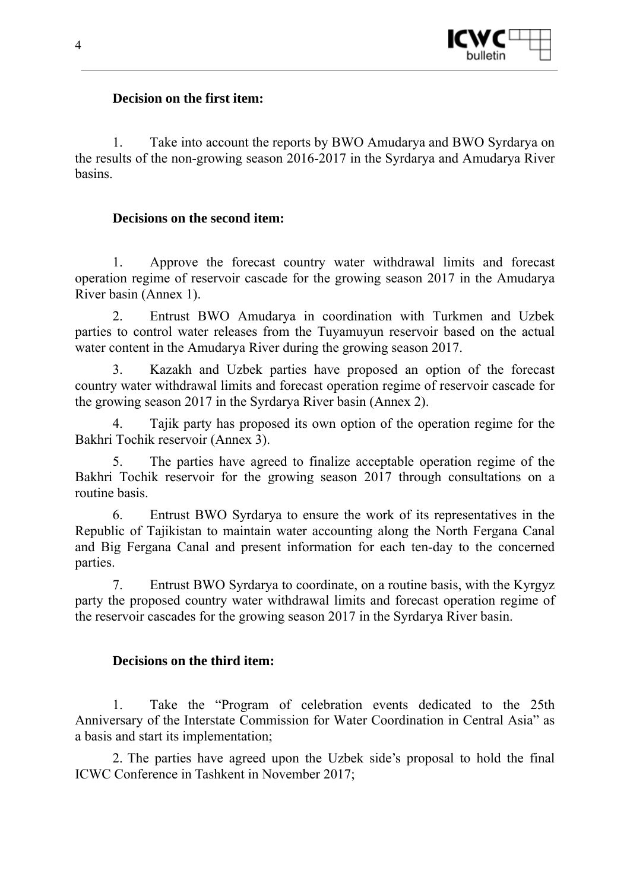

### **Decision on the first item:**

1. Take into account the reports by BWO Amudarya and BWO Syrdarya on the results of the non-growing season 2016-2017 in the Syrdarya and Amudarya River basins.

### **Decisions on the second item:**

1. Approve the forecast country water withdrawal limits and forecast operation regime of reservoir cascade for the growing season 2017 in the Amudarya River basin (Annex 1).

2. Entrust BWO Amudarya in coordination with Turkmen and Uzbek parties to control water releases from the Tuyamuyun reservoir based on the actual water content in the Amudarya River during the growing season 2017.

3. Kazakh and Uzbek parties have proposed an option of the forecast country water withdrawal limits and forecast operation regime of reservoir cascade for the growing season 2017 in the Syrdarya River basin (Annex 2).

4. Tajik party has proposed its own option of the operation regime for the Bakhri Tochik reservoir (Annex 3).

5. The parties have agreed to finalize acceptable operation regime of the Bakhri Tochik reservoir for the growing season 2017 through consultations on a routine basis.

6. Entrust BWO Syrdarya to ensure the work of its representatives in the Republic of Tajikistan to maintain water accounting along the North Fergana Canal and Big Fergana Canal and present information for each ten-day to the concerned parties.

7. Entrust BWO Syrdarya to coordinate, on a routine basis, with the Kyrgyz party the proposed country water withdrawal limits and forecast operation regime of the reservoir cascades for the growing season 2017 in the Syrdarya River basin.

### **Decisions on the third item:**

1. Take the "Program of celebration events dedicated to the 25th Anniversary of the Interstate Commission for Water Coordination in Central Asia" as a basis and start its implementation;

2. The parties have agreed upon the Uzbek side's proposal to hold the final ICWC Conference in Tashkent in November 2017;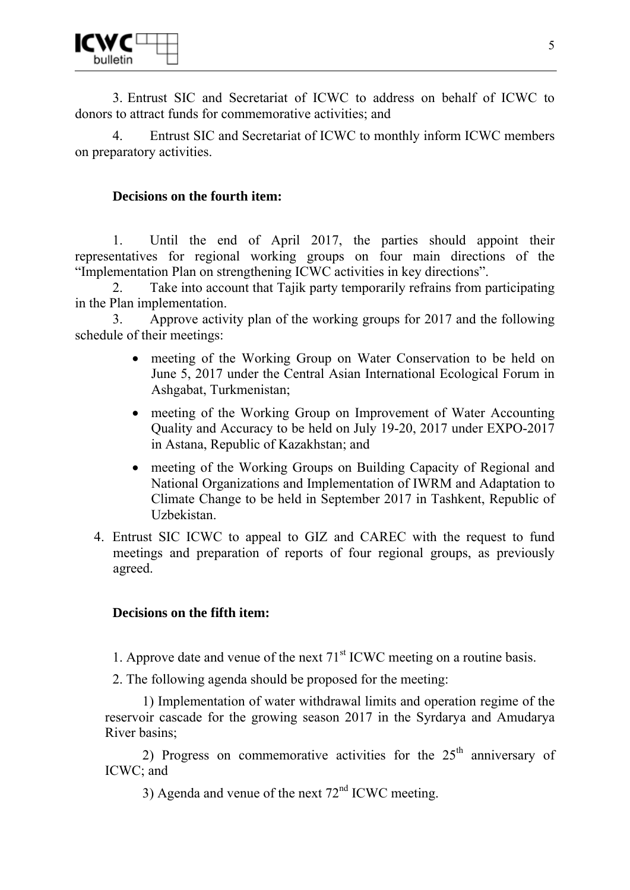

3. Entrust SIC and Secretariat of ICWC to address on behalf of ICWC to donors to attract funds for commemorative activities; and

4. Entrust SIC and Secretariat of ICWC to monthly inform ICWC members on preparatory activities.

### **Decisions on the fourth item:**

1. Until the end of April 2017, the parties should appoint their representatives for regional working groups on four main directions of the "Implementation Plan on strengthening ICWC activities in key directions".

2. Take into account that Tajik party temporarily refrains from participating in the Plan implementation.

3. Approve activity plan of the working groups for 2017 and the following schedule of their meetings:

- meeting of the Working Group on Water Conservation to be held on June 5, 2017 under the Central Asian International Ecological Forum in Ashgabat, Turkmenistan;
- meeting of the Working Group on Improvement of Water Accounting Quality and Accuracy to be held on July 19-20, 2017 under EXPO-2017 in Astana, Republic of Kazakhstan; and
- meeting of the Working Groups on Building Capacity of Regional and National Organizations and Implementation of IWRM and Adaptation to Climate Change to be held in September 2017 in Tashkent, Republic of Uzbekistan.
- 4. Entrust SIC ICWC to appeal to GIZ and CAREC with the request to fund meetings and preparation of reports of four regional groups, as previously agreed.

### **Decisions on the fifth item:**

1. Approve date and venue of the next  $71<sup>st</sup>$  ICWC meeting on a routine basis.

2. The following agenda should be proposed for the meeting:

1) Implementation of water withdrawal limits and operation regime of the reservoir cascade for the growing season 2017 in the Syrdarya and Amudarya River basins;

2) Progress on commemorative activities for the  $25<sup>th</sup>$  anniversary of ICWC; and

3) Agenda and venue of the next  $72<sup>nd</sup>$  ICWC meeting.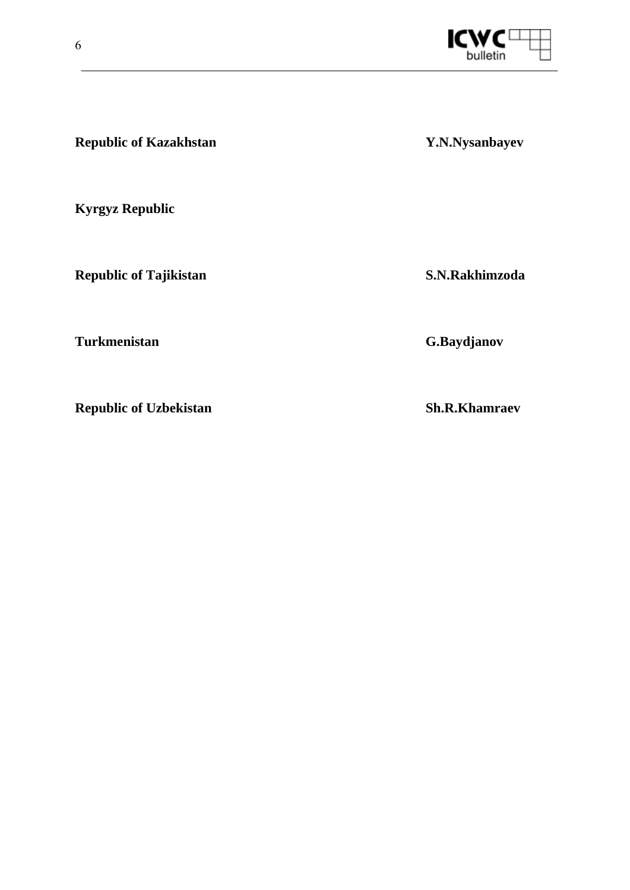

**Republic of Kazakhstan** *Y.N.Nysanbayev* **Kyrgyz Republic Republic of Tajikistan S.N.Rakhimzoda Turkmenistan G.Baydjanov** 

**Republic of Uzbekistan Sh.R.Khamraev**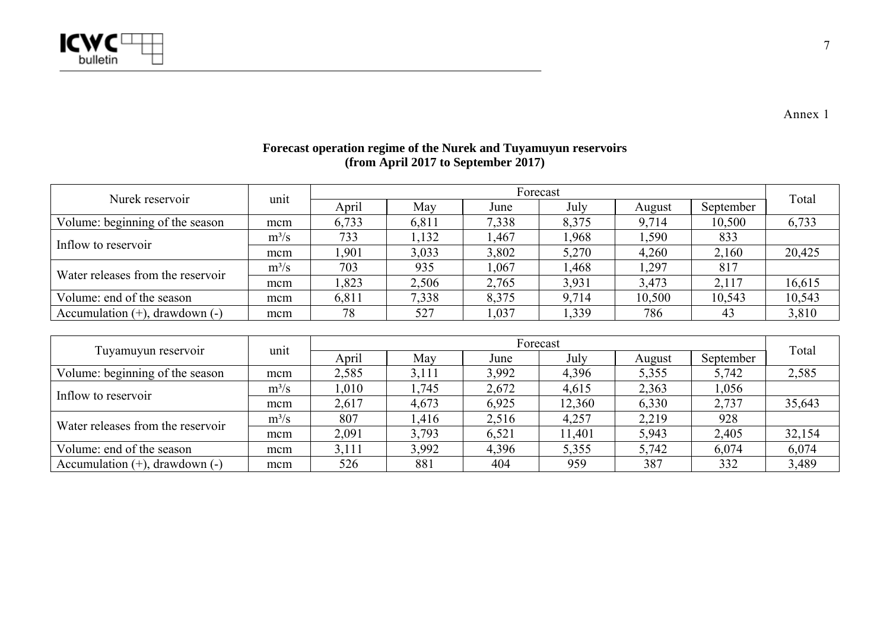

Volume: end of the season mcm

Nurek reservoir and unit april May Forecast Forecast Total Total Total Total Volume: beginning of the season mcm | 6,733 | 6,811 | 7,338 | 8,375 | 9,714 | 10,500 | 6,733 Inflow to reservoir  $\frac{m^3/s}{mcm}$   $\frac{733}{1,901}$   $\frac{1,132}{3,033}$   $\frac{1,467}{3,802}$   $\frac{1,968}{5,270}$   $\frac{1,590}{4,260}$   $\frac{833}{2,160}$   $\frac{20,425}{2,425}$ Water releases from the reservoir  $\frac{m^3/s}{mcm}$  703 935 1,067 1,468 1,297 817 817 mcmm | 1,823 | 2,506 | 2,765 | 3,931 | 3,473 | 2,117 | 16,615 Volume: end of the season mcm m | 6,811 | 7,338 | 8,375 | 9,714 | 10,500 | 10,543 | 10,543 Accumulation (+), drawdown (-) mcm | 78 | 527 | 1,037 | 1,339 | 786 | 43 | 3,810 Tuyamuyun reservoir unit **April May Forecast** Forecast Total Total Total Volume: beginning of the season mcm 2,585 3,111 3,992 4,396 5,355 5,742 2,585 <sup>m</sup>³/s 1,010 1,745 2,672 4,615 2,363 1,056 Inflow to reservoir mcm 2,617 4,673 6,925 12,360 6,330 2,737 35,643 Water releases from the reservoir  $\frac{m^3/s}{s}$  807 1,416 2,516 4,257 2,219 928 mcm2,091 3,793 6,521 11,401 5,943 2,405 32,154

Accumulation (+), drawdown (-) mcm | 526 | 881 | 404 | 959 | 387 | 332 | 3,489

m | 3,111 | 3,992 | 4,396 | 5,355 | 5,742 | 6,074 | 6,074

#### **Forecast operation regime of the Nurek and Tuyamuyun reservoirs (from April 2017 to September 2017)**

7

Annex 1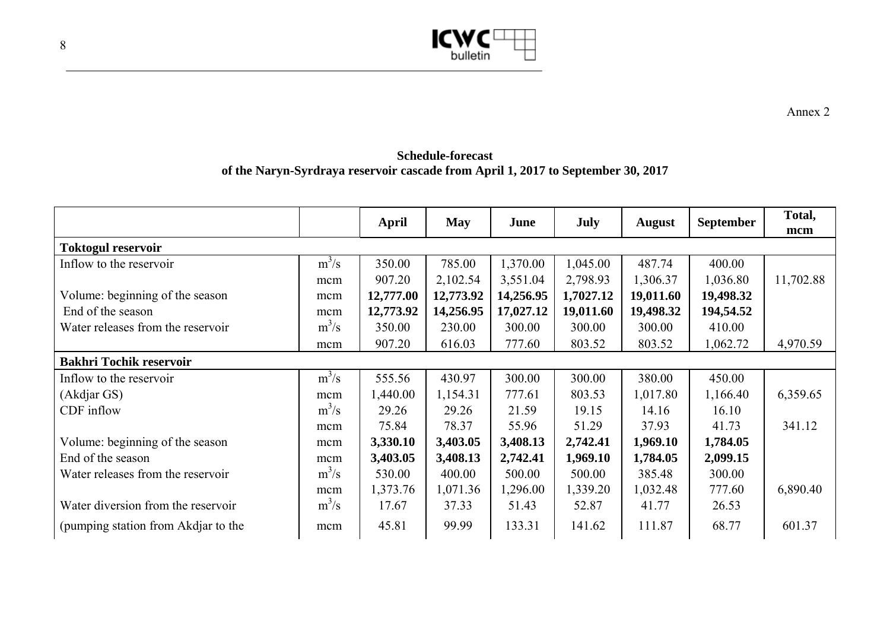

**Schedule-forecast of the Naryn-Syrdraya reservoir cascade from April 1, 2017 to September 30, 2017** 

|                                     |         | April     | <b>May</b> | June      | <b>July</b> | <b>August</b> | <b>September</b> | Total,<br>mcm |  |  |
|-------------------------------------|---------|-----------|------------|-----------|-------------|---------------|------------------|---------------|--|--|
| <b>Toktogul reservoir</b>           |         |           |            |           |             |               |                  |               |  |  |
| Inflow to the reservoir             | $m^3/s$ | 350.00    | 785.00     | 1,370.00  | 1,045.00    | 487.74        | 400.00           |               |  |  |
|                                     | mcm     | 907.20    | 2,102.54   | 3,551.04  | 2,798.93    | 1,306.37      | 1,036.80         | 11,702.88     |  |  |
| Volume: beginning of the season     | mcm     | 12,777.00 | 12,773.92  | 14,256.95 | 1,7027.12   | 19,011.60     | 19,498.32        |               |  |  |
| End of the season                   | mcm     | 12,773.92 | 14,256.95  | 17,027.12 | 19,011.60   | 19,498.32     | 194,54.52        |               |  |  |
| Water releases from the reservoir   | $m^3/s$ | 350.00    | 230.00     | 300.00    | 300.00      | 300.00        | 410.00           |               |  |  |
|                                     | mcm     | 907.20    | 616.03     | 777.60    | 803.52      | 803.52        | 1,062.72         | 4,970.59      |  |  |
| <b>Bakhri Tochik reservoir</b>      |         |           |            |           |             |               |                  |               |  |  |
| Inflow to the reservoir             | $m^3/s$ | 555.56    | 430.97     | 300.00    | 300.00      | 380.00        | 450.00           |               |  |  |
| (Akdjar GS)                         | mcm     | 1,440.00  | 1,154.31   | 777.61    | 803.53      | 1,017.80      | 1,166.40         | 6,359.65      |  |  |
| CDF inflow                          | $m^3/s$ | 29.26     | 29.26      | 21.59     | 19.15       | 14.16         | 16.10            |               |  |  |
|                                     | mcm     | 75.84     | 78.37      | 55.96     | 51.29       | 37.93         | 41.73            | 341.12        |  |  |
| Volume: beginning of the season     | mcm     | 3,330.10  | 3,403.05   | 3,408.13  | 2,742.41    | 1,969.10      | 1,784.05         |               |  |  |
| End of the season                   | mcm     | 3,403.05  | 3,408.13   | 2,742.41  | 1,969.10    | 1,784.05      | 2,099.15         |               |  |  |
| Water releases from the reservoir   | $m^3/s$ | 530.00    | 400.00     | 500.00    | 500.00      | 385.48        | 300.00           |               |  |  |
|                                     | mcm     | 1,373.76  | 1,071.36   | 1,296.00  | 1,339.20    | 1,032.48      | 777.60           | 6,890.40      |  |  |
| Water diversion from the reservoir  | $m^3/s$ | 17.67     | 37.33      | 51.43     | 52.87       | 41.77         | 26.53            |               |  |  |
| (pumping station from Akdjar to the | mcm     | 45.81     | 99.99      | 133.31    | 141.62      | 111.87        | 68.77            | 601.37        |  |  |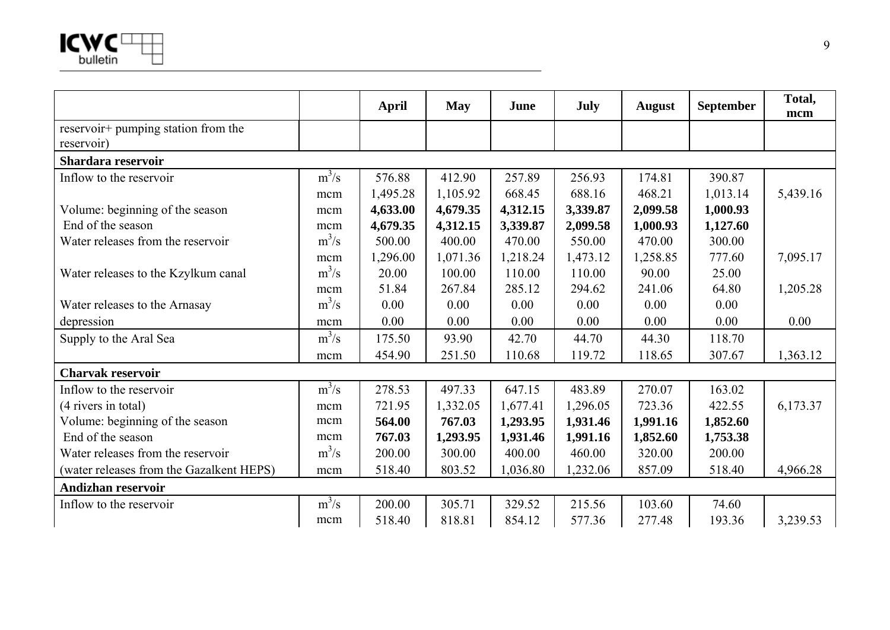

|                                          |         | <b>April</b> | <b>May</b> | June     | July     | <b>August</b> | <b>September</b> | Total,<br>mcm |
|------------------------------------------|---------|--------------|------------|----------|----------|---------------|------------------|---------------|
| reservoir+ pumping station from the      |         |              |            |          |          |               |                  |               |
| reservoir)                               |         |              |            |          |          |               |                  |               |
| Shardara reservoir                       |         |              |            |          |          |               |                  |               |
| Inflow to the reservoir                  | $m^3/s$ | 576.88       | 412.90     | 257.89   | 256.93   | 174.81        | 390.87           |               |
|                                          | mcm     | 1,495.28     | 1,105.92   | 668.45   | 688.16   | 468.21        | 1,013.14         | 5,439.16      |
| Volume: beginning of the season          | mcm     | 4,633.00     | 4,679.35   | 4,312.15 | 3,339.87 | 2,099.58      | 1,000.93         |               |
| End of the season                        | mcm     | 4,679.35     | 4,312.15   | 3,339.87 | 2,099.58 | 1,000.93      | 1,127.60         |               |
| Water releases from the reservoir        | $m^3/s$ | 500.00       | 400.00     | 470.00   | 550.00   | 470.00        | 300.00           |               |
|                                          | mcm     | 1,296.00     | 1,071.36   | 1,218.24 | 1,473.12 | 1,258.85      | 777.60           | 7,095.17      |
| Water releases to the Kzylkum canal      | $m^3/s$ | 20.00        | 100.00     | 110.00   | 110.00   | 90.00         | 25.00            |               |
|                                          | mcm     | 51.84        | 267.84     | 285.12   | 294.62   | 241.06        | 64.80            | 1,205.28      |
| Water releases to the Arnasay            | $m^3/s$ | 0.00         | 0.00       | 0.00     | 0.00     | 0.00          | 0.00             |               |
| depression                               | mcm     | 0.00         | 0.00       | 0.00     | 0.00     | 0.00          | 0.00             | 0.00          |
| Supply to the Aral Sea                   | $m^3/s$ | 175.50       | 93.90      | 42.70    | 44.70    | 44.30         | 118.70           |               |
|                                          | mcm     | 454.90       | 251.50     | 110.68   | 119.72   | 118.65        | 307.67           | 1,363.12      |
| <b>Charvak reservoir</b>                 |         |              |            |          |          |               |                  |               |
| Inflow to the reservoir                  | $m^3/s$ | 278.53       | 497.33     | 647.15   | 483.89   | 270.07        | 163.02           |               |
| (4 rivers in total)                      | mcm     | 721.95       | 1,332.05   | 1,677.41 | 1,296.05 | 723.36        | 422.55           | 6,173.37      |
| Volume: beginning of the season          | mcm     | 564.00       | 767.03     | 1,293.95 | 1,931.46 | 1,991.16      | 1,852.60         |               |
| End of the season                        | mcm     | 767.03       | 1,293.95   | 1,931.46 | 1,991.16 | 1,852.60      | 1,753.38         |               |
| Water releases from the reservoir        | $m^3/s$ | 200.00       | 300.00     | 400.00   | 460.00   | 320.00        | 200.00           |               |
| (water releases from the Gazalkent HEPS) | mcm     | 518.40       | 803.52     | 1,036.80 | 1,232.06 | 857.09        | 518.40           | 4,966.28      |
| <b>Andizhan reservoir</b>                |         |              |            |          |          |               |                  |               |
| Inflow to the reservoir                  | $m^3/s$ | 200.00       | 305.71     | 329.52   | 215.56   | 103.60        | 74.60            |               |
|                                          | mcm     | 518.40       | 818.81     | 854.12   | 577.36   | 277.48        | 193.36           | 3,239.53      |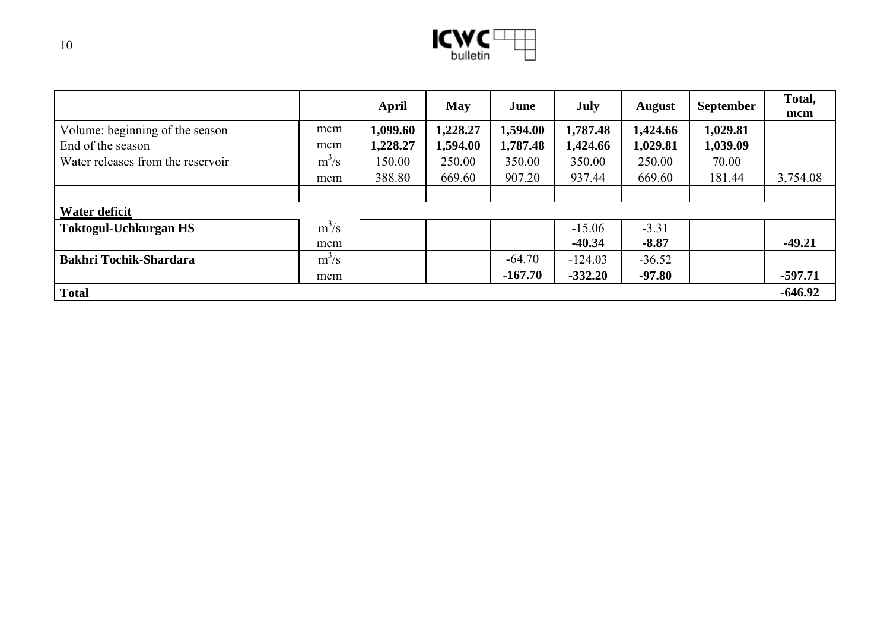

|                                   |         | April    | <b>May</b> | June      | July      | <b>August</b> | <b>September</b> | Total,<br>mcm |
|-----------------------------------|---------|----------|------------|-----------|-----------|---------------|------------------|---------------|
| Volume: beginning of the season   | mcm     | 1,099.60 | 1,228.27   | 1,594.00  | 1,787.48  | 1,424.66      | 1,029.81         |               |
| End of the season                 | mcm     | 1,228.27 | 1,594.00   | 1,787.48  | 1,424.66  | 1,029.81      | 1,039.09         |               |
| Water releases from the reservoir | $m^3/s$ | 150.00   | 250.00     | 350.00    | 350.00    | 250.00        | 70.00            |               |
|                                   | mcm     | 388.80   | 669.60     | 907.20    | 937.44    | 669.60        | 181.44           | 3,754.08      |
|                                   |         |          |            |           |           |               |                  |               |
| Water deficit                     |         |          |            |           |           |               |                  |               |
| <b>Toktogul-Uchkurgan HS</b>      | $m^3/s$ |          |            |           | $-15.06$  | $-3.31$       |                  |               |
|                                   | mcm     |          |            |           | $-40.34$  | $-8.87$       |                  | $-49.21$      |
| <b>Bakhri Tochik-Shardara</b>     | $m^3/s$ |          |            | $-64.70$  | $-124.03$ | $-36.52$      |                  |               |
|                                   | mcm     |          |            | $-167.70$ | $-332.20$ | $-97.80$      |                  | $-597.71$     |
| <b>Total</b>                      |         |          |            |           |           |               |                  | $-646.92$     |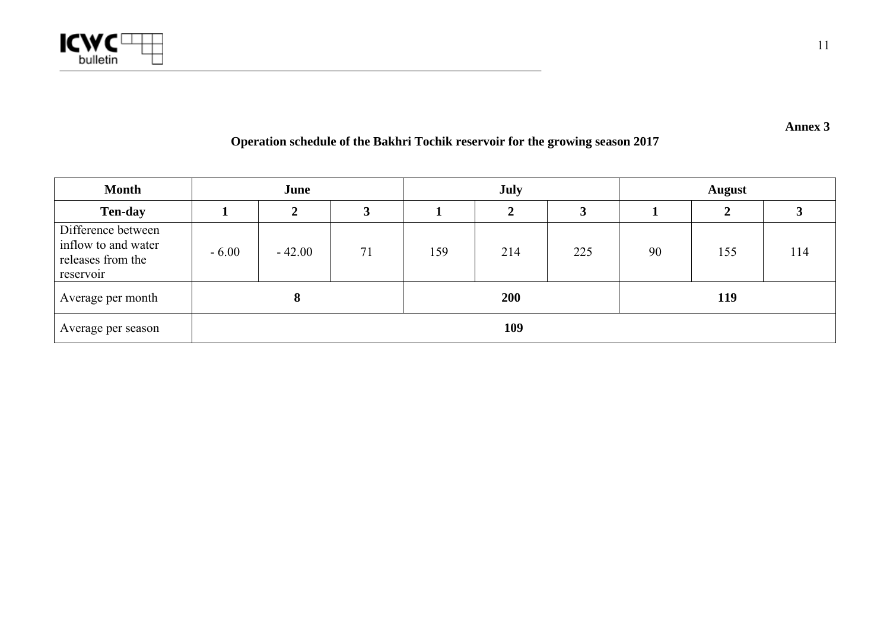

**Annex 3** 

# **Operation schedule of the Bakhri Tochik reservoir for the growing season 2017**

| <b>Month</b>                                                                |         | June     |            |     | <b>July</b> |     |    | <b>August</b> |     |  |
|-----------------------------------------------------------------------------|---------|----------|------------|-----|-------------|-----|----|---------------|-----|--|
| <b>Ten-day</b>                                                              |         | C.       |            |     | ◠           |     |    |               |     |  |
| Difference between<br>inflow to and water<br>releases from the<br>reservoir | $-6.00$ | $-42.00$ | 71         | 159 | 214         | 225 | 90 | 155           | 114 |  |
| Average per month                                                           |         |          | <b>200</b> |     |             | 119 |    |               |     |  |
| Average per season                                                          | 109     |          |            |     |             |     |    |               |     |  |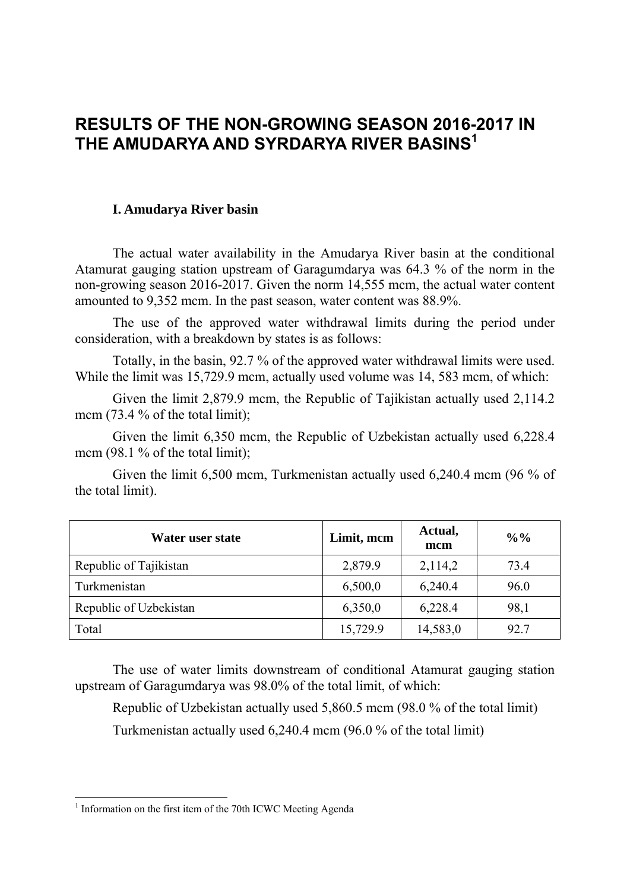# **RESULTS OF THE NON-GROWING SEASON 2016-2017 IN THE AMUDARYA AND SYRDARYA RIVER BASINS1**

### **I. Amudarya River basin**

The actual water availability in the Amudarya River basin at the conditional Atamurat gauging station upstream of Garagumdarya was 64.3 % of the norm in the non-growing season 2016-2017. Given the norm 14,555 mcm, the actual water content amounted to 9,352 mcm. In the past season, water content was 88.9%.

The use of the approved water withdrawal limits during the period under consideration, with a breakdown by states is as follows:

Totally, in the basin, 92.7 % of the approved water withdrawal limits were used. While the limit was 15,729.9 mcm, actually used volume was 14, 583 mcm, of which:

Given the limit 2,879.9 mcm, the Republic of Tajikistan actually used 2,114.2 mcm (73.4 % of the total limit);

Given the limit 6,350 mcm, the Republic of Uzbekistan actually used 6,228.4 mcm (98.1 % of the total limit);

Given the limit 6,500 mcm, Turkmenistan actually used 6,240.4 mcm (96 % of the total limit).

| Water user state       | Limit, mcm | Actual,<br>mcm | $\frac{0}{0}$ % |
|------------------------|------------|----------------|-----------------|
| Republic of Tajikistan | 2,879.9    | 2,114,2        | 73.4            |
| Turkmenistan           | 6,500,0    | 6,240.4        | 96.0            |
| Republic of Uzbekistan | 6,350,0    | 6,228.4        | 98,1            |
| Total                  | 15,729.9   | 14,583,0       | 92.7            |

The use of water limits downstream of conditional Atamurat gauging station upstream of Garagumdarya was 98.0% of the total limit, of which:

Republic of Uzbekistan actually used 5,860.5 mcm (98.0 % of the total limit)

Turkmenistan actually used 6,240.4 mcm (96.0 % of the total limit)

<sup>&</sup>lt;sup>1</sup> Information on the first item of the 70th ICWC Meeting Agenda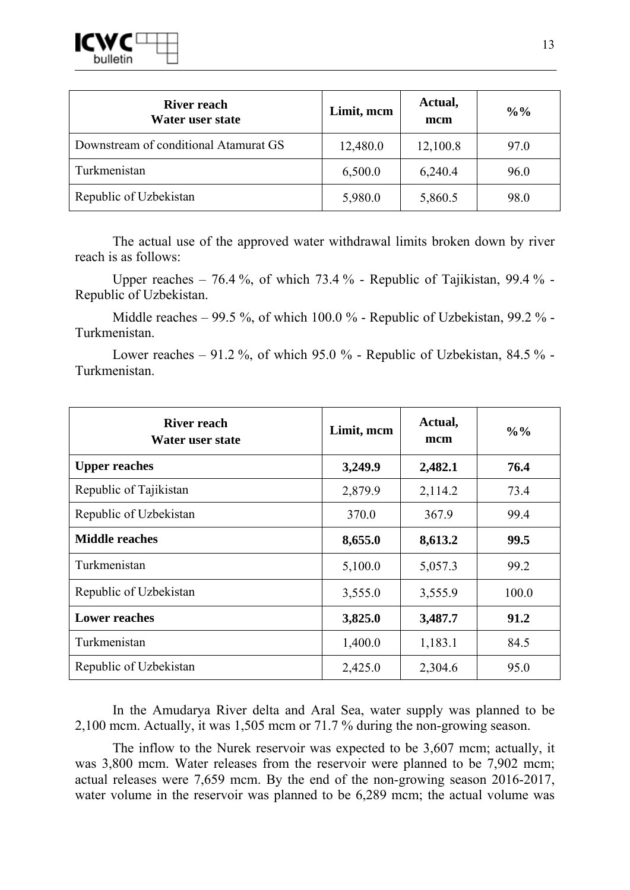

| <b>River reach</b><br>Water user state | Limit, mcm | Actual,<br>mcm | $\frac{0}{0}$ % |
|----------------------------------------|------------|----------------|-----------------|
| Downstream of conditional Atamurat GS  | 12,480.0   | 12,100.8       | 97.0            |
| Turkmenistan                           | 6,500.0    | 6,240.4        | 96.0            |
| Republic of Uzbekistan                 | 5,980.0    | 5,860.5        | 98.0            |

The actual use of the approved water withdrawal limits broken down by river reach is as follows:

Upper reaches – 76.4 %, of which 73.4 % - Republic of Tajikistan, 99.4 % - Republic of Uzbekistan.

Middle reaches – 99.5 %, of which 100.0 % - Republic of Uzbekistan, 99.2 % - Turkmenistan.

Lower reaches  $-91.2\%$ , of which 95.0 % - Republic of Uzbekistan, 84.5 % -Turkmenistan.

| <b>River reach</b><br>Water user state | Limit, mcm | Actual,<br>mcm | $\frac{0}{0}$ % |
|----------------------------------------|------------|----------------|-----------------|
| <b>Upper reaches</b>                   | 3,249.9    | 2,482.1        | 76.4            |
| Republic of Tajikistan                 | 2,879.9    | 2,114.2        | 73.4            |
| Republic of Uzbekistan                 | 370.0      | 367.9          | 99.4            |
| <b>Middle reaches</b>                  | 8,655.0    | 8,613.2        | 99.5            |
| Turkmenistan                           | 5,100.0    | 5,057.3        | 99.2            |
| Republic of Uzbekistan                 | 3,555.0    | 3,555.9        | 100.0           |
| <b>Lower reaches</b>                   | 3,825.0    | 3,487.7        | 91.2            |
| Turkmenistan                           | 1,400.0    | 1,183.1        | 84.5            |
| Republic of Uzbekistan                 | 2,425.0    | 2,304.6        | 95.0            |

In the Amudarya River delta and Aral Sea, water supply was planned to be 2,100 mcm. Actually, it was 1,505 mcm or 71.7 % during the non-growing season.

The inflow to the Nurek reservoir was expected to be 3,607 mcm; actually, it was 3,800 mcm. Water releases from the reservoir were planned to be 7,902 mcm; actual releases were 7,659 mcm. By the end of the non-growing season 2016-2017, water volume in the reservoir was planned to be 6,289 mcm; the actual volume was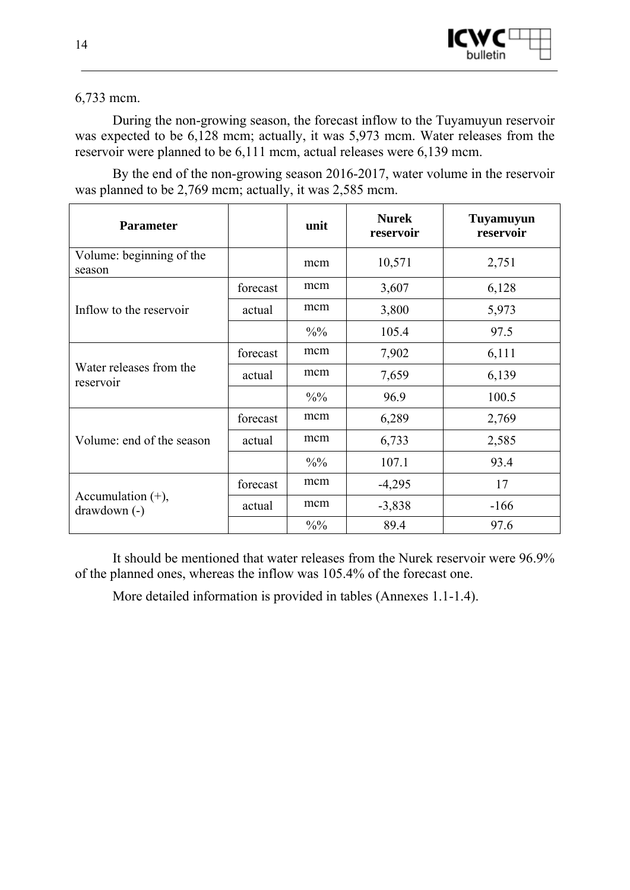

6,733 mcm.

During the non-growing season, the forecast inflow to the Tuyamuyun reservoir was expected to be 6,128 mcm; actually, it was 5,973 mcm. Water releases from the reservoir were planned to be 6,111 mcm, actual releases were 6,139 mcm.

By the end of the non-growing season 2016-2017, water volume in the reservoir was planned to be 2,769 mcm; actually, it was 2,585 mcm.

| <b>Parameter</b>                      |          | unit            | <b>Nurek</b><br>reservoir | Tuyamuyun<br>reservoir |
|---------------------------------------|----------|-----------------|---------------------------|------------------------|
| Volume: beginning of the<br>season    |          | mcm             | 10,571                    | 2,751                  |
|                                       | forecast | mcm             | 3,607                     | 6,128                  |
| Inflow to the reservoir               | actual   | mcm             | 3,800                     | 5,973                  |
|                                       |          | $\frac{0}{0}$   | 105.4                     | 97.5                   |
|                                       | forecast | mcm             | 7,902                     | 6,111                  |
| Water releases from the<br>reservoir  | actual   | mcm             | 7,659                     | 6,139                  |
|                                       |          | $\frac{0}{0}$ % | 96.9                      | 100.5                  |
|                                       | forecast | mcm             | 6,289                     | 2,769                  |
| Volume: end of the season             | actual   | mcm             | 6,733                     | 2,585                  |
|                                       |          | $\frac{0}{0}$ % | 107.1                     | 93.4                   |
| Accumulation $(+)$ ,<br>$drawdown(-)$ | forecast | mcm             | $-4,295$                  | 17                     |
|                                       | actual   | mcm             | $-3,838$                  | $-166$                 |
|                                       |          | $\frac{0}{0}$   | 89.4                      | 97.6                   |

It should be mentioned that water releases from the Nurek reservoir were 96.9% of the planned ones, whereas the inflow was 105.4% of the forecast one.

More detailed information is provided in tables (Annexes 1.1-1.4).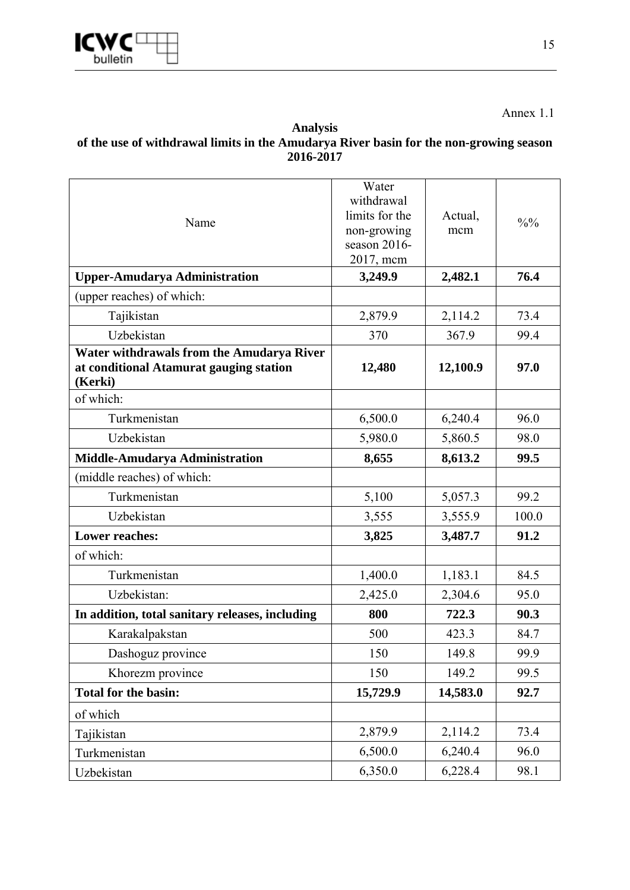

Annex 1.1

### **Analysis of the use of withdrawal limits in the Amudarya River basin for the non-growing season 2016-2017**

| Name                                                                                            | Water<br>withdrawal<br>limits for the<br>non-growing<br>season 2016-<br>2017, mcm | Actual,<br>mcm | $\frac{0}{0}$ % |
|-------------------------------------------------------------------------------------------------|-----------------------------------------------------------------------------------|----------------|-----------------|
| <b>Upper-Amudarya Administration</b>                                                            | 3,249.9                                                                           | 2,482.1        | 76.4            |
| (upper reaches) of which:                                                                       |                                                                                   |                |                 |
| Tajikistan                                                                                      | 2,879.9                                                                           | 2,114.2        | 73.4            |
| Uzbekistan                                                                                      | 370                                                                               | 367.9          | 99.4            |
| Water withdrawals from the Amudarya River<br>at conditional Atamurat gauging station<br>(Kerki) | 12,480                                                                            | 12,100.9       | 97.0            |
| of which:                                                                                       |                                                                                   |                |                 |
| Turkmenistan                                                                                    | 6,500.0                                                                           | 6,240.4        | 96.0            |
| Uzbekistan                                                                                      | 5,980.0                                                                           | 5,860.5        | 98.0            |
| Middle-Amudarya Administration                                                                  | 8,655                                                                             | 8,613.2        | 99.5            |
| (middle reaches) of which:                                                                      |                                                                                   |                |                 |
| Turkmenistan                                                                                    | 5,100                                                                             | 5,057.3        | 99.2            |
| Uzbekistan                                                                                      | 3,555                                                                             | 3,555.9        | 100.0           |
| <b>Lower reaches:</b>                                                                           | 3,825                                                                             | 3,487.7        | 91.2            |
| of which:                                                                                       |                                                                                   |                |                 |
| Turkmenistan                                                                                    | 1,400.0                                                                           | 1,183.1        | 84.5            |
| Uzbekistan:                                                                                     | 2,425.0                                                                           | 2,304.6        | 95.0            |
| In addition, total sanitary releases, including                                                 | 800                                                                               | 722.3          | 90.3            |
| Karakalpakstan                                                                                  | 500                                                                               | 423.3          | 84.7            |
| Dashoguz province                                                                               | 150                                                                               | 149.8          | 99.9            |
| Khorezm province                                                                                | 150                                                                               | 149.2          | 99.5            |
| <b>Total for the basin:</b>                                                                     | 15,729.9                                                                          | 14,583.0       | 92.7            |
| of which                                                                                        |                                                                                   |                |                 |
| Tajikistan                                                                                      | 2,879.9                                                                           | 2,114.2        | 73.4            |
| Turkmenistan                                                                                    | 6,500.0                                                                           | 6,240.4        | 96.0            |
| Uzbekistan                                                                                      | 6,350.0                                                                           | 6,228.4        | 98.1            |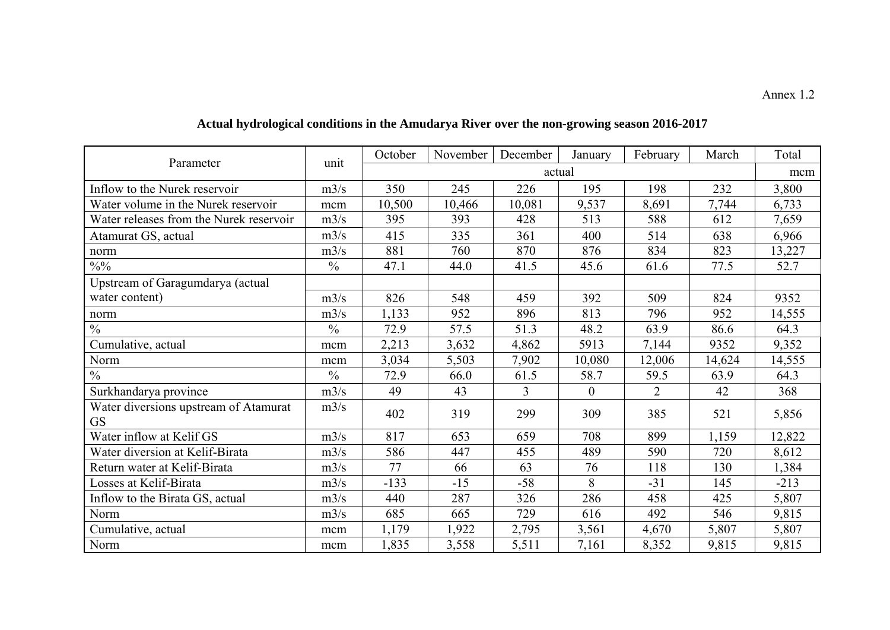| Parameter                                          | unit          | October | November | December       | January      | February       | March  | Total  |
|----------------------------------------------------|---------------|---------|----------|----------------|--------------|----------------|--------|--------|
|                                                    |               |         |          |                | actual       |                |        | mcm    |
| Inflow to the Nurek reservoir                      | m3/s          | 350     | 245      | 226            | 195          | 198            | 232    | 3,800  |
| Water volume in the Nurek reservoir                | mcm           | 10,500  | 10,466   | 10,081         | 9,537        | 8,691          | 7,744  | 6,733  |
| Water releases from the Nurek reservoir            | m3/s          | 395     | 393      | 428            | 513          | 588            | 612    | 7,659  |
| Atamurat GS, actual                                | m3/s          | 415     | 335      | 361            | 400          | 514            | 638    | 6,966  |
| norm                                               | m3/s          | 881     | 760      | 870            | 876          | 834            | 823    | 13,227 |
| $\frac{0}{0}$ %                                    | $\frac{0}{0}$ | 47.1    | 44.0     | 41.5           | 45.6         | 61.6           | 77.5   | 52.7   |
| Upstream of Garagumdarya (actual                   |               |         |          |                |              |                |        |        |
| water content)                                     | m3/s          | 826     | 548      | 459            | 392          | 509            | 824    | 9352   |
| norm                                               | m3/s          | 1,133   | 952      | 896            | 813          | 796            | 952    | 14,555 |
| $\frac{0}{0}$                                      | $\frac{0}{0}$ | 72.9    | 57.5     | 51.3           | 48.2         | 63.9           | 86.6   | 64.3   |
| Cumulative, actual                                 | mcm           | 2,213   | 3,632    | 4,862          | 5913         | 7,144          | 9352   | 9,352  |
| Norm                                               | mcm           | 3,034   | 5,503    | 7,902          | 10,080       | 12,006         | 14,624 | 14,555 |
| $\frac{0}{0}$                                      | $\frac{0}{0}$ | 72.9    | 66.0     | 61.5           | 58.7         | 59.5           | 63.9   | 64.3   |
| Surkhandarya province                              | m3/s          | 49      | 43       | $\overline{3}$ | $\mathbf{0}$ | $\overline{2}$ | 42     | 368    |
| Water diversions upstream of Atamurat<br><b>GS</b> | m3/s          | 402     | 319      | 299            | 309          | 385            | 521    | 5,856  |
| Water inflow at Kelif GS                           | m3/s          | 817     | 653      | 659            | 708          | 899            | 1,159  | 12,822 |
| Water diversion at Kelif-Birata                    | m3/s          | 586     | 447      | 455            | 489          | 590            | 720    | 8,612  |
| Return water at Kelif-Birata                       | m3/s          | 77      | 66       | 63             | 76           | 118            | 130    | 1,384  |
| Losses at Kelif-Birata                             | m3/s          | $-133$  | $-15$    | $-58$          | 8            | $-31$          | 145    | $-213$ |
| Inflow to the Birata GS, actual                    | m3/s          | 440     | 287      | 326            | 286          | 458            | 425    | 5,807  |
| Norm                                               | m3/s          | 685     | 665      | 729            | 616          | 492            | 546    | 9,815  |
| Cumulative, actual                                 | mcm           | 1,179   | 1,922    | 2,795          | 3,561        | 4,670          | 5,807  | 5,807  |
| Norm                                               | mcm           | ,835    | 3,558    | 5,511          | 7,161        | 8,352          | 9,815  | 9,815  |

# **Actual hydrological conditions in the Amudarya River over the non-growing season 2016-2017**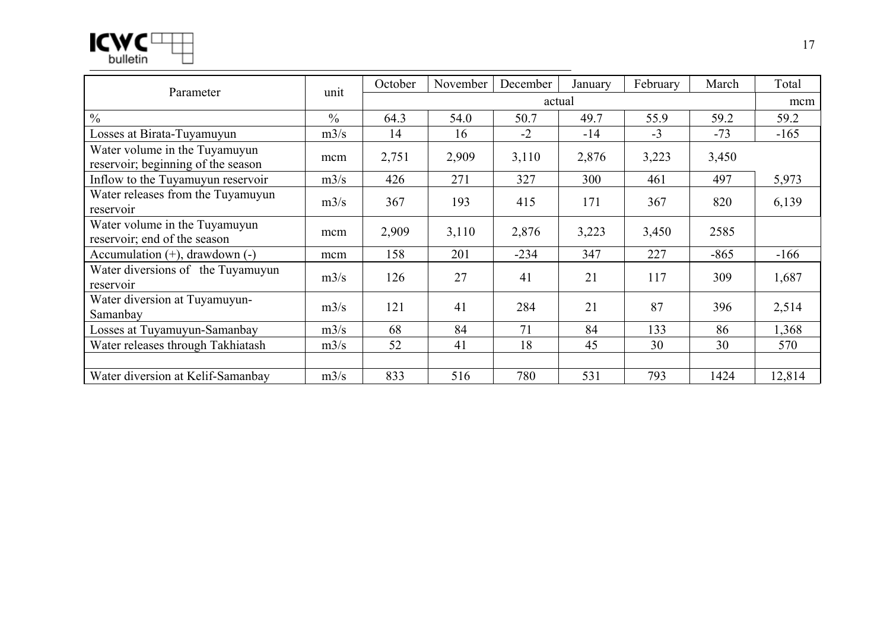| M<br>I   |  |
|----------|--|
| bulletin |  |

| Parameter                                                           | unit          | October | November | December | January | February | March  | Total  |  |
|---------------------------------------------------------------------|---------------|---------|----------|----------|---------|----------|--------|--------|--|
|                                                                     |               |         | actual   |          |         |          |        |        |  |
| $\frac{0}{0}$                                                       | $\frac{0}{0}$ | 64.3    | 54.0     | 50.7     | 49.7    | 55.9     | 59.2   | 59.2   |  |
| Losses at Birata-Tuyamuyun                                          | m3/s          | 14      | 16       | $-2$     | $-14$   | $-3$     | $-73$  | $-165$ |  |
| Water volume in the Tuyamuyun<br>reservoir; beginning of the season | mcm           | 2,751   | 2,909    | 3,110    | 2,876   | 3,223    | 3,450  |        |  |
| Inflow to the Tuyamuyun reservoir                                   | m3/s          | 426     | 271      | 327      | 300     | 461      | 497    | 5,973  |  |
| Water releases from the Tuyamuyun<br>reservoir                      | m3/s          | 367     | 193      | 415      | 171     | 367      | 820    | 6,139  |  |
| Water volume in the Tuyamuyun<br>reservoir; end of the season       | mcm           | 2,909   | 3,110    | 2,876    | 3,223   | 3,450    | 2585   |        |  |
| Accumulation $(+)$ , drawdown $(-)$                                 | mcm           | 158     | 201      | $-234$   | 347     | 227      | $-865$ | $-166$ |  |
| Water diversions of the Tuyamuyun<br>reservoir                      | m3/s          | 126     | 27       | 41       | 21      | 117      | 309    | 1,687  |  |
| Water diversion at Tuyamuyun-<br>Samanbay                           | m3/s          | 121     | 41       | 284      | 21      | 87       | 396    | 2,514  |  |
| Losses at Tuyamuyun-Samanbay                                        | m3/s          | 68      | 84       | 71       | 84      | 133      | 86     | 1,368  |  |
| Water releases through Takhiatash                                   | m3/s          | 52      | 41       | 18       | 45      | 30       | 30     | 570    |  |
|                                                                     |               |         |          |          |         |          |        |        |  |
| Water diversion at Kelif-Samanbay                                   | m3/s          | 833     | 516      | 780      | 531     | 793      | 1424   | 12,814 |  |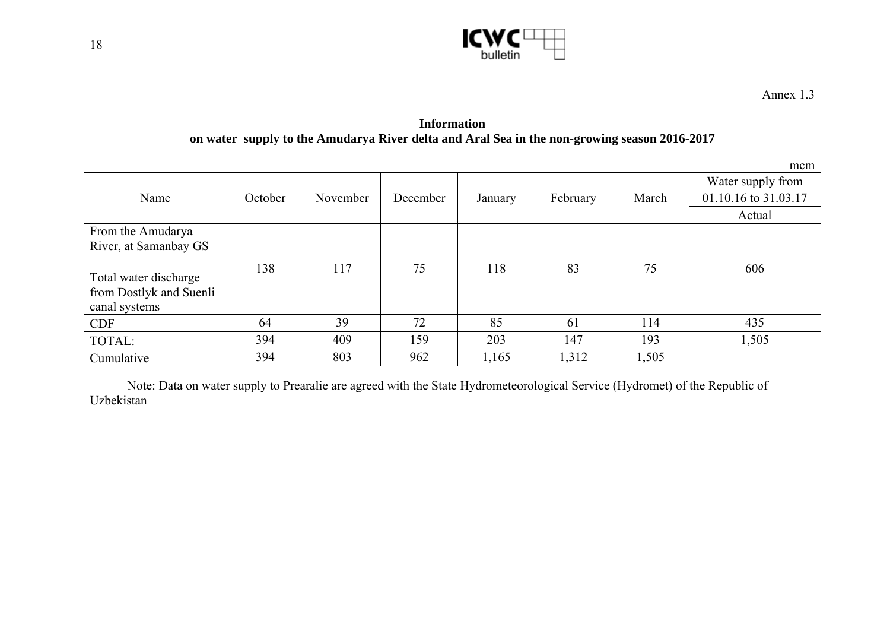

Annex 1.3

**Information on water supply to the Amudarya River delta and Aral Sea in the non-growing season 2016-2017** 

|                         |         |          |          |         |          |       | mcm                  |
|-------------------------|---------|----------|----------|---------|----------|-------|----------------------|
|                         |         |          |          |         |          |       | Water supply from    |
| Name                    | October | November | December | January | February | March | 01.10.16 to 31.03.17 |
|                         |         |          |          |         |          |       | Actual               |
| From the Amudarya       |         |          |          |         |          |       |                      |
| River, at Samanbay GS   |         |          |          |         |          |       |                      |
|                         | 138     | 117      | 75       | 118     | 83       | 75    | 606                  |
| Total water discharge   |         |          |          |         |          |       |                      |
| from Dostlyk and Suenli |         |          |          |         |          |       |                      |
| canal systems           |         |          |          |         |          |       |                      |
| <b>CDF</b>              | 64      | 39       | 72       | 85      | 61       | 114   | 435                  |
| TOTAL:                  | 394     | 409      | 159      | 203     | 147      | 193   | 1,505                |
| Cumulative              | 394     | 803      | 962      | 1,165   | 1,312    | 1,505 |                      |

Note: Data on water supply to Prearalie are agreed with the State Hydrometeorological Service (Hydromet) of the Republic of Uzbekistan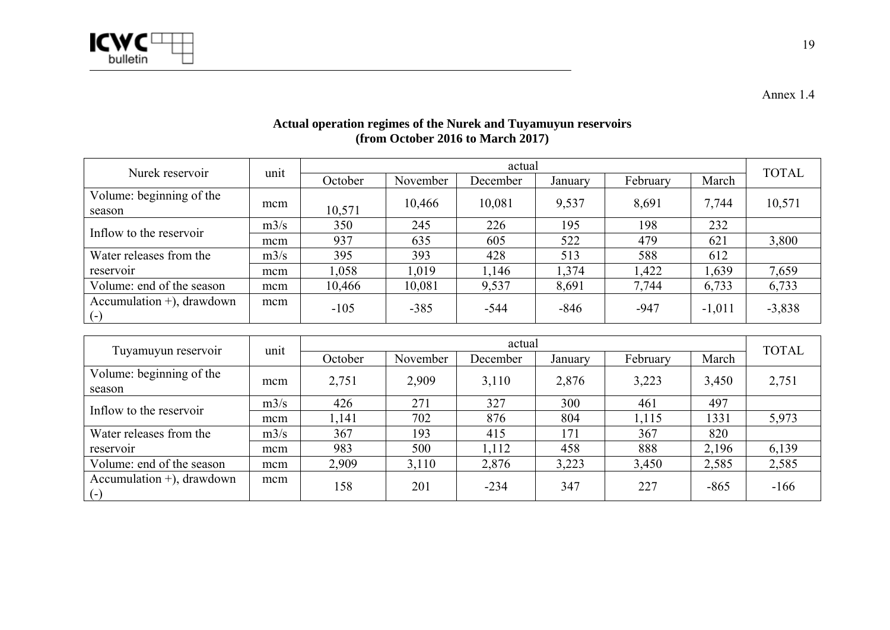

Annex 1.4

| Actual operation regimes of the Nurek and Tuyamuyun reservoirs |
|----------------------------------------------------------------|
| (from October 2016 to March 2017)                              |

| Nurek reservoir                       | unit | actual  |          |          |         |          |          |              |
|---------------------------------------|------|---------|----------|----------|---------|----------|----------|--------------|
|                                       |      | October | November | December | January | February | March    | <b>TOTAL</b> |
| Volume: beginning of the<br>season    | mcm  | 10,571  | 10,466   | 10,081   | 9,537   | 8,691    | 7,744    | 10,571       |
| Inflow to the reservoir               | m3/s | 350     | 245      | 226      | 195     | 198      | 232      |              |
|                                       | mcm  | 937     | 635      | 605      | 522     | 479      | 621      | 3,800        |
| Water releases from the               | m3/s | 395     | 393      | 428      | 513     | 588      | 612      |              |
| reservoir                             | mcm  | 1,058   | 1.019    | 1,146    | ,374    | 1,422    | 1,639    | 7,659        |
| Volume: end of the season             | mcm  | 10,466  | 10,081   | 9,537    | 8,691   | 7,744    | 6,733    | 6,733        |
| Accumulation $+)$ , drawdown<br>$(-)$ | mcm  | $-105$  | $-385$   | $-544$   | $-846$  | $-947$   | $-1,011$ | $-3,838$     |

|                                                   | unit | actual  |          |          |         |          |        | <b>TOTAL</b> |
|---------------------------------------------------|------|---------|----------|----------|---------|----------|--------|--------------|
| Tuyamuyun reservoir                               |      | October | November | December | January | February | March  |              |
| Volume: beginning of the<br>season                | mcm  | 2,751   | 2,909    | 3,110    | 2,876   | 3,223    | 3,450  | 2,751        |
|                                                   | m3/s | 426     | 271      | 327      | 300     | 461      | 497    |              |
| Inflow to the reservoir                           | mcm  | 1,141   | 702      | 876      | 804     | 1,115    | 1331   | 5,973        |
| Water releases from the                           | m3/s | 367     | 193      | 415      | 171     | 367      | 820    |              |
| reservoir                                         | mcm  | 983     | 500      | 1,112    | 458     | 888      | 2,196  | 6,139        |
| Volume: end of the season                         | mcm  | 2,909   | 3,110    | 2,876    | 3,223   | 3,450    | 2,585  | 2,585        |
| Accumulation $+$ ), drawdown<br>$\left( -\right)$ | mcm  | 158     | 201      | $-234$   | 347     | 227      | $-865$ | $-166$       |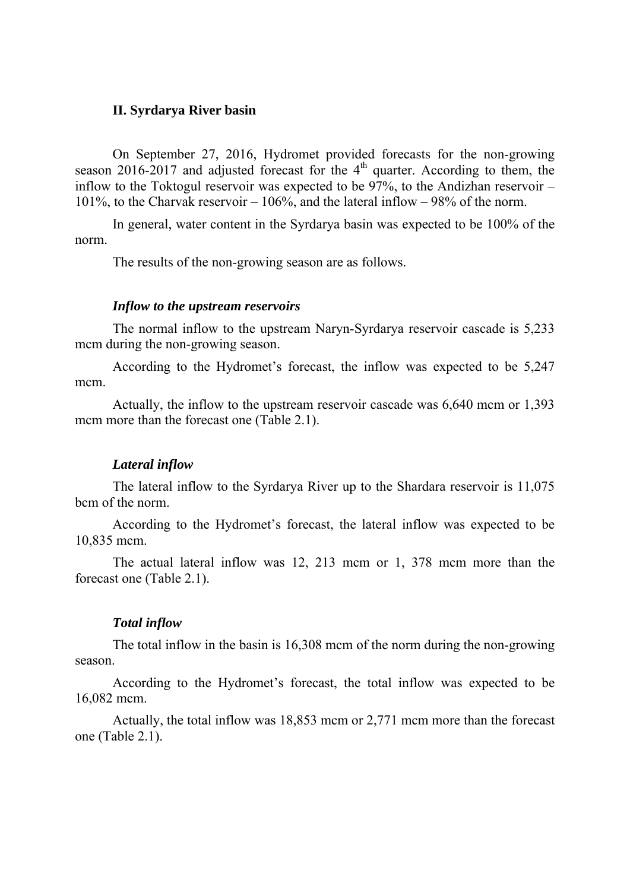#### **II. Syrdarya River basin**

On September 27, 2016, Hydromet provided forecasts for the non-growing season 2016-2017 and adjusted forecast for the  $4<sup>th</sup>$  quarter. According to them, the inflow to the Toktogul reservoir was expected to be 97%, to the Andizhan reservoir – 101%, to the Charvak reservoir  $-106%$ , and the lateral inflow  $-98%$  of the norm.

In general, water content in the Syrdarya basin was expected to be 100% of the norm.

The results of the non-growing season are as follows.

#### *Inflow to the upstream reservoirs*

The normal inflow to the upstream Naryn-Syrdarya reservoir cascade is 5,233 mcm during the non-growing season.

According to the Hydromet's forecast, the inflow was expected to be 5,247 mcm.

Actually, the inflow to the upstream reservoir cascade was 6,640 mcm or 1,393 mcm more than the forecast one (Table 2.1).

#### *Lateral inflow*

The lateral inflow to the Syrdarya River up to the Shardara reservoir is 11,075 bcm of the norm.

According to the Hydromet's forecast, the lateral inflow was expected to be 10,835 mcm.

The actual lateral inflow was 12, 213 mcm or 1, 378 mcm more than the forecast one (Table 2.1).

#### *Total inflow*

The total inflow in the basin is 16,308 mcm of the norm during the non-growing season.

According to the Hydromet's forecast, the total inflow was expected to be 16,082 mcm.

Actually, the total inflow was 18,853 mcm or 2,771 mcm more than the forecast one (Table 2.1).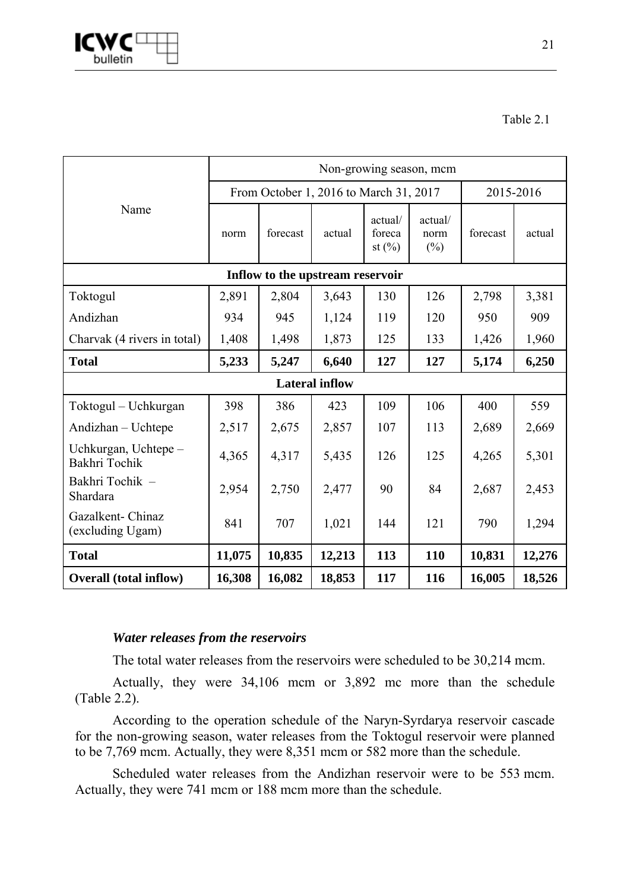

Table 2.1

|                                       | Non-growing season, mcm |          |                                        |                                |                           |          |           |  |  |
|---------------------------------------|-------------------------|----------|----------------------------------------|--------------------------------|---------------------------|----------|-----------|--|--|
|                                       |                         |          | From October 1, 2016 to March 31, 2017 |                                |                           |          | 2015-2016 |  |  |
| Name                                  | norm                    | forecast | actual                                 | actual/<br>foreca<br>st $(\%)$ | actual/<br>norm<br>$(\%)$ | forecast | actual    |  |  |
|                                       |                         |          | Inflow to the upstream reservoir       |                                |                           |          |           |  |  |
| Toktogul                              | 2,891                   | 2,804    | 3,643                                  | 130                            | 126                       | 2,798    | 3,381     |  |  |
| Andizhan                              | 934                     | 945      | 1,124                                  | 119                            | 120                       | 950      | 909       |  |  |
| Charvak (4 rivers in total)           | 1,408                   | 1,498    | 1,873                                  | 125                            | 133                       | 1,426    | 1,960     |  |  |
| <b>Total</b>                          | 5,233                   | 5,247    | 6,640                                  | 127                            | 127                       | 5,174    | 6,250     |  |  |
|                                       |                         |          | <b>Lateral inflow</b>                  |                                |                           |          |           |  |  |
| Toktogul – Uchkurgan                  | 398                     | 386      | 423                                    | 109                            | 106                       | 400      | 559       |  |  |
| Andizhan - Uchtepe                    | 2,517                   | 2,675    | 2,857                                  | 107                            | 113                       | 2,689    | 2,669     |  |  |
| Uchkurgan, Uchtepe -<br>Bakhri Tochik | 4,365                   | 4,317    | 5,435                                  | 126                            | 125                       | 4,265    | 5,301     |  |  |
| Bakhri Tochik -<br>Shardara           | 2,954                   | 2,750    | 2,477                                  | 90                             | 84                        | 2,687    | 2,453     |  |  |
| Gazalkent- Chinaz<br>(excluding Ugam) | 841                     | 707      | 1,021                                  | 144                            | 121                       | 790      | 1,294     |  |  |
| <b>Total</b>                          | 11,075                  | 10,835   | 12,213                                 | 113                            | 110                       | 10,831   | 12,276    |  |  |
| <b>Overall (total inflow)</b>         | 16,308                  | 16,082   | 18,853                                 | 117                            | 116                       | 16,005   | 18,526    |  |  |

### *Water releases from the reservoirs*

The total water releases from the reservoirs were scheduled to be 30,214 mcm.

Actually, they were 34,106 mcm or 3,892 mc more than the schedule (Table 2.2).

According to the operation schedule of the Naryn-Syrdarya reservoir cascade for the non-growing season, water releases from the Toktogul reservoir were planned to be 7,769 mcm. Actually, they were 8,351 mcm or 582 more than the schedule.

Scheduled water releases from the Andizhan reservoir were to be 553 mcm. Actually, they were 741 mcm or 188 mcm more than the schedule.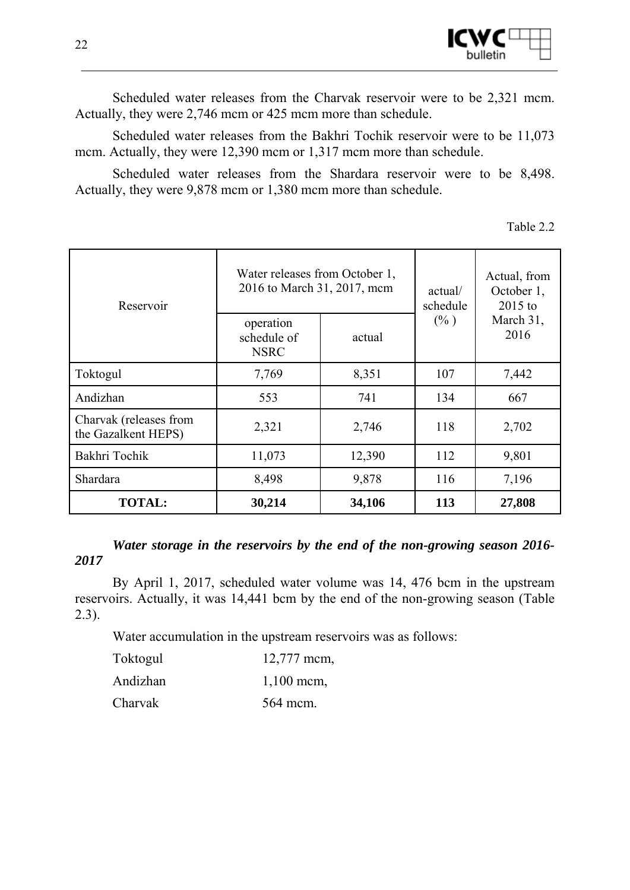

Scheduled water releases from the Charvak reservoir were to be 2,321 mcm. Actually, they were 2,746 mcm or 425 mcm more than schedule.

Scheduled water releases from the Bakhri Tochik reservoir were to be 11,073 mcm. Actually, they were 12,390 mcm or 1,317 mcm more than schedule.

Scheduled water releases from the Shardara reservoir were to be 8,498. Actually, they were 9,878 mcm or 1,380 mcm more than schedule.

| able |  |  |
|------|--|--|
|      |  |  |

| Reservoir                                     | Water releases from October 1,<br>2016 to March 31, 2017, mcm |        | actual/<br>schedule | Actual, from<br>October 1,<br>$2015$ to |
|-----------------------------------------------|---------------------------------------------------------------|--------|---------------------|-----------------------------------------|
|                                               | operation<br>schedule of<br><b>NSRC</b>                       | actual | $(\% )$             | March 31,<br>2016                       |
| Toktogul                                      | 7,769                                                         | 8,351  | 107                 | 7,442                                   |
| Andizhan                                      | 553                                                           | 741    |                     | 667                                     |
| Charvak (releases from<br>the Gazalkent HEPS) | 2,321                                                         | 2,746  | 118                 | 2,702                                   |
| Bakhri Tochik                                 | 11,073                                                        | 12,390 | 112                 | 9,801                                   |
| Shardara                                      | 8,498                                                         | 9,878  | 116                 | 7,196                                   |
| <b>TOTAL:</b>                                 | 30,214                                                        | 34,106 | 113                 | 27,808                                  |

### *Water storage in the reservoirs by the end of the non-growing season 2016- 2017*

By April 1, 2017, scheduled water volume was 14, 476 bcm in the upstream reservoirs. Actually, it was 14,441 bcm by the end of the non-growing season (Table 2.3).

Water accumulation in the upstream reservoirs was as follows:

| Toktogul | $12,777$ mcm, |
|----------|---------------|
| Andizhan | $1,100$ mcm,  |
| Charvak  | 564 mcm.      |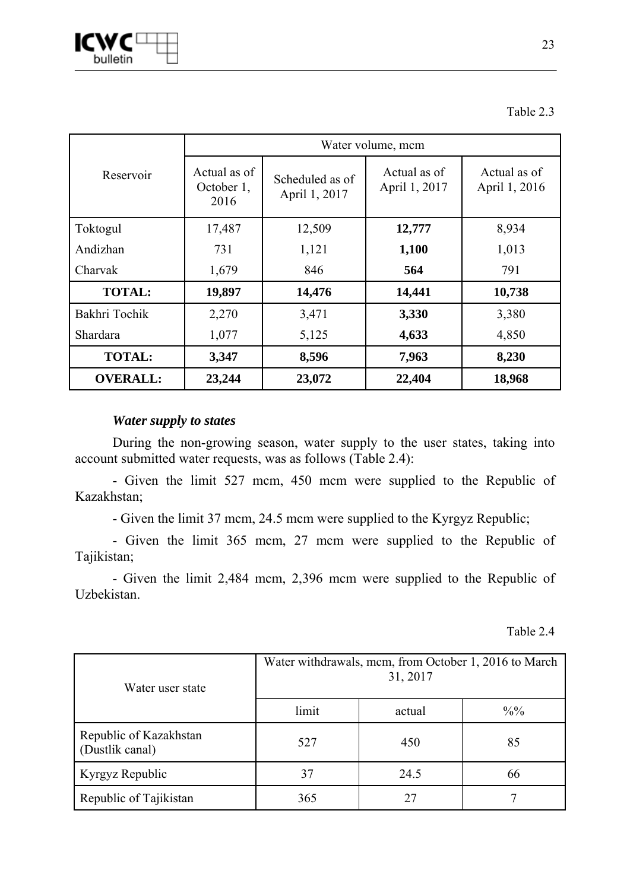

### Table 2.3

|                 | Water volume, mcm                                                      |        |                               |                               |  |  |  |  |
|-----------------|------------------------------------------------------------------------|--------|-------------------------------|-------------------------------|--|--|--|--|
| Reservoir       | Actual as of<br>Scheduled as of<br>October 1,<br>April 1, 2017<br>2016 |        | Actual as of<br>April 1, 2017 | Actual as of<br>April 1, 2016 |  |  |  |  |
| Toktogul        | 17,487                                                                 | 12,509 | 12,777                        | 8,934                         |  |  |  |  |
| Andizhan        | 731                                                                    | 1,121  | 1,100                         | 1,013                         |  |  |  |  |
| Charvak         | 1,679                                                                  | 846    | 564                           | 791                           |  |  |  |  |
| <b>TOTAL:</b>   | 19,897                                                                 | 14,476 | 14,441                        | 10,738                        |  |  |  |  |
| Bakhri Tochik   | 2,270                                                                  | 3,471  | 3,330                         | 3,380                         |  |  |  |  |
| Shardara        | 1,077                                                                  | 5,125  | 4,633                         | 4,850                         |  |  |  |  |
| <b>TOTAL:</b>   | 3,347                                                                  | 8,596  | 7,963                         | 8,230                         |  |  |  |  |
| <b>OVERALL:</b> | 23,244                                                                 | 23,072 | 22,404                        | 18,968                        |  |  |  |  |

### *Water supply to states*

During the non-growing season, water supply to the user states, taking into account submitted water requests, was as follows (Table 2.4):

- Given the limit 527 mcm, 450 mcm were supplied to the Republic of Kazakhstan;

- Given the limit 37 mcm, 24.5 mcm were supplied to the Kyrgyz Republic;

- Given the limit 365 mcm, 27 mcm were supplied to the Republic of Tajikistan;

- Given the limit 2,484 mcm, 2,396 mcm were supplied to the Republic of Uzbekistan.

Table 2.4

| Water user state                          | Water withdrawals, mcm, from October 1, 2016 to March<br>31, 2017 |        |               |  |  |  |  |
|-------------------------------------------|-------------------------------------------------------------------|--------|---------------|--|--|--|--|
|                                           | limit                                                             | actual | $\frac{0}{0}$ |  |  |  |  |
| Republic of Kazakhstan<br>(Dustlik canal) | 527                                                               | 450    | 85            |  |  |  |  |
| Kyrgyz Republic                           | 37                                                                | 24.5   | 66            |  |  |  |  |
| Republic of Tajikistan                    | 365<br>27                                                         |        |               |  |  |  |  |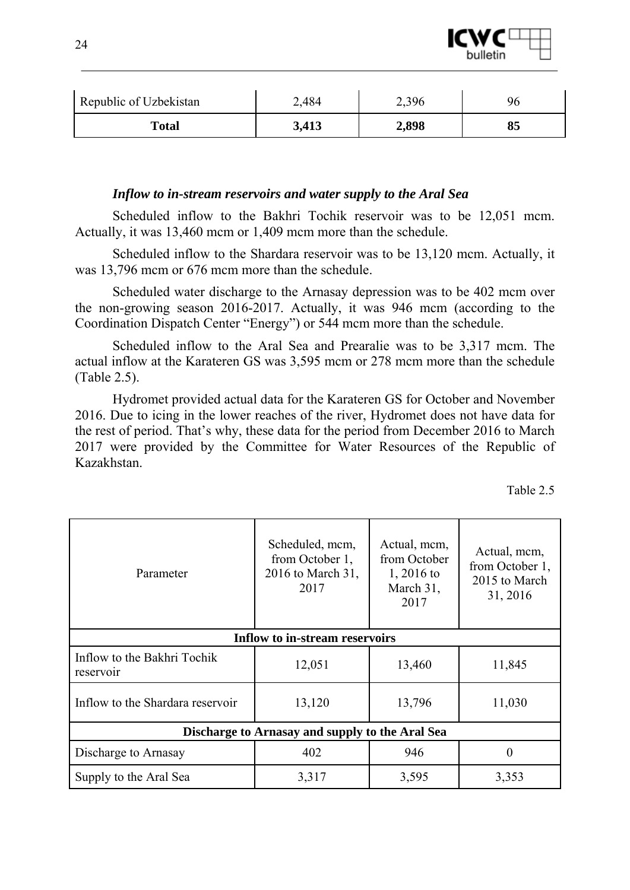

| Republic of Uzbekistan | 2,484 | 2,396 |    |
|------------------------|-------|-------|----|
| <b>Total</b>           | 3,413 | 2,898 | oз |

#### *Inflow to in-stream reservoirs and water supply to the Aral Sea*

Scheduled inflow to the Bakhri Tochik reservoir was to be 12,051 mcm. Actually, it was 13,460 mcm or 1,409 mcm more than the schedule.

Scheduled inflow to the Shardara reservoir was to be 13,120 mcm. Actually, it was 13,796 mcm or 676 mcm more than the schedule.

Scheduled water discharge to the Arnasay depression was to be 402 mcm over the non-growing season 2016-2017. Actually, it was 946 mcm (according to the Coordination Dispatch Center "Energy") or 544 mcm more than the schedule.

Scheduled inflow to the Aral Sea and Prearalie was to be 3,317 mcm. The actual inflow at the Karateren GS was 3,595 mcm or 278 mcm more than the schedule (Table 2.5).

Hydromet provided actual data for the Karateren GS for October and November 2016. Due to icing in the lower reaches of the river, Hydromet does not have data for the rest of period. That's why, these data for the period from December 2016 to March 2017 were provided by the Committee for Water Resources of the Republic of Kazakhstan.

| `able |  |  |
|-------|--|--|
|       |  |  |

| Parameter                                | Scheduled, mcm,<br>from October 1,<br>2016 to March 31,<br>2017 | Actual, mcm,<br>from October<br>1, 2016 to<br>March 31,<br>2017 | Actual, mcm,<br>from October 1,<br>2015 to March<br>31, 2016 |
|------------------------------------------|-----------------------------------------------------------------|-----------------------------------------------------------------|--------------------------------------------------------------|
|                                          | <b>Inflow to in-stream reservoirs</b>                           |                                                                 |                                                              |
| Inflow to the Bakhri Tochik<br>reservoir | 12,051                                                          | 13,460                                                          | 11,845                                                       |
| Inflow to the Shardara reservoir         | 13,120                                                          | 13,796                                                          | 11,030                                                       |
|                                          | Discharge to Arnasay and supply to the Aral Sea                 |                                                                 |                                                              |
| Discharge to Arnasay                     | 402                                                             | 946                                                             | $\theta$                                                     |
| Supply to the Aral Sea                   | 3,317                                                           | 3,595                                                           | 3,353                                                        |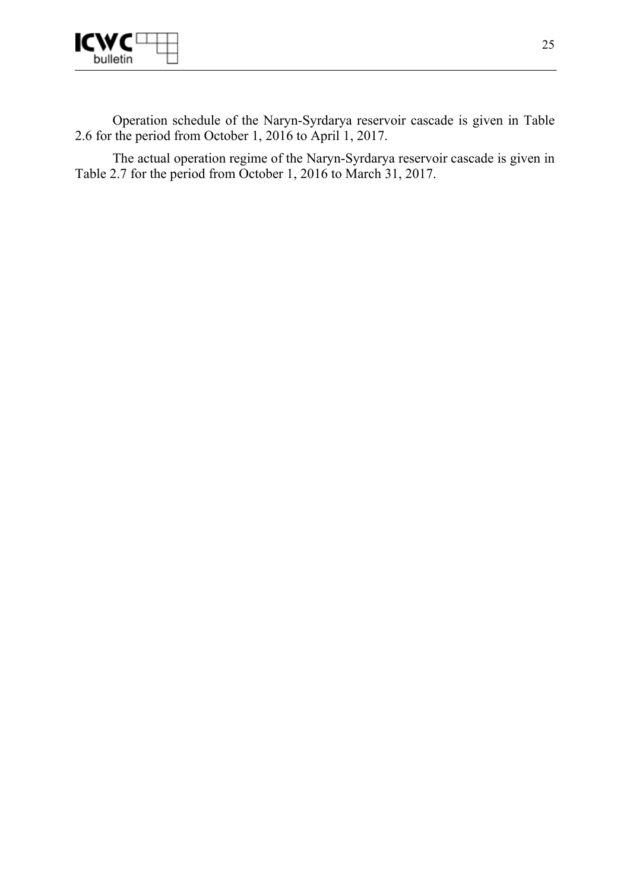

Operation schedule of the Naryn-Syrdarya reservoir cascade is given in Table 2.6 for the period from October 1, 2016 to April 1, 2017.

The actual operation regime of the Naryn-Syrdarya reservoir cascade is given in Table 2.7 for the period from October 1, 2016 to March 31, 2017.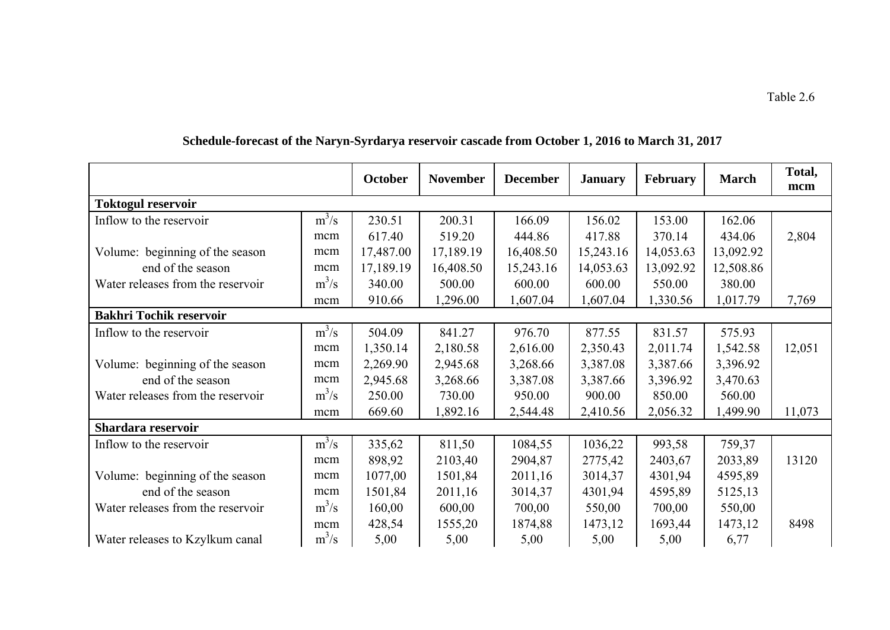|                                   |         | October   | <b>November</b> | <b>December</b> | <b>January</b> | February  | <b>March</b> | Total,<br>mcm |
|-----------------------------------|---------|-----------|-----------------|-----------------|----------------|-----------|--------------|---------------|
| <b>Toktogul reservoir</b>         |         |           |                 |                 |                |           |              |               |
| Inflow to the reservoir           | $m^3/s$ | 230.51    | 200.31          | 166.09          | 156.02         | 153.00    | 162.06       |               |
|                                   | mcm     | 617.40    | 519.20          | 444.86          | 417.88         | 370.14    | 434.06       | 2,804         |
| Volume: beginning of the season   | mcm     | 17,487.00 | 17,189.19       | 16,408.50       | 15,243.16      | 14,053.63 | 13,092.92    |               |
| end of the season                 | mcm     | 17,189.19 | 16,408.50       | 15,243.16       | 14,053.63      | 13,092.92 | 12,508.86    |               |
| Water releases from the reservoir | $m^3/s$ | 340.00    | 500.00          | 600.00          | 600.00         | 550.00    | 380.00       |               |
|                                   | mcm     | 910.66    | 1,296.00        | 1,607.04        | 1,607.04       | 1,330.56  | 1,017.79     | 7,769         |
| <b>Bakhri Tochik reservoir</b>    |         |           |                 |                 |                |           |              |               |
| Inflow to the reservoir           | $m^3/s$ | 504.09    | 841.27          | 976.70          | 877.55         | 831.57    | 575.93       |               |
|                                   | mcm     | 1,350.14  | 2,180.58        | 2,616.00        | 2,350.43       | 2,011.74  | 1,542.58     | 12,051        |
| Volume: beginning of the season   | mcm     | 2,269.90  | 2,945.68        | 3,268.66        | 3,387.08       | 3,387.66  | 3,396.92     |               |
| end of the season                 | mcm     | 2,945.68  | 3,268.66        | 3,387.08        | 3,387.66       | 3,396.92  | 3,470.63     |               |
| Water releases from the reservoir | $m^3/s$ | 250.00    | 730.00          | 950.00          | 900.00         | 850.00    | 560.00       |               |
|                                   | mcm     | 669.60    | 1,892.16        | 2,544.48        | 2,410.56       | 2,056.32  | 1,499.90     | 11,073        |
| Shardara reservoir                |         |           |                 |                 |                |           |              |               |
| Inflow to the reservoir           | $m^3/s$ | 335,62    | 811,50          | 1084,55         | 1036,22        | 993,58    | 759,37       |               |
|                                   | mcm     | 898,92    | 2103,40         | 2904,87         | 2775,42        | 2403,67   | 2033,89      | 13120         |
| Volume: beginning of the season   | mcm     | 1077,00   | 1501,84         | 2011,16         | 3014,37        | 4301,94   | 4595,89      |               |
| end of the season                 | mcm     | 1501,84   | 2011,16         | 3014,37         | 4301,94        | 4595,89   | 5125,13      |               |
| Water releases from the reservoir | $m^3/s$ | 160,00    | 600,00          | 700,00          | 550,00         | 700,00    | 550,00       |               |
|                                   | mcm     | 428,54    | 1555,20         | 1874,88         | 1473,12        | 1693,44   | 1473,12      | 8498          |
| Water releases to Kzylkum canal   | $m^3/s$ | 5,00      | 5,00            | 5,00            | 5,00           | 5,00      | 6,77         |               |

# **Schedule-forecast of the Naryn-Syrdarya reservoir cascade from October 1, 2016 to March 31, 2017**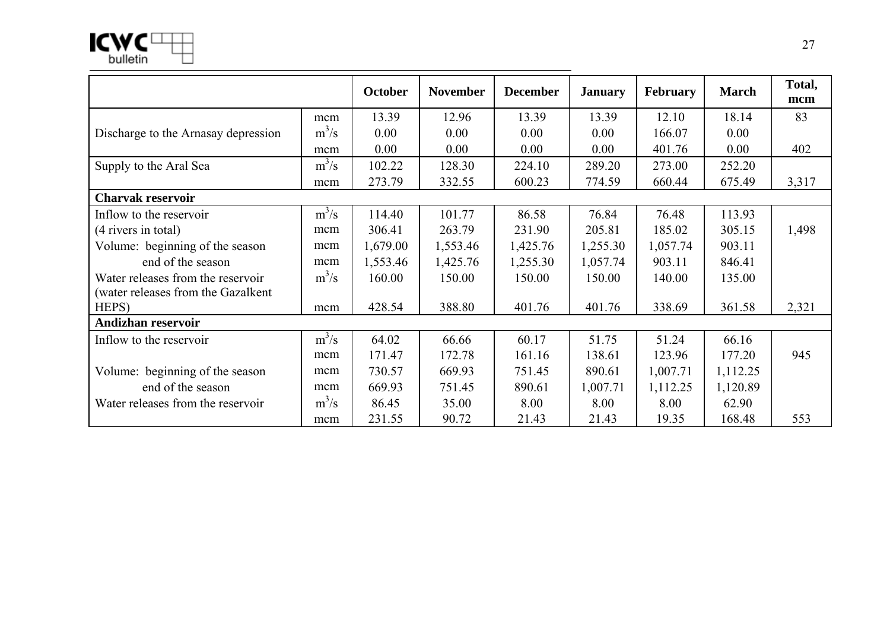

|                                     |         | October  | <b>November</b> | <b>December</b> | <b>January</b> | <b>February</b> | <b>March</b> | Total,<br>mcm |
|-------------------------------------|---------|----------|-----------------|-----------------|----------------|-----------------|--------------|---------------|
|                                     | mcm     | 13.39    | 12.96           | 13.39           | 13.39          | 12.10           | 18.14        | 83            |
| Discharge to the Arnasay depression | $m^3/s$ | 0.00     | 0.00            | 0.00            | 0.00           | 166.07          | 0.00         |               |
|                                     | mcm     | 0.00     | 0.00            | 0.00            | 0.00           | 401.76          | 0.00         | 402           |
| Supply to the Aral Sea              | $m^3/s$ | 102.22   | 128.30          | 224.10          | 289.20         | 273.00          | 252.20       |               |
|                                     | mcm     | 273.79   | 332.55          | 600.23          | 774.59         | 660.44          | 675.49       | 3,317         |
| <b>Charvak reservoir</b>            |         |          |                 |                 |                |                 |              |               |
| Inflow to the reservoir             | $m^3/s$ | 114.40   | 101.77          | 86.58           | 76.84          | 76.48           | 113.93       |               |
| (4 rivers in total)                 | mcm     | 306.41   | 263.79          | 231.90          | 205.81         | 185.02          | 305.15       | 1,498         |
| Volume: beginning of the season     | mcm     | 1,679.00 | 1,553.46        | 1,425.76        | 1,255.30       | 1,057.74        | 903.11       |               |
| end of the season                   | mcm     | 1,553.46 | 1,425.76        | 1,255.30        | 1,057.74       | 903.11          | 846.41       |               |
| Water releases from the reservoir   | $m^3/s$ | 160.00   | 150.00          | 150.00          | 150.00         | 140.00          | 135.00       |               |
| (water releases from the Gazalkent  |         |          |                 |                 |                |                 |              |               |
| HEPS)                               | mcm     | 428.54   | 388.80          | 401.76          | 401.76         | 338.69          | 361.58       | 2,321         |
| Andizhan reservoir                  |         |          |                 |                 |                |                 |              |               |
| Inflow to the reservoir             | $m^3/s$ | 64.02    | 66.66           | 60.17           | 51.75          | 51.24           | 66.16        |               |
|                                     | mcm     | 171.47   | 172.78          | 161.16          | 138.61         | 123.96          | 177.20       | 945           |
| Volume: beginning of the season     | mcm     | 730.57   | 669.93          | 751.45          | 890.61         | 1,007.71        | 1,112.25     |               |
| end of the season                   | mcm     | 669.93   | 751.45          | 890.61          | 1,007.71       | 1,112.25        | 1,120.89     |               |
| Water releases from the reservoir   | $m^3/s$ | 86.45    | 35.00           | 8.00            | 8.00           | 8.00            | 62.90        |               |
|                                     | mcm     | 231.55   | 90.72           | 21.43           | 21.43          | 19.35           | 168.48       | 553           |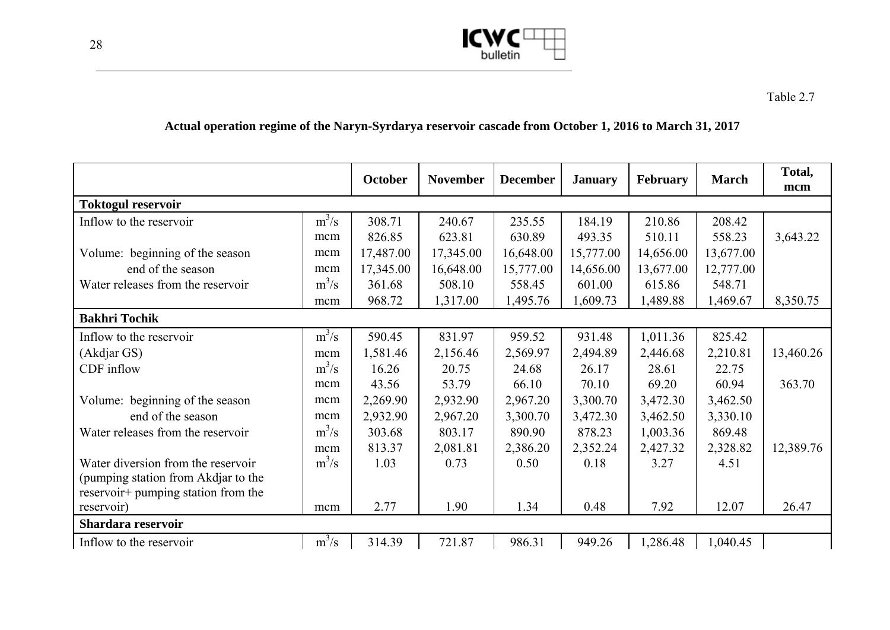

# **Actual operation regime of the Naryn-Syrdarya reservoir cascade from October 1, 2016 to March 31, 2017**

|                                     |         | October   | <b>November</b> | <b>December</b> | <b>January</b> | February  | <b>March</b> | Total,<br>mcm |
|-------------------------------------|---------|-----------|-----------------|-----------------|----------------|-----------|--------------|---------------|
| <b>Toktogul reservoir</b>           |         |           |                 |                 |                |           |              |               |
| Inflow to the reservoir             | $m^3/s$ | 308.71    | 240.67          | 235.55          | 184.19         | 210.86    | 208.42       |               |
|                                     | mcm     | 826.85    | 623.81          | 630.89          | 493.35         | 510.11    | 558.23       | 3,643.22      |
| Volume: beginning of the season     | mcm     | 17,487.00 | 17,345.00       | 16,648.00       | 15,777.00      | 14,656.00 | 13,677.00    |               |
| end of the season                   | mcm     | 17,345.00 | 16,648.00       | 15,777.00       | 14,656.00      | 13,677.00 | 12,777.00    |               |
| Water releases from the reservoir   | $m^3/s$ | 361.68    | 508.10          | 558.45          | 601.00         | 615.86    | 548.71       |               |
|                                     | mcm     | 968.72    | 1,317.00        | 1,495.76        | 1,609.73       | 1,489.88  | 1,469.67     | 8,350.75      |
| <b>Bakhri Tochik</b>                |         |           |                 |                 |                |           |              |               |
| Inflow to the reservoir             | $m^3/s$ | 590.45    | 831.97          | 959.52          | 931.48         | 1,011.36  | 825.42       |               |
| (Akdjar GS)                         | mcm     | 1,581.46  | 2,156.46        | 2,569.97        | 2,494.89       | 2,446.68  | 2,210.81     | 13,460.26     |
| CDF inflow                          | $m^3/s$ | 16.26     | 20.75           | 24.68           | 26.17          | 28.61     | 22.75        |               |
|                                     | mcm     | 43.56     | 53.79           | 66.10           | 70.10          | 69.20     | 60.94        | 363.70        |
| Volume: beginning of the season     | mcm     | 2,269.90  | 2,932.90        | 2,967.20        | 3,300.70       | 3,472.30  | 3,462.50     |               |
| end of the season                   | mcm     | 2,932.90  | 2,967.20        | 3,300.70        | 3,472.30       | 3,462.50  | 3,330.10     |               |
| Water releases from the reservoir   | $m^3/s$ | 303.68    | 803.17          | 890.90          | 878.23         | 1,003.36  | 869.48       |               |
|                                     | mcm     | 813.37    | 2,081.81        | 2,386.20        | 2,352.24       | 2,427.32  | 2,328.82     | 12,389.76     |
| Water diversion from the reservoir  | $m^3/s$ | 1.03      | 0.73            | 0.50            | 0.18           | 3.27      | 4.51         |               |
| (pumping station from Akdjar to the |         |           |                 |                 |                |           |              |               |
| reservoir+ pumping station from the |         |           |                 |                 |                |           |              |               |
| reservoir)                          | mcm     | 2.77      | 1.90            | 1.34            | 0.48           | 7.92      | 12.07        | 26.47         |
| Shardara reservoir                  |         |           |                 |                 |                |           |              |               |
| Inflow to the reservoir             | $m^3/s$ | 314.39    | 721.87          | 986.31          | 949.26         | 1,286.48  | 1,040.45     |               |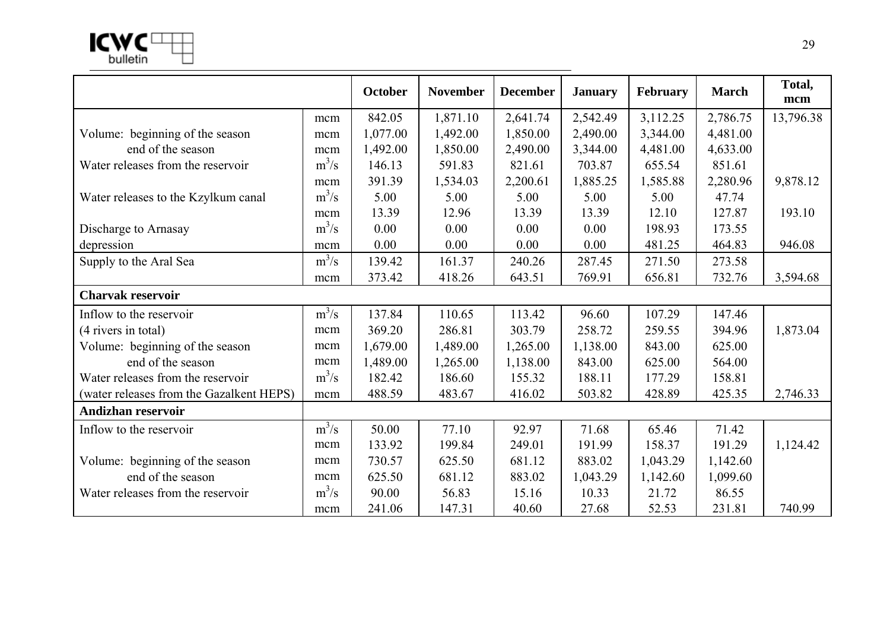|                                          |         | <b>October</b> | <b>November</b> | <b>December</b> | <b>January</b> | February | <b>March</b> | Total,<br>mcm |
|------------------------------------------|---------|----------------|-----------------|-----------------|----------------|----------|--------------|---------------|
|                                          | mcm     | 842.05         | 1,871.10        | 2,641.74        | 2,542.49       | 3,112.25 | 2,786.75     | 13,796.38     |
| Volume: beginning of the season          | mcm     | 1,077.00       | 1,492.00        | 1,850.00        | 2,490.00       | 3,344.00 | 4,481.00     |               |
| end of the season                        | mcm     | 1,492.00       | 1,850.00        | 2,490.00        | 3,344.00       | 4,481.00 | 4,633.00     |               |
| Water releases from the reservoir        | $m^3/s$ | 146.13         | 591.83          | 821.61          | 703.87         | 655.54   | 851.61       |               |
|                                          | mcm     | 391.39         | 1,534.03        | 2,200.61        | 1,885.25       | 1,585.88 | 2,280.96     | 9,878.12      |
| Water releases to the Kzylkum canal      | $m^3/s$ | 5.00           | 5.00            | 5.00            | 5.00           | 5.00     | 47.74        |               |
|                                          | mcm     | 13.39          | 12.96           | 13.39           | 13.39          | 12.10    | 127.87       | 193.10        |
| Discharge to Arnasay                     | $m^3/s$ | 0.00           | 0.00            | 0.00            | 0.00           | 198.93   | 173.55       |               |
| depression                               | mcm     | 0.00           | 0.00            | 0.00            | 0.00           | 481.25   | 464.83       | 946.08        |
| Supply to the Aral Sea                   | $m^3/s$ | 139.42         | 161.37          | 240.26          | 287.45         | 271.50   | 273.58       |               |
|                                          | mcm     | 373.42         | 418.26          | 643.51          | 769.91         | 656.81   | 732.76       | 3,594.68      |
| <b>Charvak reservoir</b>                 |         |                |                 |                 |                |          |              |               |
| Inflow to the reservoir                  | $m^3/s$ | 137.84         | 110.65          | 113.42          | 96.60          | 107.29   | 147.46       |               |
| (4 rivers in total)                      | mcm     | 369.20         | 286.81          | 303.79          | 258.72         | 259.55   | 394.96       | 1,873.04      |
| Volume: beginning of the season          | mcm     | 1,679.00       | 1,489.00        | 1,265.00        | 1,138.00       | 843.00   | 625.00       |               |
| end of the season                        | mcm     | 1,489.00       | 1,265.00        | 1,138.00        | 843.00         | 625.00   | 564.00       |               |
| Water releases from the reservoir        | $m^3/s$ | 182.42         | 186.60          | 155.32          | 188.11         | 177.29   | 158.81       |               |
| (water releases from the Gazalkent HEPS) | mcm     | 488.59         | 483.67          | 416.02          | 503.82         | 428.89   | 425.35       | 2,746.33      |
| <b>Andizhan reservoir</b>                |         |                |                 |                 |                |          |              |               |
| Inflow to the reservoir                  | $m^3/s$ | 50.00          | 77.10           | 92.97           | 71.68          | 65.46    | 71.42        |               |
|                                          | mcm     | 133.92         | 199.84          | 249.01          | 191.99         | 158.37   | 191.29       | 1,124.42      |
| Volume: beginning of the season          | mcm     | 730.57         | 625.50          | 681.12          | 883.02         | 1,043.29 | 1,142.60     |               |
| end of the season                        | mcm     | 625.50         | 681.12          | 883.02          | 1,043.29       | 1,142.60 | 1,099.60     |               |
| Water releases from the reservoir        | $m^3/s$ | 90.00          | 56.83           | 15.16           | 10.33          | 21.72    | 86.55        |               |
|                                          | mcm     | 241.06         | 147.31          | 40.60           | 27.68          | 52.53    | 231.81       | 740.99        |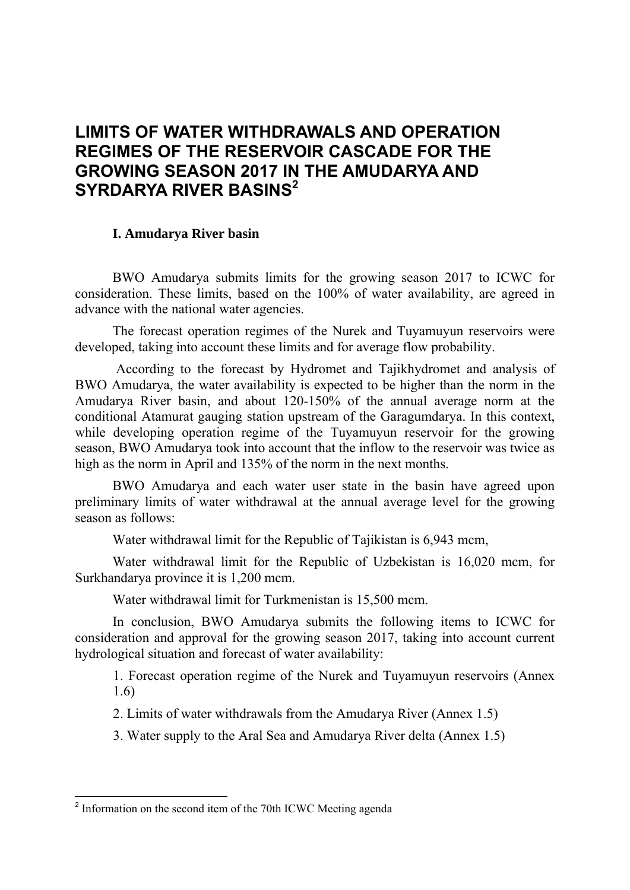# **LIMITS OF WATER WITHDRAWALS AND OPERATION REGIMES OF THE RESERVOIR CASCADE FOR THE GROWING SEASON 2017 IN THE AMUDARYA AND SYRDARYA RIVER BASINS2**

### **I. Amudarya River basin**

BWO Amudarya submits limits for the growing season 2017 to ICWC for consideration. These limits, based on the 100% of water availability, are agreed in advance with the national water agencies.

The forecast operation regimes of the Nurek and Tuyamuyun reservoirs were developed, taking into account these limits and for average flow probability.

 According to the forecast by Hydromet and Tajikhydromet and analysis of BWO Amudarya, the water availability is expected to be higher than the norm in the Amudarya River basin, and about 120-150% of the annual average norm at the conditional Atamurat gauging station upstream of the Garagumdarya. In this context, while developing operation regime of the Tuyamuyun reservoir for the growing season, BWO Amudarya took into account that the inflow to the reservoir was twice as high as the norm in April and 135% of the norm in the next months.

BWO Amudarya and each water user state in the basin have agreed upon preliminary limits of water withdrawal at the annual average level for the growing season as follows:

Water withdrawal limit for the Republic of Tajikistan is 6,943 mcm,

Water withdrawal limit for the Republic of Uzbekistan is 16,020 mcm, for Surkhandarya province it is 1,200 mcm.

Water withdrawal limit for Turkmenistan is 15,500 mcm.

In conclusion, BWO Amudarya submits the following items to ICWC for consideration and approval for the growing season 2017, taking into account current hydrological situation and forecast of water availability:

1. Forecast operation regime of the Nurek and Tuyamuyun reservoirs (Annex 1.6)

2. Limits of water withdrawals from the Amudarya River (Annex 1.5)

3. Water supply to the Aral Sea and Amudarya River delta (Annex 1.5)

-

<sup>&</sup>lt;sup>2</sup> Information on the second item of the 70th ICWC Meeting agenda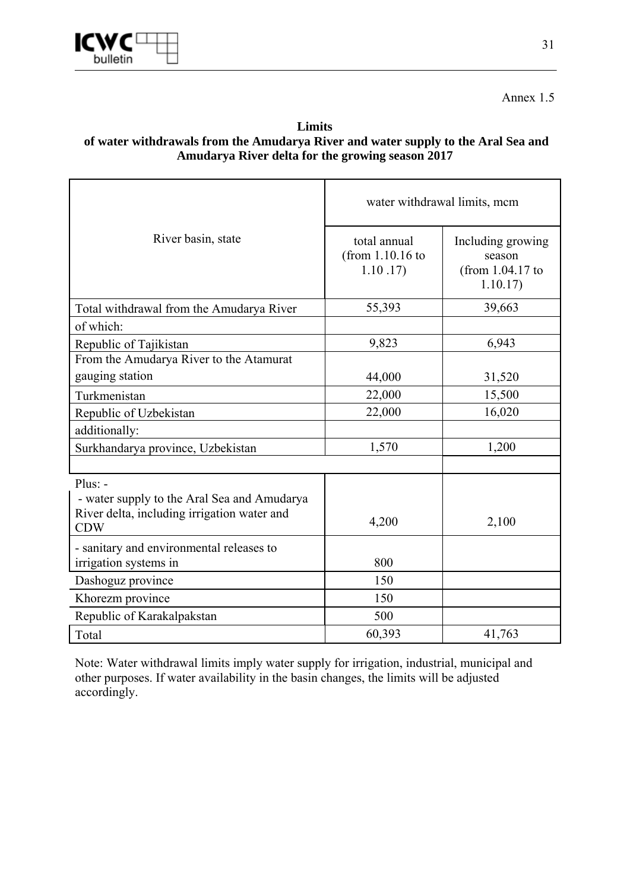

# Annex 1.5

### **Limits of water withdrawals from the Amudarya River and water supply to the Aral Sea and Amudarya River delta for the growing season 2017**

|                                                                                                                       | water withdrawal limits, mcm                  |                                                              |  |  |  |
|-----------------------------------------------------------------------------------------------------------------------|-----------------------------------------------|--------------------------------------------------------------|--|--|--|
| River basin, state                                                                                                    | total annual<br>(from $1.10.16$ to<br>1.10.17 | Including growing<br>season<br>(from $1.04.17$ to<br>1.10.17 |  |  |  |
| Total withdrawal from the Amudarya River                                                                              | 55,393                                        | 39,663                                                       |  |  |  |
| of which:                                                                                                             |                                               |                                                              |  |  |  |
| Republic of Tajikistan                                                                                                | 9,823                                         | 6,943                                                        |  |  |  |
| From the Amudarya River to the Atamurat                                                                               |                                               |                                                              |  |  |  |
| gauging station                                                                                                       | 44,000                                        | 31,520                                                       |  |  |  |
| Turkmenistan                                                                                                          | 22,000                                        | 15,500                                                       |  |  |  |
| Republic of Uzbekistan                                                                                                | 22,000                                        | 16,020                                                       |  |  |  |
| additionally:                                                                                                         |                                               |                                                              |  |  |  |
| Surkhandarya province, Uzbekistan                                                                                     | 1,570                                         | 1,200                                                        |  |  |  |
|                                                                                                                       |                                               |                                                              |  |  |  |
| $Plus: -$<br>- water supply to the Aral Sea and Amudarya<br>River delta, including irrigation water and<br><b>CDW</b> | 4,200                                         | 2,100                                                        |  |  |  |
| - sanitary and environmental releases to<br>irrigation systems in                                                     | 800                                           |                                                              |  |  |  |
| Dashoguz province                                                                                                     | 150                                           |                                                              |  |  |  |
| Khorezm province                                                                                                      | 150                                           |                                                              |  |  |  |
| Republic of Karakalpakstan                                                                                            | 500                                           |                                                              |  |  |  |
| Total                                                                                                                 | 60,393                                        | 41,763                                                       |  |  |  |

Note: Water withdrawal limits imply water supply for irrigation, industrial, municipal and other purposes. If water availability in the basin changes, the limits will be adjusted accordingly.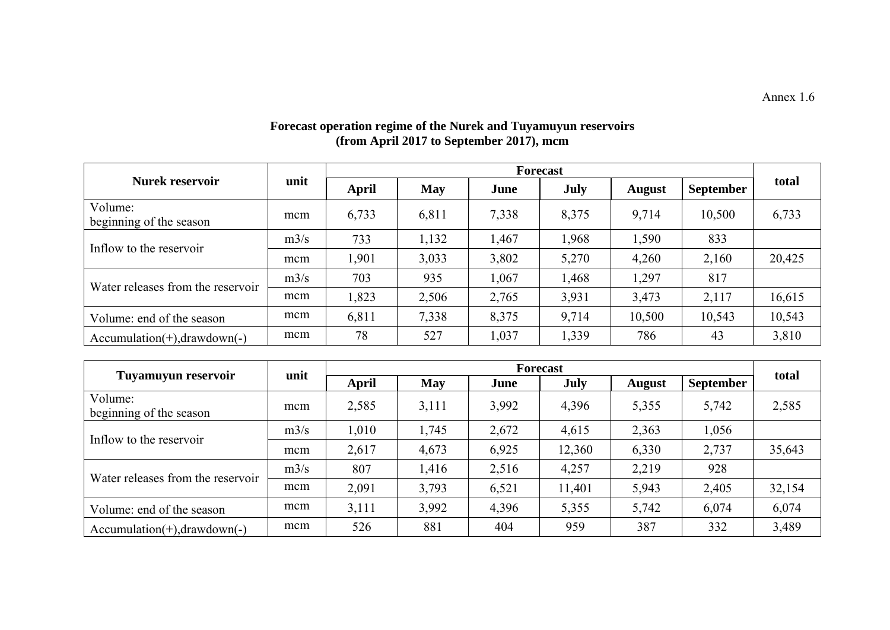#### **Forecast operation regime of the Nurek and Tuyamuyun reservoirs (from April 2017 to September 2017), mcm**

|                                    |      | Forecast     |            |       |       |               |                  |        |
|------------------------------------|------|--------------|------------|-------|-------|---------------|------------------|--------|
| <b>Nurek reservoir</b>             | unit | <b>April</b> | <b>May</b> | June  | July  | <b>August</b> | <b>September</b> | total  |
| Volume:<br>beginning of the season | mcm  | 6,733        | 6,811      | 7,338 | 8,375 | 9,714         | 10,500           | 6,733  |
| Inflow to the reservoir            | m3/s | 733          | 1,132      | 1,467 | 1,968 | 1,590         | 833              |        |
|                                    | mcm  | 1,901        | 3,033      | 3,802 | 5,270 | 4,260         | 2,160            | 20,425 |
|                                    | m3/s | 703          | 935        | 1,067 | A68.  | 1,297         | 817              |        |
| Water releases from the reservoir  | mcm  | 1,823        | 2,506      | 2,765 | 3,931 | 3,473         | 2,117            | 16,615 |
| Volume: end of the season          | mcm  | 6,811        | 7,338      | 8,375 | 9,714 | 10,500        | 10,543           | 10,543 |
| $Accumulation(+), drawdown(-)$     | mcm  | 78           | 527        | 1,037 | 1,339 | 786           | 43               | 3,810  |

| unit<br>Tuyamuyun reservoir        |      |       |            | total |        |               |                  |        |
|------------------------------------|------|-------|------------|-------|--------|---------------|------------------|--------|
|                                    |      | April | <b>May</b> | June  | July   | <b>August</b> | <b>September</b> |        |
| Volume:<br>beginning of the season | mcm  | 2,585 | 3,111      | 3,992 | 4,396  | 5,355         | 5,742            | 2,585  |
|                                    | m3/s | 1,010 | 1,745      | 2,672 | 4,615  | 2,363         | 1,056            |        |
| Inflow to the reservoir            | mcm  | 2,617 | 4,673      | 6,925 | 12,360 | 6,330         | 2,737            | 35,643 |
| Water releases from the reservoir  | m3/s | 807   | 1,416      | 2,516 | 4,257  | 2,219         | 928              |        |
|                                    | mcm  | 2,091 | 3,793      | 6,521 | 11,401 | 5,943         | 2,405            | 32,154 |
| Volume: end of the season          | mcm  | 3,111 | 3,992      | 4,396 | 5,355  | 5,742         | 6,074            | 6,074  |
| $Accumulation(+), drawdown(-)$     | mcm  | 526   | 881        | 404   | 959    | 387           | 332              | 3,489  |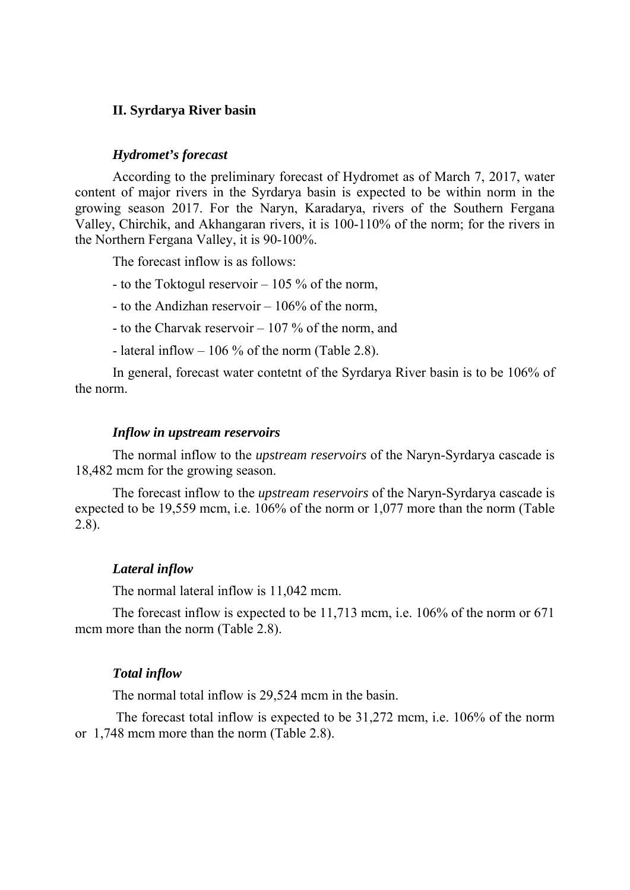### **II. Syrdarya River basin**

#### *Hydromet's forecast*

According to the preliminary forecast of Hydromet as of March 7, 2017, water content of major rivers in the Syrdarya basin is expected to be within norm in the growing season 2017. For the Naryn, Karadarya, rivers of the Southern Fergana Valley, Chirchik, and Akhangaran rivers, it is 100-110% of the norm; for the rivers in the Northern Fergana Valley, it is 90-100%.

The forecast inflow is as follows:

- to the Toktogul reservoir – 105 % of the norm,

- to the Andizhan reservoir 106% of the norm,
- to the Charvak reservoir 107 % of the norm, and
- lateral inflow  $-106\%$  of the norm (Table 2.8).

In general, forecast water contetnt of the Syrdarya River basin is to be 106% of the norm.

#### *Inflow in upstream reservoirs*

The normal inflow to the *upstream reservoirs* of the Naryn-Syrdarya cascade is 18,482 mcm for the growing season.

The forecast inflow to the *upstream reservoirs* of the Naryn-Syrdarya cascade is expected to be 19,559 mcm, i.e. 106% of the norm or 1,077 more than the norm (Table 2.8).

### *Lateral inflow*

The normal lateral inflow is 11,042 mcm.

The forecast inflow is expected to be 11,713 mcm, i.e. 106% of the norm or 671 mcm more than the norm (Table 2.8).

#### *Total inflow*

The normal total inflow is 29,524 mcm in the basin.

 The forecast total inflow is expected to be 31,272 mcm, i.e. 106% of the norm or 1,748 mcm more than the norm (Table 2.8).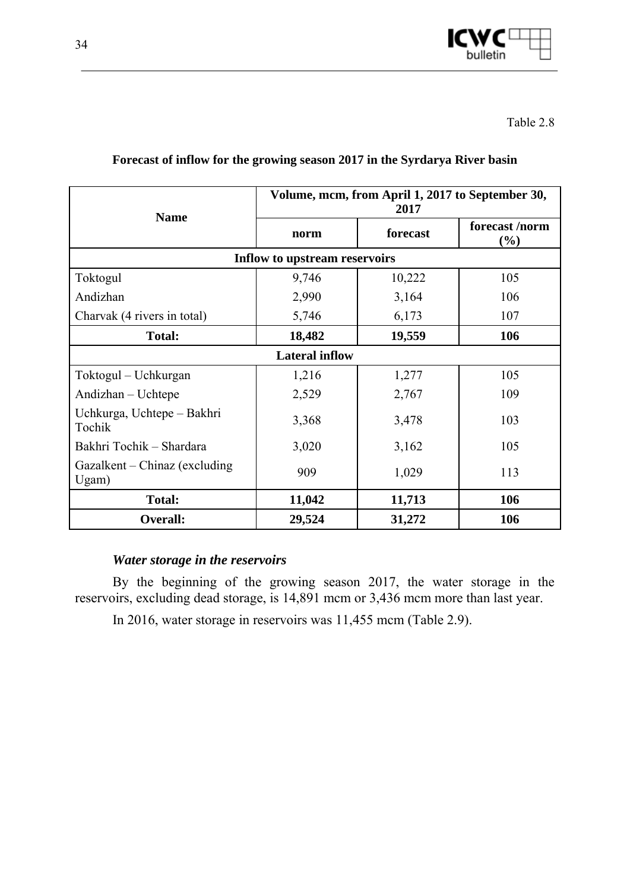

|                                        |                               | 2017     | Volume, mcm, from April 1, 2017 to September 30, |
|----------------------------------------|-------------------------------|----------|--------------------------------------------------|
| <b>Name</b>                            | norm                          | forecast | forecast/norm<br>$(\%)$                          |
|                                        | Inflow to upstream reservoirs |          |                                                  |
| Toktogul                               | 9,746                         | 10,222   | 105                                              |
| Andizhan                               | 2,990                         | 3,164    | 106                                              |
| Charvak (4 rivers in total)            | 5,746                         | 6,173    | 107                                              |
| <b>Total:</b>                          | 18,482                        | 19,559   | 106                                              |
|                                        | <b>Lateral inflow</b>         |          |                                                  |
| Toktogul – Uchkurgan                   | 1,216                         | 1,277    | 105                                              |
| Andizhan - Uchtepe                     | 2,529                         | 2,767    | 109                                              |
| Uchkurga, Uchtepe – Bakhri<br>Tochik   | 3,368                         | 3,478    | 103                                              |
| Bakhri Tochik - Shardara               | 3,020                         | 3,162    | 105                                              |
| Gazalkent – Chinaz (excluding<br>Ugam) | 909                           | 1,029    | 113                                              |
| <b>Total:</b>                          | 11,042                        | 11,713   | 106                                              |
| <b>Overall:</b>                        | 29,524                        | 31,272   | 106                                              |

# **Forecast of inflow for the growing season 2017 in the Syrdarya River basin**

# *Water storage in the reservoirs*

By the beginning of the growing season 2017, the water storage in the reservoirs, excluding dead storage, is 14,891 mcm or 3,436 mcm more than last year.

In 2016, water storage in reservoirs was 11,455 mcm (Table 2.9).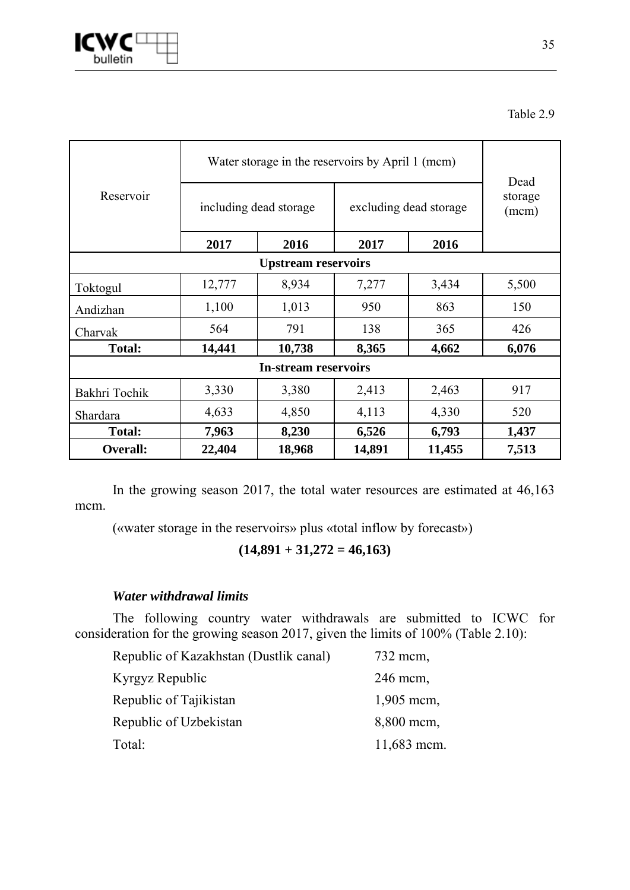

|                            | Water storage in the reservoirs by April 1 (mcm) | Dead                                             |       |       |                  |  |  |  |
|----------------------------|--------------------------------------------------|--------------------------------------------------|-------|-------|------------------|--|--|--|
| Reservoir                  |                                                  | including dead storage<br>excluding dead storage |       |       | storage<br>(mcm) |  |  |  |
|                            | 2017                                             | 2016                                             | 2017  | 2016  |                  |  |  |  |
| <b>Upstream reservoirs</b> |                                                  |                                                  |       |       |                  |  |  |  |
| Toktogul                   | 12,777                                           | 8,934                                            | 7,277 | 3,434 | 5,500            |  |  |  |
| Andizhan                   | 1,100                                            | 1,013                                            | 950   | 863   | 150              |  |  |  |
| Charvak                    | 564                                              | 791                                              | 138   | 365   | 426              |  |  |  |
| <b>Total:</b>              | 14,441                                           | 10,738                                           | 8,365 | 4,662 | 6,076            |  |  |  |
|                            |                                                  | <b>In-stream reservoirs</b>                      |       |       |                  |  |  |  |
| Bakhri Tochik              | 3,330                                            | 3,380                                            | 2,413 | 2,463 | 917              |  |  |  |
| Shardara                   | 4,633                                            | 4,850                                            | 4,113 | 4,330 | 520              |  |  |  |
| <b>Total:</b>              | 7,963                                            | 8,230                                            | 6,526 | 6,793 | 1,437            |  |  |  |
| Overall:                   | 22,404                                           | 14,891<br>18,968<br>11,455                       |       |       |                  |  |  |  |

In the growing season 2017, the total water resources are estimated at 46,163 mcm.

(«water storage in the reservoirs» plus «total inflow by forecast»)

$$
(14,891 + 31,272 = 46,163)
$$

# *Water withdrawal limits*

The following country water withdrawals are submitted to ICWC for consideration for the growing season 2017, given the limits of 100% (Table 2.10):

| Republic of Kazakhstan (Dustlik canal) | 732 mcm,     |
|----------------------------------------|--------------|
| Kyrgyz Republic                        | 246 mcm,     |
| Republic of Tajikistan                 | $1,905$ mcm, |
| Republic of Uzbekistan                 | 8,800 mcm,   |
| Total:                                 | 11,683 mcm.  |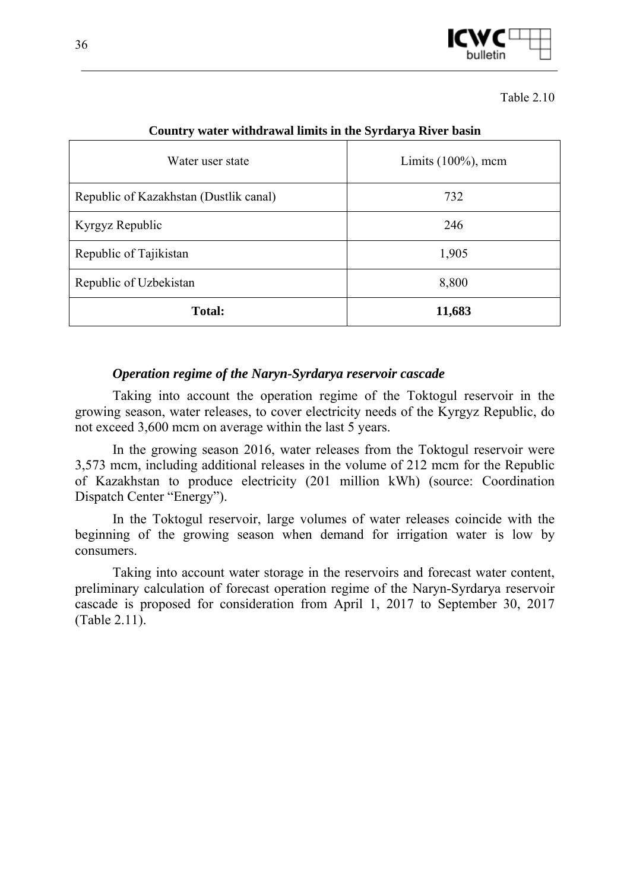

Table 2.10

| $\overline{\phantom{a}}$               | $\overline{\phantom{a}}$<br>$\overline{\phantom{a}}$ |
|----------------------------------------|------------------------------------------------------|
| Water user state                       | Limits $(100\%)$ , mcm                               |
| Republic of Kazakhstan (Dustlik canal) | 732                                                  |
| Kyrgyz Republic                        | 246                                                  |
| Republic of Tajikistan                 | 1,905                                                |
| Republic of Uzbekistan                 | 8,800                                                |
| Total:                                 | 11,683                                               |

### **Country water withdrawal limits in the Syrdarya River basin**

### *Operation regime of the Naryn-Syrdarya reservoir cascade*

Taking into account the operation regime of the Toktogul reservoir in the growing season, water releases, to cover electricity needs of the Kyrgyz Republic, do not exceed 3,600 mcm on average within the last 5 years.

In the growing season 2016, water releases from the Toktogul reservoir were 3,573 mcm, including additional releases in the volume of 212 mcm for the Republic of Kazakhstan to produce electricity (201 million kWh) (source: Coordination Dispatch Center "Energy").

In the Toktogul reservoir, large volumes of water releases coincide with the beginning of the growing season when demand for irrigation water is low by consumers.

Taking into account water storage in the reservoirs and forecast water content, preliminary calculation of forecast operation regime of the Naryn-Syrdarya reservoir cascade is proposed for consideration from April 1, 2017 to September 30, 2017 (Table 2.11).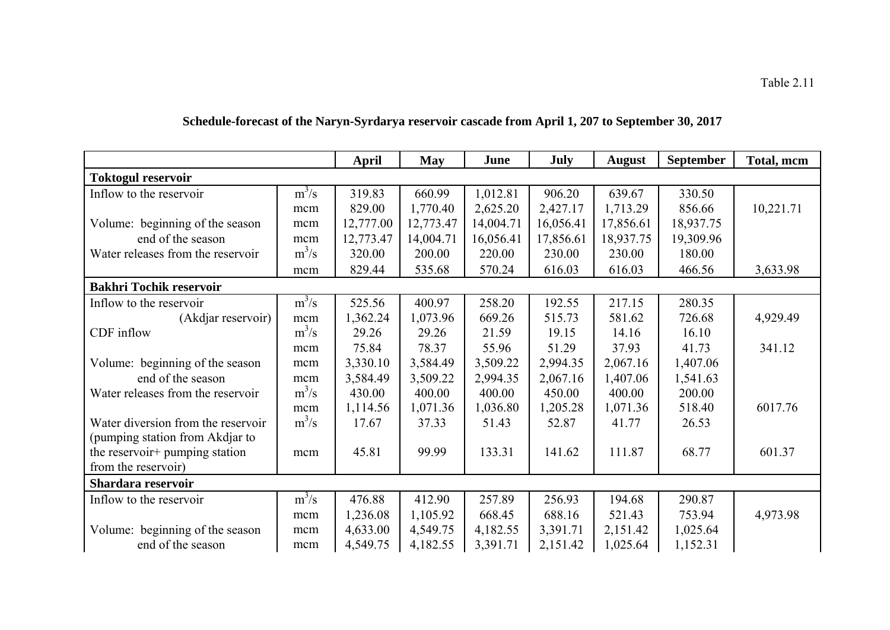|                                    |         | April     | <b>May</b> | June      | July      | <b>August</b> | <b>September</b> | Total, mcm |
|------------------------------------|---------|-----------|------------|-----------|-----------|---------------|------------------|------------|
| <b>Toktogul reservoir</b>          |         |           |            |           |           |               |                  |            |
| Inflow to the reservoir            | $m^3/s$ | 319.83    | 660.99     | 1,012.81  | 906.20    | 639.67        | 330.50           |            |
|                                    | mcm     | 829.00    | 1,770.40   | 2,625.20  | 2,427.17  | 1,713.29      | 856.66           | 10,221.71  |
| Volume: beginning of the season    | mcm     | 12,777.00 | 12,773.47  | 14,004.71 | 16,056.41 | 17,856.61     | 18,937.75        |            |
| end of the season                  | mcm     | 12,773.47 | 14,004.71  | 16,056.41 | 17,856.61 | 18,937.75     | 19,309.96        |            |
| Water releases from the reservoir  | $m^3/s$ | 320.00    | 200.00     | 220.00    | 230.00    | 230.00        | 180.00           |            |
|                                    | mcm     | 829.44    | 535.68     | 570.24    | 616.03    | 616.03        | 466.56           | 3,633.98   |
| <b>Bakhri Tochik reservoir</b>     |         |           |            |           |           |               |                  |            |
| Inflow to the reservoir            | $m^3/s$ | 525.56    | 400.97     | 258.20    | 192.55    | 217.15        | 280.35           |            |
| (Akdjar reservoir)                 | mcm     | 1,362.24  | 1,073.96   | 669.26    | 515.73    | 581.62        | 726.68           | 4,929.49   |
| CDF inflow                         | $m^3/s$ | 29.26     | 29.26      | 21.59     | 19.15     | 14.16         | 16.10            |            |
|                                    | mcm     | 75.84     | 78.37      | 55.96     | 51.29     | 37.93         | 41.73            | 341.12     |
| Volume: beginning of the season    | mcm     | 3,330.10  | 3,584.49   | 3,509.22  | 2,994.35  | 2,067.16      | 1,407.06         |            |
| end of the season                  | mcm     | 3,584.49  | 3,509.22   | 2,994.35  | 2,067.16  | 1,407.06      | 1,541.63         |            |
| Water releases from the reservoir  | $m^3/s$ | 430.00    | 400.00     | 400.00    | 450.00    | 400.00        | 200.00           |            |
|                                    | mcm     | 1,114.56  | 1,071.36   | 1,036.80  | 1,205.28  | 1,071.36      | 518.40           | 6017.76    |
| Water diversion from the reservoir | $m^3/s$ | 17.67     | 37.33      | 51.43     | 52.87     | 41.77         | 26.53            |            |
| (pumping station from Akdjar to    |         |           |            |           |           |               |                  |            |
| the reservoir+ pumping station     | mcm     | 45.81     | 99.99      | 133.31    | 141.62    | 111.87        | 68.77            | 601.37     |
| from the reservoir)                |         |           |            |           |           |               |                  |            |
| Shardara reservoir                 |         |           |            |           |           |               |                  |            |
| Inflow to the reservoir            | $m^3/s$ | 476.88    | 412.90     | 257.89    | 256.93    | 194.68        | 290.87           |            |
|                                    | mcm     | 1,236.08  | 1,105.92   | 668.45    | 688.16    | 521.43        | 753.94           | 4,973.98   |
| Volume: beginning of the season    | mcm     | 4,633.00  | 4,549.75   | 4,182.55  | 3,391.71  | 2,151.42      | 1,025.64         |            |
| end of the season                  | mcm     | 4,549.75  | 4,182.55   | 3,391.71  | 2,151.42  | 1,025.64      | 1,152.31         |            |

# **Schedule-forecast of the Naryn-Syrdarya reservoir cascade from April 1, 207 to September 30, 2017**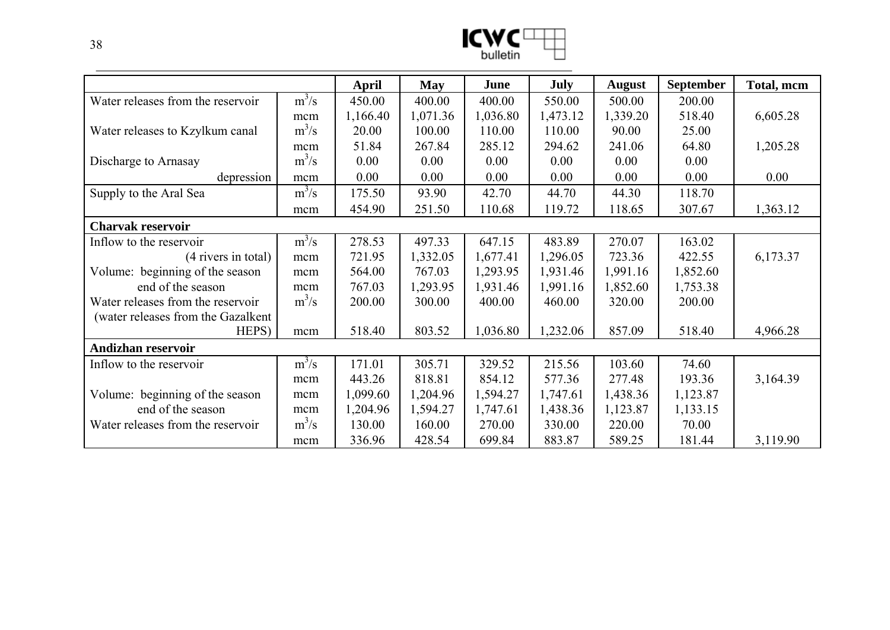| I<br>M   |  |
|----------|--|
| bulletin |  |

|                                    |         | April    | <b>May</b> | June     | July     | <b>August</b> | <b>September</b> | Total, mcm |
|------------------------------------|---------|----------|------------|----------|----------|---------------|------------------|------------|
| Water releases from the reservoir  | $m^3/s$ | 450.00   | 400.00     | 400.00   | 550.00   | 500.00        | 200.00           |            |
|                                    | mcm     | 1,166.40 | 1,071.36   | 1,036.80 | 1,473.12 | 1,339.20      | 518.40           | 6,605.28   |
| Water releases to Kzylkum canal    | $m^3/s$ | 20.00    | 100.00     | 110.00   | 110.00   | 90.00         | 25.00            |            |
|                                    | mcm     | 51.84    | 267.84     | 285.12   | 294.62   | 241.06        | 64.80            | 1,205.28   |
| Discharge to Arnasay               | $m^3/s$ | 0.00     | 0.00       | 0.00     | 0.00     | 0.00          | 0.00             |            |
| depression                         | mcm     | 0.00     | 0.00       | 0.00     | 0.00     | 0.00          | 0.00             | 0.00       |
| Supply to the Aral Sea             | $m^3/s$ | 175.50   | 93.90      | 42.70    | 44.70    | 44.30         | 118.70           |            |
|                                    | mcm     | 454.90   | 251.50     | 110.68   | 119.72   | 118.65        | 307.67           | 1,363.12   |
| <b>Charvak reservoir</b>           |         |          |            |          |          |               |                  |            |
| Inflow to the reservoir            | $m^3/s$ | 278.53   | 497.33     | 647.15   | 483.89   | 270.07        | 163.02           |            |
| $(4$ rivers in total)              | mcm     | 721.95   | 1,332.05   | 1,677.41 | 1,296.05 | 723.36        | 422.55           | 6,173.37   |
| Volume: beginning of the season    | mcm     | 564.00   | 767.03     | 1,293.95 | 1,931.46 | 1,991.16      | 1,852.60         |            |
| end of the season                  | mcm     | 767.03   | 1,293.95   | 1,931.46 | 1,991.16 | 1,852.60      | 1,753.38         |            |
| Water releases from the reservoir  | $m^3/s$ | 200.00   | 300.00     | 400.00   | 460.00   | 320.00        | 200.00           |            |
| (water releases from the Gazalkent |         |          |            |          |          |               |                  |            |
| HEPS)                              | mcm     | 518.40   | 803.52     | 1,036.80 | 1,232.06 | 857.09        | 518.40           | 4,966.28   |
| Andizhan reservoir                 |         |          |            |          |          |               |                  |            |
| Inflow to the reservoir            | $m^3/s$ | 171.01   | 305.71     | 329.52   | 215.56   | 103.60        | 74.60            |            |
|                                    | mcm     | 443.26   | 818.81     | 854.12   | 577.36   | 277.48        | 193.36           | 3,164.39   |
| Volume: beginning of the season    | mcm     | 1,099.60 | 1,204.96   | 1,594.27 | 1,747.61 | 1,438.36      | 1,123.87         |            |
| end of the season                  | mcm     | 1,204.96 | 1,594.27   | 1,747.61 | 1,438.36 | 1,123.87      | 1,133.15         |            |
| Water releases from the reservoir  | $m^3/s$ | 130.00   | 160.00     | 270.00   | 330.00   | 220.00        | 70.00            |            |
|                                    | mcm     | 336.96   | 428.54     | 699.84   | 883.87   | 589.25        | 181.44           | 3,119.90   |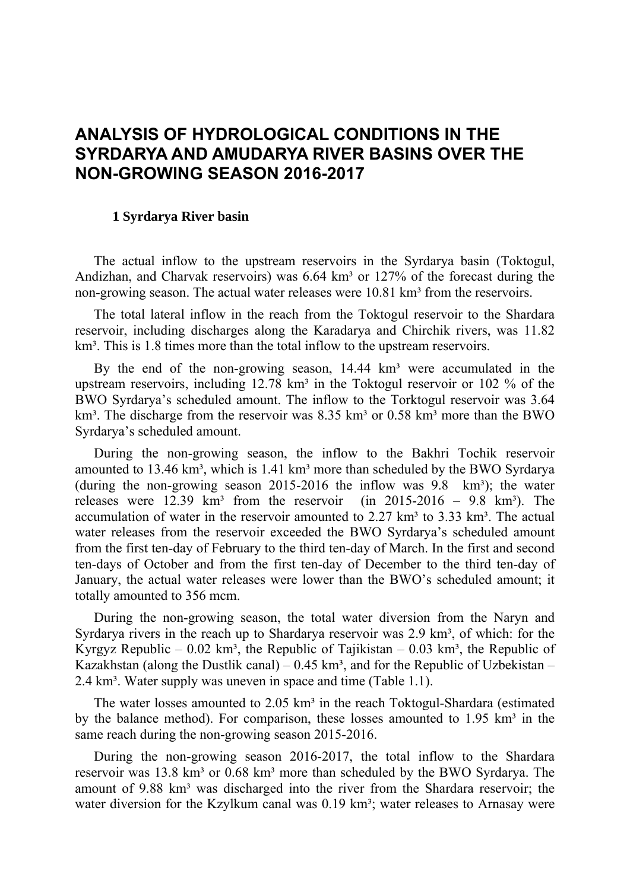# **ANALYSIS OF HYDROLOGICAL CONDITIONS IN THE SYRDARYA AND AMUDARYA RIVER BASINS OVER THE NON-GROWING SEASON 2016-2017**

#### **1 Syrdarya River basin**

The actual inflow to the upstream reservoirs in the Syrdarya basin (Toktogul, Andizhan, and Charvak reservoirs) was  $6.64 \text{ km}^3$  or  $127\%$  of the forecast during the non-growing season. The actual water releases were 10.81 km<sup>3</sup> from the reservoirs.

The total lateral inflow in the reach from the Toktogul reservoir to the Shardara reservoir, including discharges along the Karadarya and Chirchik rivers, was 11.82 km<sup>3</sup>. This is 1.8 times more than the total inflow to the upstream reservoirs.

By the end of the non-growing season,  $14.44 \text{ km}^3$  were accumulated in the upstream reservoirs, including  $12.78 \text{ km}^3$  in the Toktogul reservoir or  $102 \%$  of the BWO Syrdarya's scheduled amount. The inflow to the Torktogul reservoir was 3.64  $km<sup>3</sup>$ . The discharge from the reservoir was 8.35 km<sup>3</sup> or 0.58 km<sup>3</sup> more than the BWO Syrdarya's scheduled amount.

During the non-growing season, the inflow to the Bakhri Tochik reservoir amounted to  $13.46 \text{ km}^3$ , which is  $1.41 \text{ km}^3$  more than scheduled by the BWO Syrdarya (during the non-growing season 2015-2016 the inflow was  $9.8 \text{ km}^3$ ); the water releases were  $12.39 \text{ km}^3$  from the reservoir (in 2015-2016 – 9.8 km<sup>3</sup>). The accumulation of water in the reservoir amounted to  $2.27 \text{ km}^3$  to  $3.33 \text{ km}^3$ . The actual water releases from the reservoir exceeded the BWO Syrdarya's scheduled amount from the first ten-day of February to the third ten-day of March. In the first and second ten-days of October and from the first ten-day of December to the third ten-day of January, the actual water releases were lower than the BWO's scheduled amount; it totally amounted to 356 mcm.

During the non-growing season, the total water diversion from the Naryn and Syrdarya rivers in the reach up to Shardarya reservoir was  $2.9 \text{ km}^3$ , of which: for the Kyrgyz Republic – 0.02 km<sup>3</sup>, the Republic of Tajikistan – 0.03 km<sup>3</sup>, the Republic of Kazakhstan (along the Dustlik canal) –  $0.45 \text{ km}^3$ , and for the Republic of Uzbekistan – 2.4 km<sup>3</sup>. Water supply was uneven in space and time (Table 1.1).

The water losses amounted to 2.05 km<sup>3</sup> in the reach Toktogul-Shardara (estimated by the balance method). For comparison, these losses amounted to  $1.95 \text{ km}^3$  in the same reach during the non-growing season 2015-2016.

During the non-growing season 2016-2017, the total inflow to the Shardara reservoir was 13.8 km<sup>3</sup> or 0.68 km<sup>3</sup> more than scheduled by the BWO Syrdarya. The amount of 9.88 km<sup>3</sup> was discharged into the river from the Shardara reservoir; the water diversion for the Kzylkum canal was 0.19 km<sup>3</sup>; water releases to Arnasay were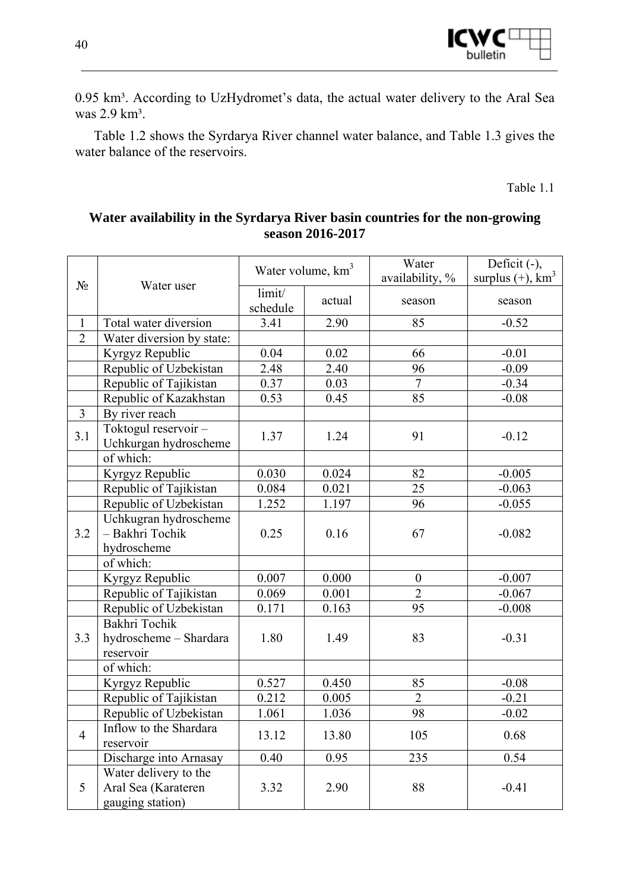

0.95 km<sup>3</sup>. According to UzHydromet's data, the actual water delivery to the Aral Sea was 2.9 km<sup>3</sup>.

Table 1.2 shows the Syrdarya River channel water balance, and Table 1.3 gives the water balance of the reservoirs.

Table 1.1

# **Water availability in the Syrdarya River basin countries for the non-growing season 2016-2017**

|                |                                                                  | Water volume, km <sup>3</sup> |        | Water<br>availability, % | Deficit $(-)$ ,<br>surplus $(+)$ , $km^3$ |
|----------------|------------------------------------------------------------------|-------------------------------|--------|--------------------------|-------------------------------------------|
| $N_2$          | Water user                                                       | limit/<br>schedule            | actual | season                   | season                                    |
| $\mathbf{1}$   | Total water diversion                                            | 3.41                          | 2.90   | 85                       | $-0.52$                                   |
| $\overline{2}$ | Water diversion by state:                                        |                               |        |                          |                                           |
|                | Kyrgyz Republic                                                  | 0.04                          | 0.02   | 66                       | $-0.01$                                   |
|                | Republic of Uzbekistan                                           | 2.48                          | 2.40   | 96                       | $-0.09$                                   |
|                | Republic of Tajikistan                                           | 0.37                          | 0.03   | $\overline{7}$           | $-0.34$                                   |
|                | Republic of Kazakhstan                                           | 0.53                          | 0.45   | 85                       | $-0.08$                                   |
| $\overline{3}$ | By river reach                                                   |                               |        |                          |                                           |
| 3.1            | Toktogul reservoir-<br>Uchkurgan hydroscheme                     | 1.37                          | 1.24   | 91                       | $-0.12$                                   |
|                | of which:                                                        |                               |        |                          |                                           |
|                | Kyrgyz Republic                                                  | 0.030                         | 0.024  | 82                       | $-0.005$                                  |
|                | Republic of Tajikistan                                           | 0.084                         | 0.021  | 25                       | $-0.063$                                  |
|                | Republic of Uzbekistan                                           | 1.252                         | 1.197  | 96                       | $-0.055$                                  |
| 3.2            | Uchkugran hydroscheme<br>- Bakhri Tochik<br>hydroscheme          | 0.25                          | 0.16   | 67                       | $-0.082$                                  |
|                | of which:                                                        |                               |        |                          |                                           |
|                | Kyrgyz Republic                                                  | 0.007                         | 0.000  | $\boldsymbol{0}$         | $-0.007$                                  |
|                | Republic of Tajikistan                                           | 0.069                         | 0.001  | $\overline{2}$           | $-0.067$                                  |
|                | Republic of Uzbekistan                                           | 0.171                         | 0.163  | 95                       | $-0.008$                                  |
| 3.3            | Bakhri Tochik<br>hydroscheme - Shardara<br>reservoir             | 1.80                          | 1.49   | 83                       | $-0.31$                                   |
|                | of which:                                                        |                               |        |                          |                                           |
|                | Kyrgyz Republic                                                  | 0.527                         | 0.450  | 85                       | $-0.08$                                   |
|                | Republic of Tajikistan                                           | 0.212                         | 0.005  | $\overline{2}$           | $-0.21$                                   |
|                | Republic of Uzbekistan                                           | 1.061                         | 1.036  | 98                       | $-0.02$                                   |
| $\overline{4}$ | Inflow to the Shardara<br>reservoir                              | 13.12                         | 13.80  | 105                      | 0.68                                      |
|                | Discharge into Arnasay                                           | 0.40                          | 0.95   | 235                      | 0.54                                      |
| 5              | Water delivery to the<br>Aral Sea (Karateren<br>gauging station) | 3.32                          | 2.90   | 88                       | $-0.41$                                   |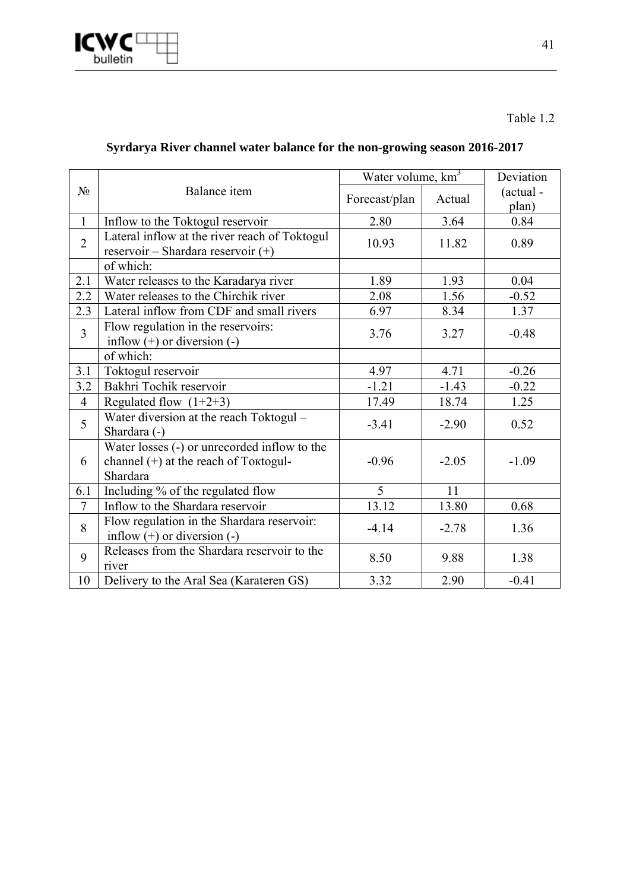

# Table 1.2

# **Syrdarya River channel water balance for the non-growing season 2016-2017**

|                |                                                                                                     | Water volume, $km^3$ | Deviation |                    |
|----------------|-----------------------------------------------------------------------------------------------------|----------------------|-----------|--------------------|
| $N_2$          | Balance item                                                                                        | Forecast/plan        | Actual    | (actual -<br>plan) |
| $\mathbf{1}$   | Inflow to the Toktogul reservoir                                                                    | 2.80                 | 3.64      | 0.84               |
| $\overline{2}$ | Lateral inflow at the river reach of Toktogul<br>reservoir – Shardara reservoir $(+)$               | 10.93                | 11.82     | 0.89               |
|                | of which:                                                                                           |                      |           |                    |
| 2.1            | Water releases to the Karadarya river                                                               | 1.89                 | 1.93      | 0.04               |
| 2.2            | Water releases to the Chirchik river                                                                | 2.08                 | 1.56      | $-0.52$            |
| 2.3            | Lateral inflow from CDF and small rivers                                                            | 6.97                 | 8.34      | 1.37               |
| $\overline{3}$ | Flow regulation in the reservoirs:<br>inflow $(+)$ or diversion $(-)$                               | 3.76                 | 3.27      | $-0.48$            |
|                | of which:                                                                                           |                      |           |                    |
| 3.1            | Toktogul reservoir                                                                                  | 4.97                 | 4.71      | $-0.26$            |
| 3.2            | Bakhri Tochik reservoir                                                                             | $-1.21$              | $-1.43$   | $-0.22$            |
| $\overline{4}$ | Regulated flow $(1+2+3)$                                                                            | 17.49                | 18.74     | 1.25               |
| 5              | Water diversion at the reach Toktogul -<br>Shardara (-)                                             | $-3.41$              | $-2.90$   | 0.52               |
| 6              | Water losses (-) or unrecorded inflow to the<br>channel $(+)$ at the reach of Toktogul-<br>Shardara | $-0.96$              | $-2.05$   | $-1.09$            |
| 6.1            | Including % of the regulated flow                                                                   | 5                    | 11        |                    |
| $\overline{7}$ | Inflow to the Shardara reservoir                                                                    | 13.12                | 13.80     | 0.68               |
| 8              | Flow regulation in the Shardara reservoir:<br>inflow $(+)$ or diversion $(-)$                       | $-4.14$              | $-2.78$   | 1.36               |
| 9              | Releases from the Shardara reservoir to the<br>river                                                | 8.50                 | 9.88      | 1.38               |
| 10             | Delivery to the Aral Sea (Karateren GS)                                                             | 3.32                 | 2.90      | $-0.41$            |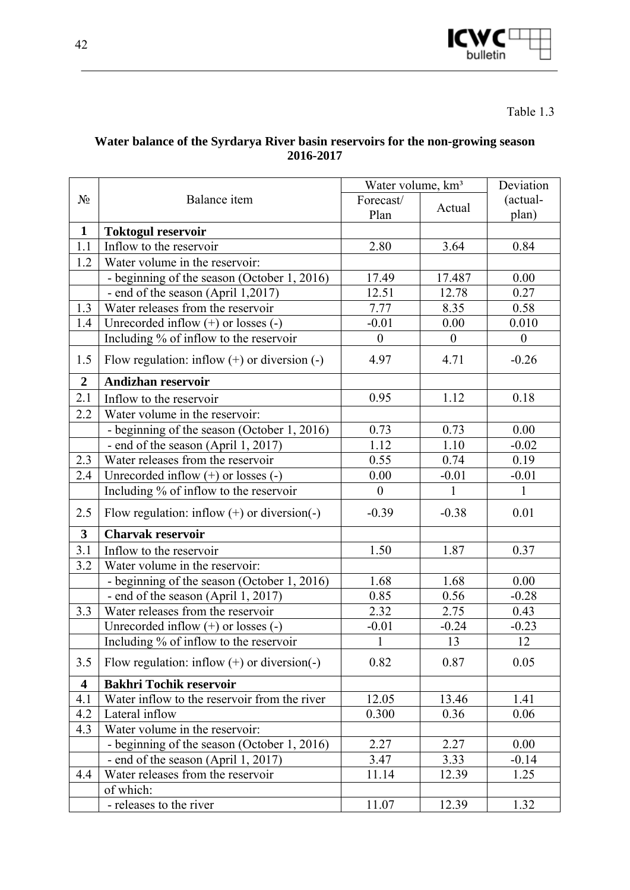

Table 1.3

### **Water balance of the Syrdarya River basin reservoirs for the non-growing season 2016-2017**

|                         |                                                  | Water volume, km <sup>3</sup> |                  | Deviation        |
|-------------------------|--------------------------------------------------|-------------------------------|------------------|------------------|
| $N_2$                   | Balance item                                     | Forecast/                     | Actual           | (actual-         |
|                         |                                                  | Plan                          |                  | plan)            |
| $\mathbf{1}$            | Toktogul reservoir                               |                               |                  |                  |
| 1.1                     | Inflow to the reservoir                          | 2.80                          | 3.64             | 0.84             |
| 1.2                     | Water volume in the reservoir:                   |                               |                  |                  |
|                         | - beginning of the season (October 1, 2016)      | 17.49                         | 17.487           | 0.00             |
|                         | - end of the season (April 1,2017)               | 12.51                         | 12.78            | 0.27             |
| 1.3                     | Water releases from the reservoir                | 7.77                          | 8.35             | 0.58             |
| 1.4                     | Unrecorded inflow $(+)$ or losses $(-)$          | $-0.01$                       | 0.00             | 0.010            |
|                         | Including % of inflow to the reservoir           | $\boldsymbol{0}$              | $\boldsymbol{0}$ | $\boldsymbol{0}$ |
| 1.5                     | Flow regulation: inflow $(+)$ or diversion $(-)$ | 4.97                          | 4.71             | $-0.26$          |
| $\overline{2}$          | Andizhan reservoir                               |                               |                  |                  |
| 2.1                     | Inflow to the reservoir                          | 0.95                          | 1.12             | 0.18             |
| 2.2                     | Water volume in the reservoir:                   |                               |                  |                  |
|                         | - beginning of the season (October 1, 2016)      | 0.73                          | 0.73             | 0.00             |
|                         | - end of the season (April 1, 2017)              | 1.12                          | 1.10             | $-0.02$          |
| 2.3                     | Water releases from the reservoir                | 0.55                          | 0.74             | 0.19             |
| 2.4                     | Unrecorded inflow $(+)$ or losses $(-)$          | 0.00                          | $-0.01$          | $-0.01$          |
|                         | Including % of inflow to the reservoir           | $\boldsymbol{0}$              | $\mathbf{1}$     | $\mathbf{1}$     |
| 2.5                     | Flow regulation: inflow $(+)$ or diversion $(-)$ | $-0.39$                       | $-0.38$          | 0.01             |
| $\overline{\mathbf{3}}$ | <b>Charvak reservoir</b>                         |                               |                  |                  |
| 3.1                     | Inflow to the reservoir                          | 1.50                          | 1.87             | 0.37             |
| 3.2                     | Water volume in the reservoir:                   |                               |                  |                  |
|                         | - beginning of the season (October 1, 2016)      | 1.68                          | 1.68             | 0.00             |
|                         | - end of the season (April 1, 2017)              | 0.85                          | 0.56             | $-0.28$          |
| 3.3                     | Water releases from the reservoir                | 2.32                          | 2.75             | 0.43             |
|                         | Unrecorded inflow $(+)$ or losses $(-)$          | $-0.01$                       | $-0.24$          | $-0.23$          |
|                         | Including % of inflow to the reservoir           | $\mathbf{1}$                  | 13               | 12               |
| 3.5                     | Flow regulation: inflow $(+)$ or diversion $(-)$ | 0.82                          | 0.87             | 0.05             |
| $\overline{\mathbf{4}}$ | <b>Bakhri Tochik reservoir</b>                   |                               |                  |                  |
| 4.1                     | Water inflow to the reservoir from the river     | 12.05                         | 13.46            | 1.41             |
| 4.2                     | Lateral inflow                                   | 0.300                         | 0.36             | 0.06             |
| 4.3                     | Water volume in the reservoir:                   |                               |                  |                  |
|                         | - beginning of the season (October 1, 2016)      | 2.27                          | 2.27             | 0.00             |
|                         | - end of the season (April 1, 2017)              | 3.47                          | 3.33             | $-0.14$          |
| 4.4                     | Water releases from the reservoir                | 11.14                         | 12.39            | 1.25             |
|                         | of which:                                        |                               |                  |                  |
|                         | - releases to the river                          | 11.07                         | 12.39            | 1.32             |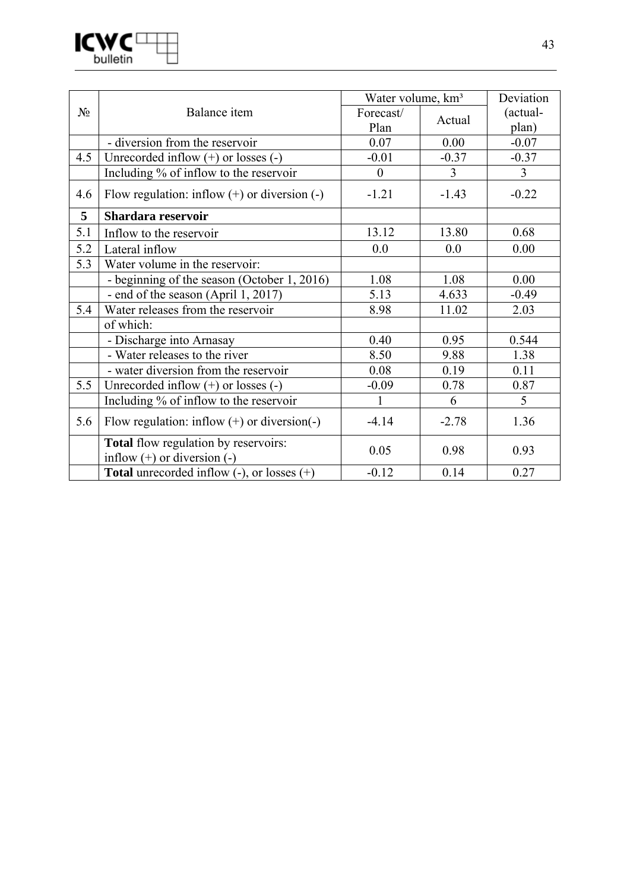

|       |                                                                                | Water volume, km <sup>3</sup> |         | Deviation      |
|-------|--------------------------------------------------------------------------------|-------------------------------|---------|----------------|
| $N_2$ | Balance item                                                                   | Forecast/                     | Actual  | (actual-       |
|       |                                                                                | Plan                          |         | plan)          |
|       | - diversion from the reservoir                                                 | 0.07                          | 0.00    | $-0.07$        |
| 4.5   | Unrecorded inflow $(+)$ or losses $(-)$                                        | $-0.01$                       | $-0.37$ | $-0.37$        |
|       | Including % of inflow to the reservoir                                         | $\theta$                      | 3       | $\overline{3}$ |
| 4.6   | Flow regulation: inflow $(+)$ or diversion $(-)$                               | $-1.21$                       | $-1.43$ | $-0.22$        |
| 5     | Shardara reservoir                                                             |                               |         |                |
| 5.1   | Inflow to the reservoir                                                        | 13.12                         | 13.80   | 0.68           |
| 5.2   | Lateral inflow                                                                 | 0.0                           | 0.0     | 0.00           |
| 5.3   | Water volume in the reservoir:                                                 |                               |         |                |
|       | - beginning of the season (October 1, 2016)                                    | 1.08                          | 1.08    | 0.00           |
|       | - end of the season (April 1, 2017)                                            | 5.13                          | 4.633   | $-0.49$        |
| 5.4   | Water releases from the reservoir                                              | 8.98                          | 11.02   | 2.03           |
|       | of which:                                                                      |                               |         |                |
|       | - Discharge into Arnasay                                                       | 0.40                          | 0.95    | 0.544          |
|       | - Water releases to the river                                                  | 8.50                          | 9.88    | 1.38           |
|       | - water diversion from the reservoir                                           | 0.08                          | 0.19    | 0.11           |
| 5.5   | Unrecorded inflow $(+)$ or losses $(-)$                                        | $-0.09$                       | 0.78    | 0.87           |
|       | Including % of inflow to the reservoir                                         | 1                             | 6       | 5              |
| 5.6   | Flow regulation: inflow $(+)$ or diversion(-)                                  | $-4.14$                       | $-2.78$ | 1.36           |
|       | <b>Total</b> flow regulation by reservoirs:<br>inflow $(+)$ or diversion $(-)$ | 0.05                          | 0.98    | 0.93           |
|       | <b>Total</b> unrecorded inflow $(-)$ , or losses $(+)$                         | $-0.12$                       | 0.14    | 0.27           |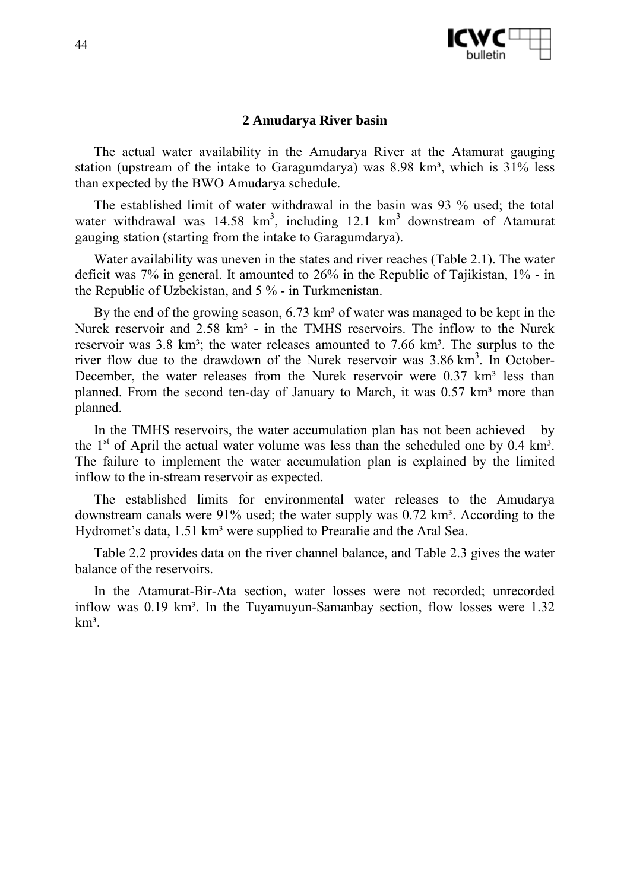

#### **2 Amudarya River basin**

The actual water availability in the Amudarya River at the Atamurat gauging station (upstream of the intake to Garagumdarya) was  $8.98 \text{ km}^3$ , which is  $31\%$  less than expected by the BWO Amudarya schedule.

The established limit of water withdrawal in the basin was 93 % used; the total water withdrawal was  $14.58 \text{ km}^3$ , including  $12.1 \text{ km}^3$  downstream of Atamurat gauging station (starting from the intake to Garagumdarya).

Water availability was uneven in the states and river reaches (Table 2.1). The water deficit was 7% in general. It amounted to 26% in the Republic of Tajikistan, 1% - in the Republic of Uzbekistan, and 5 % - in Turkmenistan.

By the end of the growing season,  $6.73 \text{ km}^3$  of water was managed to be kept in the Nurek reservoir and  $2.58 \text{ km}^3$  - in the TMHS reservoirs. The inflow to the Nurek reservoir was  $3.8 \text{ km}^3$ ; the water releases amounted to  $7.66 \text{ km}^3$ . The surplus to the river flow due to the drawdown of the Nurek reservoir was  $3.86 \text{ km}^3$ . In October-December, the water releases from the Nurek reservoir were  $0.37 \text{ km}^3$  less than planned. From the second ten-day of January to March, it was  $0.57 \text{ km}^3$  more than planned.

In the TMHS reservoirs, the water accumulation plan has not been achieved  $-$  by the  $1<sup>st</sup>$  of April the actual water volume was less than the scheduled one by 0.4 km<sup>3</sup>. The failure to implement the water accumulation plan is explained by the limited inflow to the in-stream reservoir as expected.

The established limits for environmental water releases to the Amudarya downstream canals were  $91\%$  used; the water supply was  $0.72 \text{ km}^3$ . According to the Hydromet's data, 1.51 km<sup>3</sup> were supplied to Prearalie and the Aral Sea.

Table 2.2 provides data on the river channel balance, and Table 2.3 gives the water balance of the reservoirs.

In the Atamurat-Bir-Ata section, water losses were not recorded; unrecorded inflow was  $0.19 \text{ km}^3$ . In the Tuyamuyun-Samanbay section, flow losses were  $1.32$  $km<sup>3</sup>$ .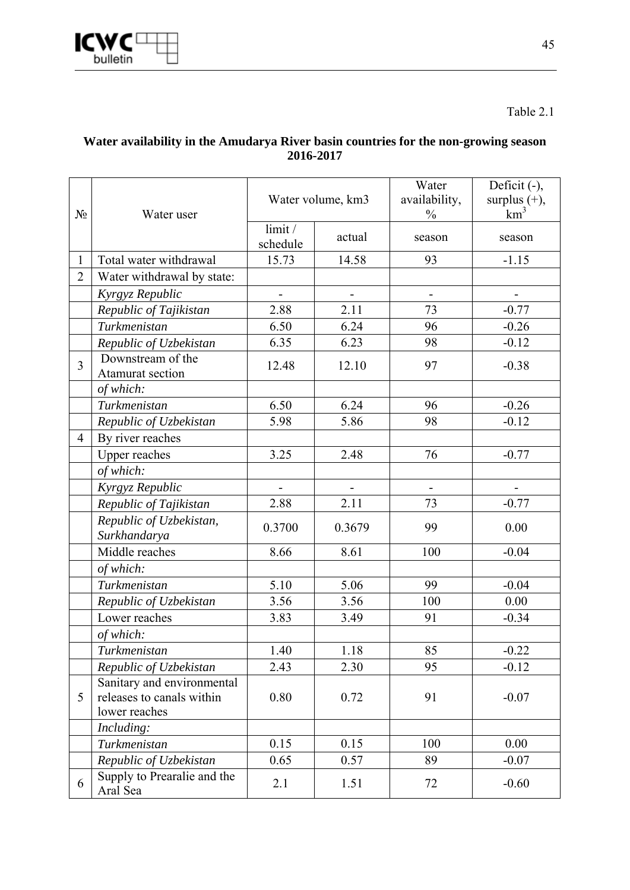

Table 2.1

# **Water availability in the Amudarya River basin countries for the non-growing season 2016-2017**

| $N_2$          | Water user                              | Water volume, km3  |               | Water<br>availability,<br>$\frac{0}{0}$ | Deficit (-),<br>surplus $(+)$ ,<br>km <sup>3</sup> |
|----------------|-----------------------------------------|--------------------|---------------|-----------------------------------------|----------------------------------------------------|
|                |                                         | limit/<br>schedule | actual        | season                                  | season                                             |
| 1              | Total water withdrawal                  | 15.73              | 14.58         | 93                                      | $-1.15$                                            |
| $\overline{2}$ | Water withdrawal by state:              |                    |               |                                         |                                                    |
|                | Kyrgyz Republic                         | $\blacksquare$     | $\frac{1}{2}$ | $\qquad \qquad \blacksquare$            |                                                    |
|                | Republic of Tajikistan                  | 2.88               | 2.11          | 73                                      | $-0.77$                                            |
|                | Turkmenistan                            | 6.50               | 6.24          | 96                                      | $-0.26$                                            |
|                | Republic of Uzbekistan                  | 6.35               | 6.23          | 98                                      | $-0.12$                                            |
| $\overline{3}$ | Downstream of the<br>Atamurat section   | 12.48              | 12.10         | 97                                      | $-0.38$                                            |
|                | of which:                               |                    |               |                                         |                                                    |
|                | Turkmenistan                            | 6.50               | 6.24          | 96                                      | $-0.26$                                            |
|                | Republic of Uzbekistan                  | 5.98               | 5.86          | 98                                      | $-0.12$                                            |
| $\overline{4}$ | By river reaches                        |                    |               |                                         |                                                    |
|                | <b>Upper reaches</b>                    | 3.25               | 2.48          | 76                                      | $-0.77$                                            |
|                | of which:                               |                    |               |                                         |                                                    |
|                | Kyrgyz Republic                         | $\overline{a}$     |               |                                         |                                                    |
|                | Republic of Tajikistan                  | 2.88               | 2.11          | 73                                      | $-0.77$                                            |
|                | Republic of Uzbekistan,<br>Surkhandarya | 0.3700             | 0.3679        | 99                                      | 0.00                                               |
|                | Middle reaches                          | 8.66               | 8.61          | 100                                     | $-0.04$                                            |
|                | of which:                               |                    |               |                                         |                                                    |
|                | Turkmenistan                            | 5.10               | 5.06          | 99                                      | $-0.04$                                            |
|                | Republic of Uzbekistan                  | 3.56               | 3.56          | 100                                     | 0.00                                               |
|                | Lower reaches                           | 3.83               | 3.49          | 91                                      | $-0.34$                                            |
|                | of which:                               |                    |               |                                         |                                                    |
|                | Turkmenistan                            | 1.40               | 1.18          | 85                                      | $-0.22$                                            |
|                | Republic of Uzbekistan                  | 2.43               | 2.30          | 95                                      | $-0.12$                                            |
|                | Sanitary and environmental              |                    |               |                                         |                                                    |
| 5              | releases to canals within               | 0.80               | 0.72          | 91                                      | $-0.07$                                            |
|                | lower reaches                           |                    |               |                                         |                                                    |
|                | Including:                              |                    |               |                                         |                                                    |
|                | Turkmenistan                            | 0.15               | 0.15          | 100                                     | 0.00                                               |
|                | Republic of Uzbekistan                  | 0.65               | 0.57          | 89                                      | $-0.07$                                            |
| 6              | Supply to Prearalie and the<br>Aral Sea | 2.1                | 1.51          | 72                                      | $-0.60$                                            |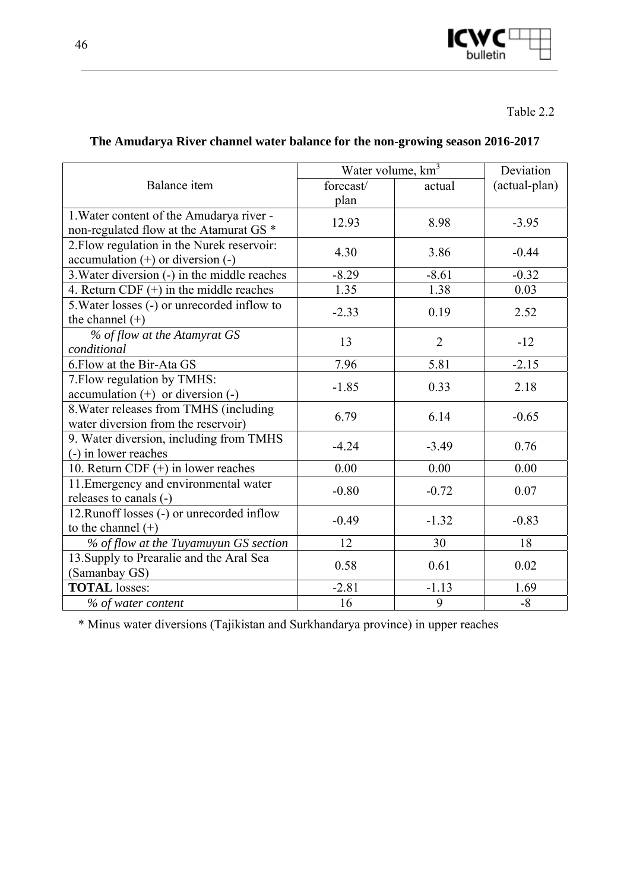

|                                                                                                | Water volume, $km^3$ |                | Deviation     |
|------------------------------------------------------------------------------------------------|----------------------|----------------|---------------|
| Balance item                                                                                   | forecast/<br>plan    | actual         | (actual-plan) |
| 1. Water content of the Amudarya river -<br>non-regulated flow at the Atamurat GS <sup>*</sup> | 12.93                | 8.98           | $-3.95$       |
| 2. Flow regulation in the Nurek reservoir:<br>$accumulation (+) or diversion (-)$              | 4.30                 | 3.86           | $-0.44$       |
| 3. Water diversion (-) in the middle reaches                                                   | $-8.29$              | $-8.61$        | $-0.32$       |
| 4. Return CDF $(+)$ in the middle reaches                                                      | 1.35                 | 1.38           | 0.03          |
| 5. Water losses (-) or unrecorded inflow to<br>the channel $(+)$                               | $-2.33$              | 0.19           | 2.52          |
| % of flow at the Atamyrat GS<br>conditional                                                    | 13                   | $\overline{2}$ | $-12$         |
| 6. Flow at the Bir-Ata GS                                                                      | 7.96                 | 5.81           | $-2.15$       |
| 7. Flow regulation by TMHS:<br>$accumulation (+)$ or diversion $(-)$                           | $-1.85$              | 0.33           | 2.18          |
| 8. Water releases from TMHS (including<br>water diversion from the reservoir)                  | 6.79                 | 6.14           | $-0.65$       |
| 9. Water diversion, including from TMHS<br>(-) in lower reaches                                | $-4.24$              | $-3.49$        | 0.76          |
| 10. Return CDF $(+)$ in lower reaches                                                          | 0.00                 | 0.00           | 0.00          |
| 11. Emergency and environmental water<br>releases to canals (-)                                | $-0.80$              | $-0.72$        | 0.07          |
| 12. Runoff losses (-) or unrecorded inflow<br>to the channel $(+)$                             | $-0.49$              | $-1.32$        | $-0.83$       |
| % of flow at the Tuyamuyun GS section                                                          | 12                   | 30             | 18            |
| 13. Supply to Prearalie and the Aral Sea<br>(Samanbay GS)                                      | 0.58                 | 0.61           | 0.02          |
| <b>TOTAL</b> losses:                                                                           | $-2.81$              | $-1.13$        | 1.69          |
| % of water content                                                                             | 16                   | 9              | $-8$          |

# **The Amudarya River channel water balance for the non-growing season 2016-2017**

\* Minus water diversions (Tajikistan and Surkhandarya province) in upper reaches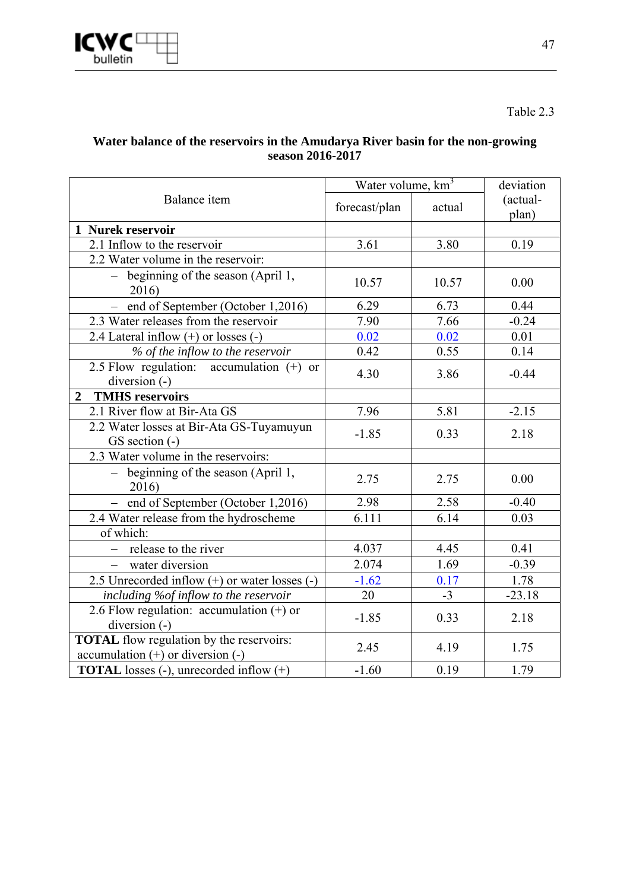

Table 2.3

### **Water balance of the reservoirs in the Amudarya River basin for the non-growing season 2016-2017**

| Balance item                                                                             | Water volume, km <sup>3</sup> |        | deviation         |
|------------------------------------------------------------------------------------------|-------------------------------|--------|-------------------|
|                                                                                          | forecast/plan                 | actual | (actual-<br>plan) |
| 1 Nurek reservoir                                                                        |                               |        |                   |
| 2.1 Inflow to the reservoir                                                              | 3.61                          | 3.80   | 0.19              |
| 2.2 Water volume in the reservoir:                                                       |                               |        |                   |
| - beginning of the season (April 1,<br>2016)                                             | 10.57                         | 10.57  | 0.00              |
| - end of September (October 1,2016)                                                      | 6.29                          | 6.73   | 0.44              |
| 2.3 Water releases from the reservoir                                                    | $\overline{7}.90$             | 7.66   | $-0.24$           |
| 2.4 Lateral inflow $(+)$ or losses $(-)$                                                 | 0.02                          | 0.02   | 0.01              |
| % of the inflow to the reservoir                                                         | 0.42                          | 0.55   | 0.14              |
| 2.5 Flow regulation: accumulation $(+)$ or<br>diversion (-)                              | 4.30                          | 3.86   | $-0.44$           |
| <b>TMHS</b> reservoirs<br>$\overline{2}$                                                 |                               |        |                   |
| 2.1 River flow at Bir-Ata GS                                                             | 7.96                          | 5.81   | $-2.15$           |
| 2.2 Water losses at Bir-Ata GS-Tuyamuyun<br>GS section (-)                               | $-1.85$                       | 0.33   | 2.18              |
| 2.3 Water volume in the reservoirs:                                                      |                               |        |                   |
| - beginning of the season (April 1,<br>2016)                                             | 2.75                          | 2.75   | 0.00              |
| - end of September (October 1,2016)                                                      | 2.98                          | 2.58   | $-0.40$           |
| 2.4 Water release from the hydroscheme                                                   | 6.111                         | 6.14   | 0.03              |
| of which:                                                                                |                               |        |                   |
| - release to the river                                                                   | 4.037                         | 4.45   | 0.41              |
| water diversion                                                                          | 2.074                         | 1.69   | $-0.39$           |
| 2.5 Unrecorded inflow $(+)$ or water losses $(-)$                                        | $-1.62$                       | 0.17   | 1.78              |
| including %of inflow to the reservoir                                                    | 20                            | $-3$   | $-23.18$          |
| 2.6 Flow regulation: accumulation $(+)$ or<br>diversion $(-)$                            | $-1.85$                       | 0.33   | 2.18              |
| <b>TOTAL</b> flow regulation by the reservoirs:<br>$accumulation (+)$ or diversion $(-)$ | 2.45                          | 4.19   | 1.75              |
| <b>TOTAL</b> losses (-), unrecorded inflow $(+)$                                         | $-1.60$                       | 0.19   | 1.79              |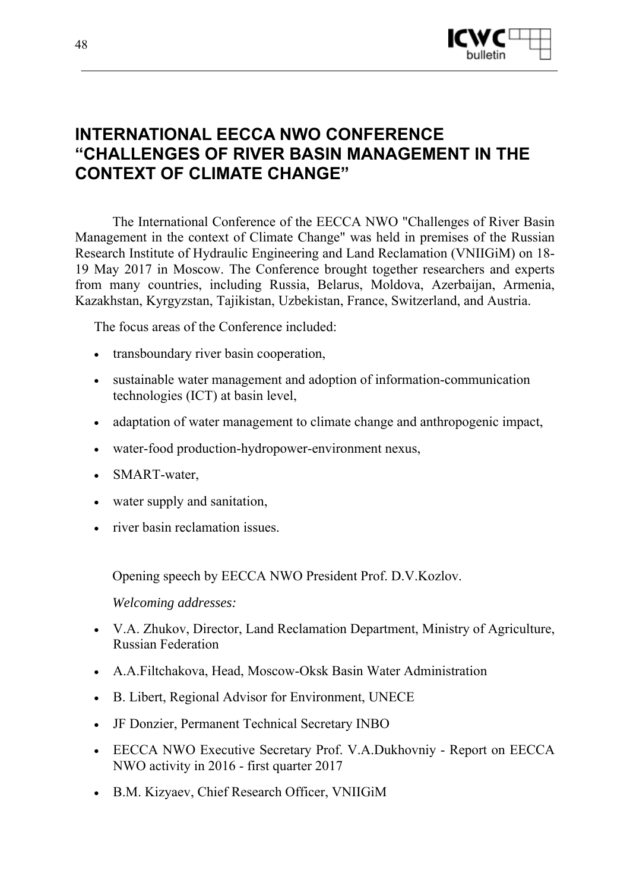

# **INTERNATIONAL EECCA NWO CONFERENCE "CHALLENGES OF RIVER BASIN MANAGEMENT IN THE CONTEXT OF CLIMATE CHANGE"**

The International Conference of the EECCA NWO "Challenges of River Basin Management in the context of Climate Change" was held in premises of the Russian Research Institute of Hydraulic Engineering and Land Reclamation (VNIIGiM) on 18- 19 May 2017 in Moscow. The Conference brought together researchers and experts from many countries, including Russia, Belarus, Moldova, Azerbaijan, Armenia, Kazakhstan, Kyrgyzstan, Tajikistan, Uzbekistan, France, Switzerland, and Austria.

The focus areas of the Conference included:

- transboundary river basin cooperation,
- sustainable water management and adoption of information-communication technologies (ICT) at basin level,
- adaptation of water management to climate change and anthropogenic impact,
- water-food production-hydropower-environment nexus,
- SMART-water,
- water supply and sanitation,
- river basin reclamation issues

Opening speech by EECCA NWO President Prof. D.V.Kozlov.

*Welcoming addresses:* 

- V.A. Zhukov, Director, Land Reclamation Department, Ministry of Agriculture, Russian Federation
- A.A.Filtchakova, Head, Moscow-Oksk Basin Water Administration
- B. Libert, Regional Advisor for Environment, UNECE
- JF Donzier, Permanent Technical Secretary INBO
- EECCA NWO Executive Secretary Prof. V.A.Dukhovniy Report on EECCA NWO activity in 2016 - first quarter 2017
- B.M. Kizyaev, Chief Research Officer, VNIIGiM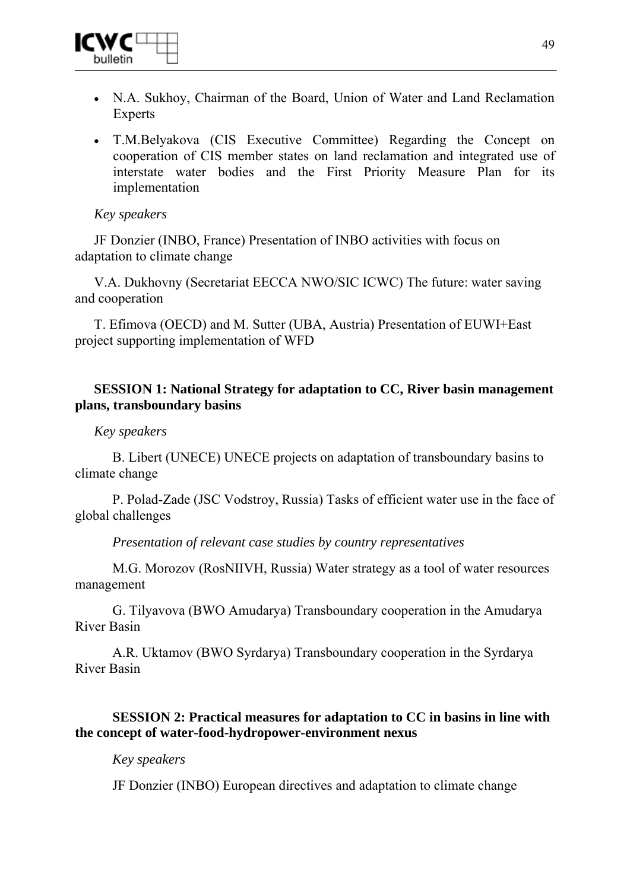

- N.A. Sukhoy, Chairman of the Board, Union of Water and Land Reclamation **Experts**
- T.M.Belyakova (CIS Executive Committee) Regarding the Concept on cooperation of CIS member states on land reclamation and integrated use of interstate water bodies and the First Priority Measure Plan for its implementation

### *Key speakers*

JF Donzier (INBO, France) Presentation of INBO activities with focus on adaptation to climate change

V.A. Dukhovny (Secretariat EECCA NWO/SIC ICWC) The future: water saving and cooperation

T. Efimova (OECD) and M. Sutter (UBA, Austria) Presentation of EUWI+East project supporting implementation of WFD

### **SESSION 1: National Strategy for adaptation to CC, River basin management plans, transboundary basins**

### *Key speakers*

B. Libert (UNECE) UNECE projects on adaptation of transboundary basins to climate change

P. Polad-Zade (JSC Vodstroy, Russia) Tasks of efficient water use in the face of global challenges

*Presentation of relevant case studies by country representatives* 

M.G. Morozov (RosNIIVH, Russia) Water strategy as a tool of water resources management

G. Tilyavova (BWO Amudarya) Transboundary cooperation in the Amudarya River Basin

A.R. Uktamov (BWO Syrdarya) Transboundary cooperation in the Syrdarya River Basin

# **SESSION 2: Practical measures for adaptation to CC in basins in line with the concept of water-food-hydropower-environment nexus**

### *Key speakers*

JF Donzier (INBO) European directives and adaptation to climate change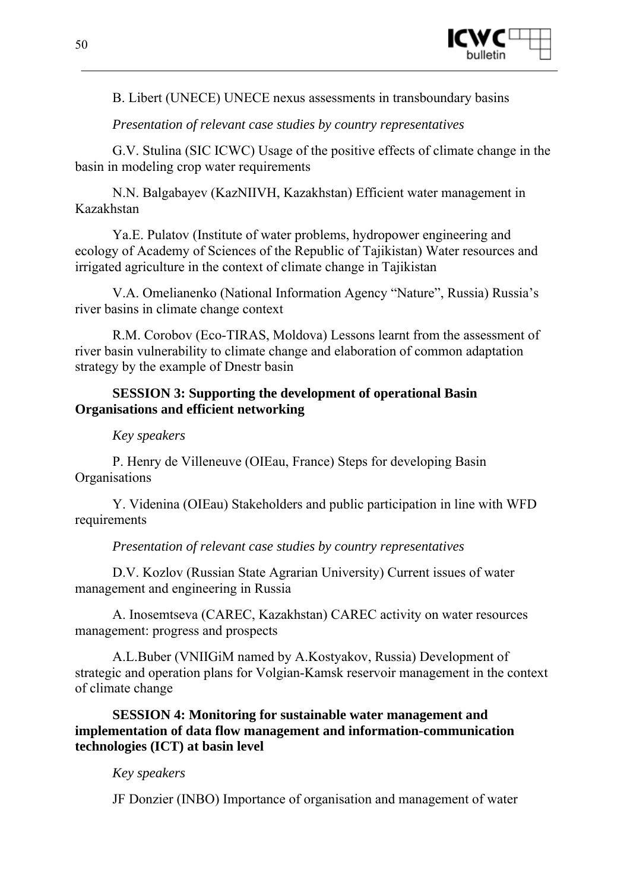

B. Libert (UNECE) UNECE nexus assessments in transboundary basins

### *Presentation of relevant case studies by country representatives*

G.V. Stulina (SIC ICWC) Usage of the positive effects of climate change in the basin in modeling crop water requirements

N.N. Balgabayev (KazNIIVH, Kazakhstan) Efficient water management in Kazakhstan

Ya.E. Pulatov (Institute of water problems, hydropower engineering and ecology of Academy of Sciences of the Republic of Tajikistan) Water resources and irrigated agriculture in the context of climate change in Tajikistan

V.A. Omelianenko (National Information Agency "Nature", Russia) Russia's river basins in climate change context

R.M. Сorobov (Eco-TIRAS, Moldova) Lessons learnt from the assessment of river basin vulnerability to climate change and elaboration of common adaptation strategy by the example of Dnestr basin

### **SESSION 3: Supporting the development of operational Basin Organisations and efficient networking**

### *Key speakers*

P. Henry de Villeneuve (OIEau, France) Steps for developing Basin **Organisations** 

Y. Videnina (OIEau) Stakeholders and public participation in line with WFD requirements

*Presentation of relevant case studies by country representatives* 

D.V. Kozlov (Russian State Agrarian University) Current issues of water management and engineering in Russia

A. Inosemtseva (CAREC, Kazakhstan) CAREC activity on water resources management: progress and prospects

A.L.Buber (VNIIGiM named by A.Kostyakov, Russia) Development of strategic and operation plans for Volgian-Kamsk reservoir management in the context of climate change

**SESSION 4: Monitoring for sustainable water management and implementation of data flow management and information-communication technologies (ICT) at basin level**

### *Key speakers*

JF Donzier (INBO) Importance of organisation and management of water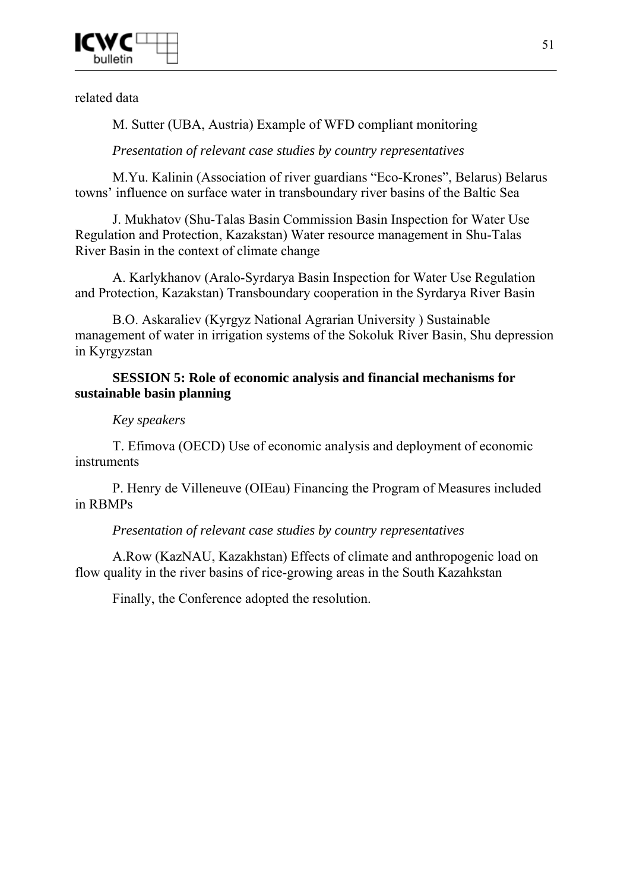

related data

M. Sutter (UBA, Austria) Example of WFD compliant monitoring

*Presentation of relevant case studies by country representatives* 

M.Yu. Kalinin (Association of river guardians "Eco-Krones", Belarus) Belarus towns' influence on surface water in transboundary river basins of the Baltic Sea

J. Mukhatov (Shu-Talas Basin Commission Basin Inspection for Water Use Regulation and Protection, Kazakstan) Water resource management in Shu-Talas River Basin in the context of climate change

A. Karlykhanov (Aralo-Syrdarya Basin Inspection for Water Use Regulation and Protection, Kazakstan) Transboundary cooperation in the Syrdarya River Basin

B.O. Askaraliev (Kyrgyz National Agrarian University ) Sustainable management of water in irrigation systems of the Sokoluk River Basin, Shu depression in Kyrgyzstan

# **SESSION 5: Role of economic analysis and financial mechanisms for sustainable basin planning**

# *Key speakers*

T. Efimova (OECD) Use of economic analysis and deployment of economic instruments

P. Henry de Villeneuve (OIEau) Financing the Program of Measures included in RBMPs

# *Presentation of relevant case studies by country representatives*

A.Row (KazNAU, Kazakhstan) Effects of climate and anthropogenic load on flow quality in the river basins of rice-growing areas in the South Kazahkstan

Finally, the Conference adopted the resolution.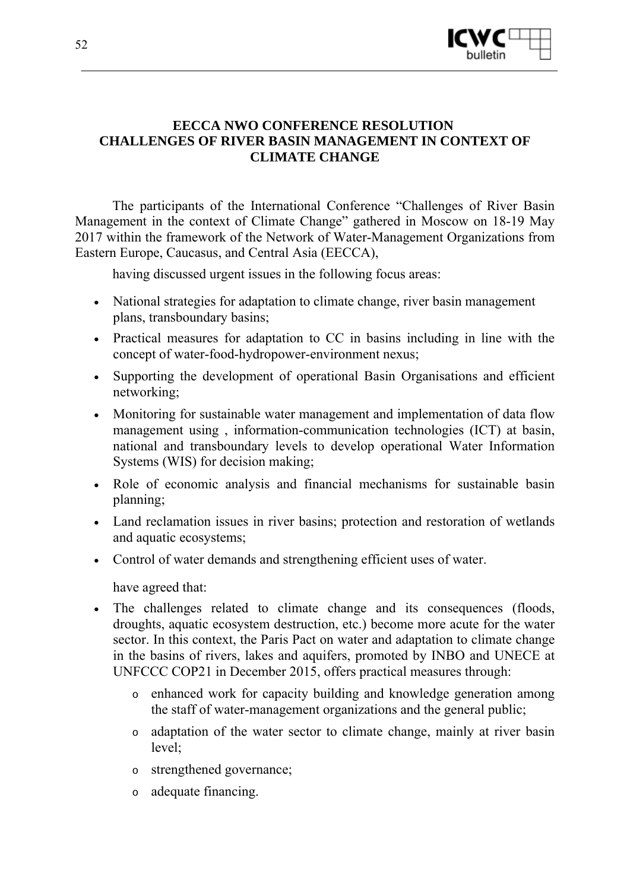

# **EECCA NWO CONFERENCE RESOLUTION CHALLENGES OF RIVER BASIN MANAGEMENT IN CONTEXT OF CLIMATE CHANGE**

The participants of the International Conference "Challenges of River Basin Management in the context of Climate Change" gathered in Moscow on 18-19 May 2017 within the framework of the Network of Water-Management Organizations from Eastern Europe, Caucasus, and Central Asia (EECCA),

having discussed urgent issues in the following focus areas:

- National strategies for adaptation to climate change, river basin management plans, transboundary basins;
- Practical measures for adaptation to CC in basins including in line with the concept of water-food-hydropower-environment nexus;
- Supporting the development of operational Basin Organisations and efficient networking;
- Monitoring for sustainable water management and implementation of data flow management using , information-communication technologies (ICT) at basin, national and transboundary levels to develop operational Water Information Systems (WIS) for decision making;
- Role of economic analysis and financial mechanisms for sustainable basin planning;
- Land reclamation issues in river basins; protection and restoration of wetlands and aquatic ecosystems;
- Control of water demands and strengthening efficient uses of water.

have agreed that:

- The challenges related to climate change and its consequences (floods, droughts, aquatic ecosystem destruction, etc.) become more acute for the water sector. In this context, the Paris Pact on water and adaptation to climate change in the basins of rivers, lakes and aquifers, promoted by INBO and UNECE at UNFCCC COP21 in December 2015, offers practical measures through:
	- o enhanced work for capacity building and knowledge generation among the staff of water-management organizations and the general public;
	- o adaptation of the water sector to climate change, mainly at river basin level;
	- o strengthened governance;
	- o adequate financing.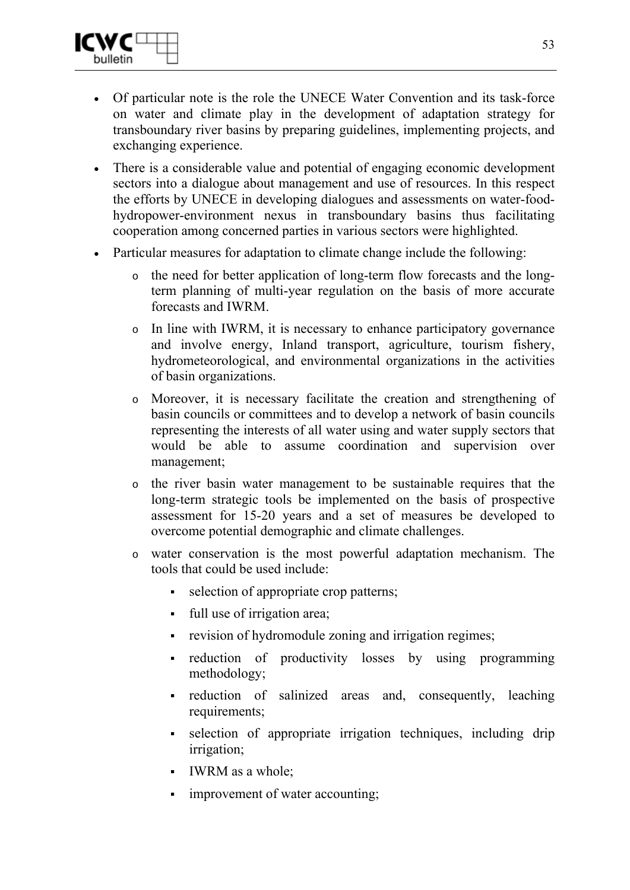

- Of particular note is the role the UNECE Water Convention and its task-force on water and climate play in the development of adaptation strategy for transboundary river basins by preparing guidelines, implementing projects, and exchanging experience.
- There is a considerable value and potential of engaging economic development sectors into a dialogue about management and use of resources. In this respect the efforts by UNECE in developing dialogues and assessments on water-foodhydropower-environment nexus in transboundary basins thus facilitating cooperation among concerned parties in various sectors were highlighted.
- Particular measures for adaptation to climate change include the following:
	- o the need for better application of long-term flow forecasts and the longterm planning of multi-year regulation on the basis of more accurate forecasts and IWRM.
	- o In line with IWRM, it is necessary to enhance participatory governance and involve energy, Inland transport, agriculture, tourism fishery, hydrometeorological, and environmental organizations in the activities of basin organizations.
	- o Moreover, it is necessary facilitate the creation and strengthening of basin councils or committees and to develop a network of basin councils representing the interests of all water using and water supply sectors that would be able to assume coordination and supervision over management;
	- o the river basin water management to be sustainable requires that the long-term strategic tools be implemented on the basis of prospective assessment for 15-20 years and a set of measures be developed to overcome potential demographic and climate challenges.
	- water conservation is the most powerful adaptation mechanism. The tools that could be used include:
		- selection of appropriate crop patterns;
		- full use of irrigation area;
		- **•** revision of hydromodule zoning and irrigation regimes;
		- reduction of productivity losses by using programming methodology;
		- reduction of salinized areas and, consequently, leaching requirements;
		- selection of appropriate irrigation techniques, including drip irrigation;
		- IWRM as a whole;
		- **improvement of water accounting;**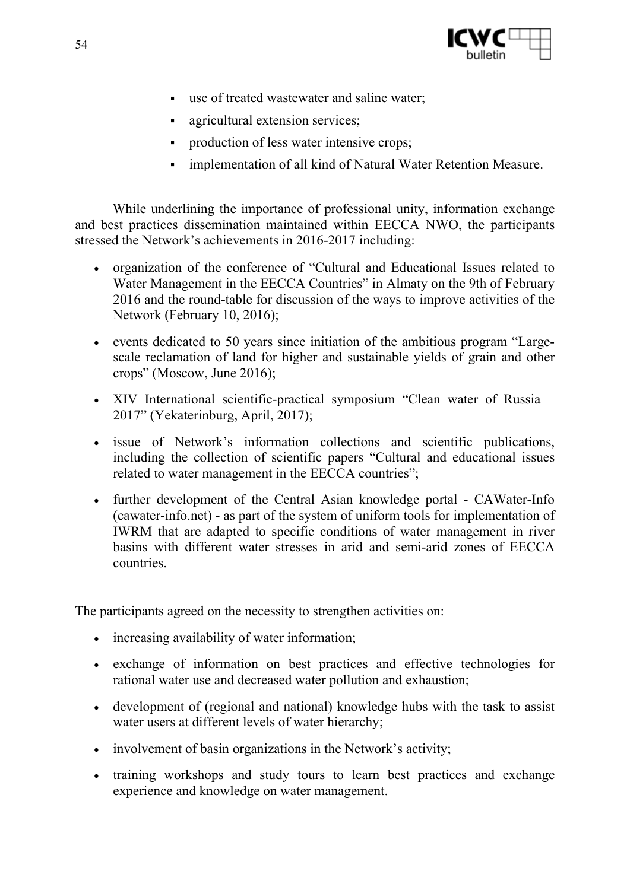

- use of treated wastewater and saline water;
- agricultural extension services;
- **production of less water intensive crops;**
- implementation of all kind of Natural Water Retention Measure.

While underlining the importance of professional unity, information exchange and best practices dissemination maintained within EECCA NWO, the participants stressed the Network's achievements in 2016-2017 including:

- organization of the conference of "Cultural and Educational Issues related to Water Management in the EECCA Countries" in Almaty on the 9th of February 2016 and the round-table for discussion of the ways to improve activities of the Network (February 10, 2016);
- events dedicated to 50 years since initiation of the ambitious program "Largescale reclamation of land for higher and sustainable yields of grain and other crops" (Moscow, June 2016);
- XIV International scientific-practical symposium "Clean water of Russia 2017" (Yekaterinburg, April, 2017);
- issue of Network's information collections and scientific publications, including the collection of scientific papers "Cultural and educational issues related to water management in the EECCA countries";
- further development of the Central Asian knowledge portal CAWater-Info (cawater-info.net) - as part of the system of uniform tools for implementation of IWRM that are adapted to specific conditions of water management in river basins with different water stresses in arid and semi-arid zones of EECCA countries.

The participants agreed on the necessity to strengthen activities on:

- increasing availability of water information;
- exchange of information on best practices and effective technologies for rational water use and decreased water pollution and exhaustion;
- development of (regional and national) knowledge hubs with the task to assist water users at different levels of water hierarchy;
- involvement of basin organizations in the Network's activity;
- training workshops and study tours to learn best practices and exchange experience and knowledge on water management.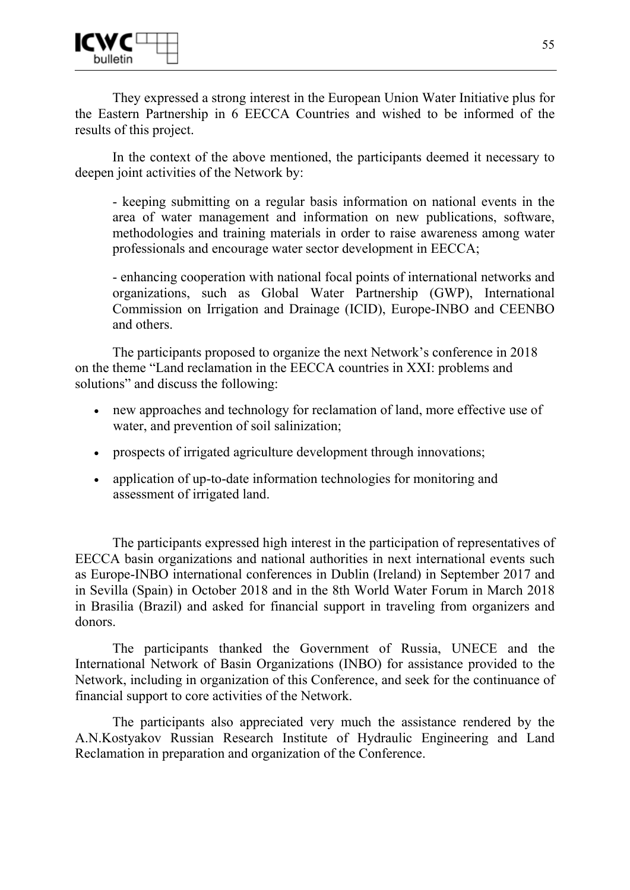

They expressed a strong interest in the European Union Water Initiative plus for the Eastern Partnership in 6 EECCA Countries and wished to be informed of the results of this project.

In the context of the above mentioned, the participants deemed it necessary to deepen joint activities of the Network by:

- keeping submitting on a regular basis information on national events in the area of water management and information on new publications, software, methodologies and training materials in order to raise awareness among water professionals and encourage water sector development in EECCA;

- enhancing cooperation with national focal points of international networks and organizations, such as Global Water Partnership (GWP), International Commission on Irrigation and Drainage (ICID), Europe-INBO and CEENBO and others.

The participants proposed to organize the next Network's conference in 2018 on the theme "Land reclamation in the EECCA countries in XXI: problems and solutions" and discuss the following:

- new approaches and technology for reclamation of land, more effective use of water, and prevention of soil salinization;
- prospects of irrigated agriculture development through innovations;
- application of up-to-date information technologies for monitoring and assessment of irrigated land.

The participants expressed high interest in the participation of representatives of EECCA basin organizations and national authorities in next international events such as Europe-INBO international conferences in Dublin (Ireland) in September 2017 and in Sevilla (Spain) in October 2018 and in the 8th World Water Forum in March 2018 in Brasilia (Brazil) and asked for financial support in traveling from organizers and donors.

The participants thanked the Government of Russia, UNECE and the International Network of Basin Organizations (INBO) for assistance provided to the Network, including in organization of this Conference, and seek for the continuance of financial support to core activities of the Network.

The participants also appreciated very much the assistance rendered by the A.N.Kostyakov Russian Research Institute of Hydraulic Engineering and Land Reclamation in preparation and organization of the Conference.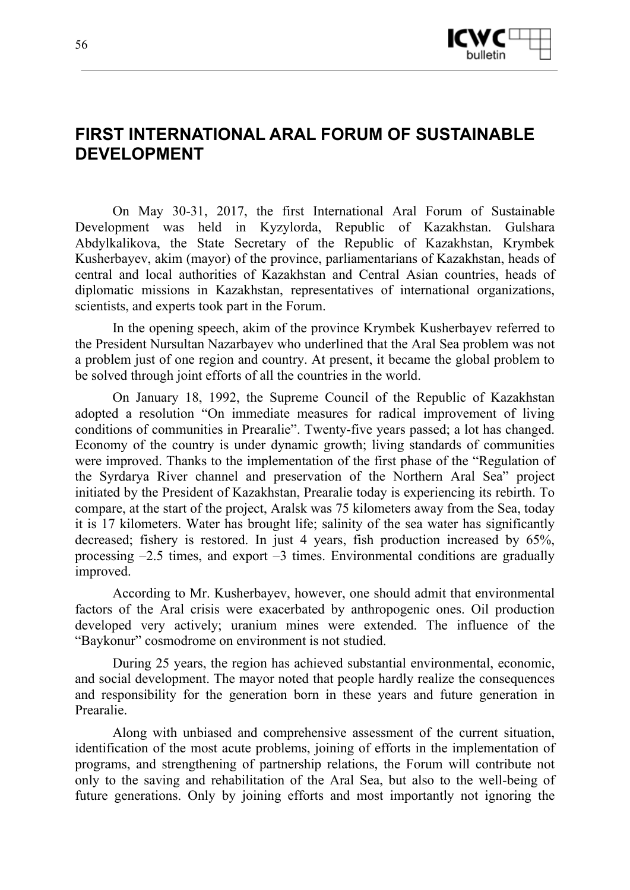

# **FIRST INTERNATIONAL ARAL FORUM OF SUSTAINABLE DEVELOPMENT**

On May 30-31, 2017, the first International Aral Forum of Sustainable Development was held in Kyzylorda, Republic of Kazakhstan. Gulshara Abdylkalikova, the State Secretary of the Republic of Kazakhstan, Krymbek Kusherbayev, akim (mayor) of the province, parliamentarians of Kazakhstan, heads of central and local authorities of Kazakhstan and Central Asian countries, heads of diplomatic missions in Kazakhstan, representatives of international organizations, scientists, and experts took part in the Forum.

In the opening speech, akim of the province Krymbek Kusherbayev referred to the President Nursultan Nazarbayev who underlined that the Aral Sea problem was not a problem just of one region and country. At present, it became the global problem to be solved through joint efforts of all the countries in the world.

On January 18, 1992, the Supreme Council of the Republic of Kazakhstan adopted a resolution "On immediate measures for radical improvement of living conditions of communities in Prearalie". Twenty-five years passed; a lot has changed. Economy of the country is under dynamic growth; living standards of communities were improved. Thanks to the implementation of the first phase of the "Regulation of the Syrdarya River channel and preservation of the Northern Aral Sea" project initiated by the President of Kazakhstan, Prearalie today is experiencing its rebirth. To compare, at the start of the project, Aralsk was 75 kilometers away from the Sea, today it is 17 kilometers. Water has brought life; salinity of the sea water has significantly decreased; fishery is restored. In just 4 years, fish production increased by 65%, processing  $-2.5$  times, and export  $-3$  times. Environmental conditions are gradually improved.

According to Mr. Kusherbayev, however, one should admit that environmental factors of the Aral crisis were exacerbated by anthropogenic ones. Oil production developed very actively; uranium mines were extended. The influence of the "Baykonur" cosmodrome on environment is not studied.

During 25 years, the region has achieved substantial environmental, economic, and social development. The mayor noted that people hardly realize the consequences and responsibility for the generation born in these years and future generation in Prearalie.

Along with unbiased and comprehensive assessment of the current situation, identification of the most acute problems, joining of efforts in the implementation of programs, and strengthening of partnership relations, the Forum will contribute not only to the saving and rehabilitation of the Aral Sea, but also to the well-being of future generations. Only by joining efforts and most importantly not ignoring the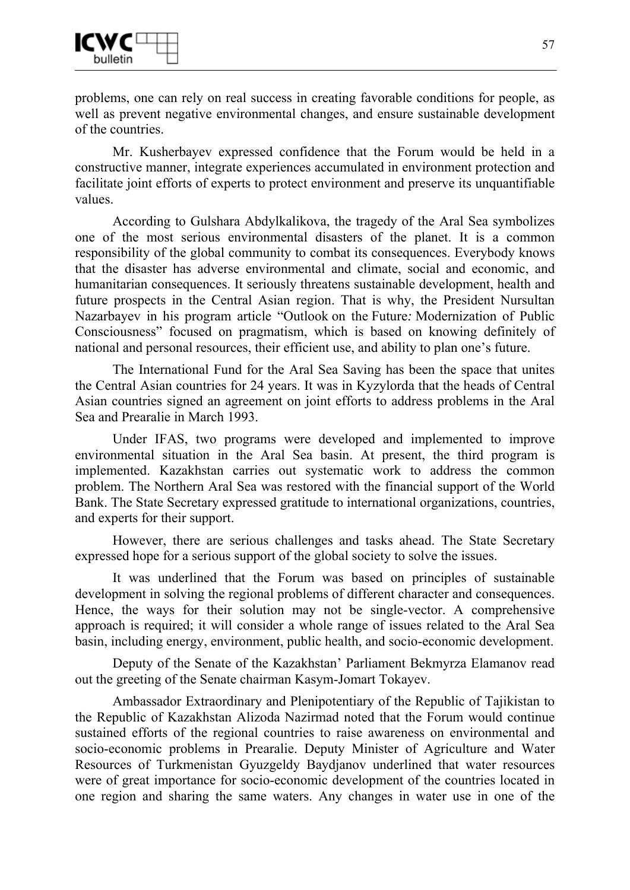

problems, one can rely on real success in creating favorable conditions for people, as well as prevent negative environmental changes, and ensure sustainable development of the countries.

Mr. Kusherbayev expressed confidence that the Forum would be held in a constructive manner, integrate experiences accumulated in environment protection and facilitate joint efforts of experts to protect environment and preserve its unquantifiable values.

According to Gulshara Abdylkalikova, the tragedy of the Aral Sea symbolizes one of the most serious environmental disasters of the planet. It is a common responsibility of the global community to combat its consequences. Everybody knows that the disaster has adverse environmental and climate, social and economic, and humanitarian consequences. It seriously threatens sustainable development, health and future prospects in the Central Asian region. That is why, the President Nursultan Nazarbayev in his program article "Outlook on the Future*:* Modernization of Public Consciousness" focused on pragmatism, which is based on knowing definitely of national and personal resources, their efficient use, and ability to plan one's future.

The International Fund for the Aral Sea Saving has been the space that unites the Central Asian countries for 24 years. It was in Kyzylorda that the heads of Central Asian countries signed an agreement on joint efforts to address problems in the Aral Sea and Prearalie in March 1993.

Under IFAS, two programs were developed and implemented to improve environmental situation in the Aral Sea basin. At present, the third program is implemented. Kazakhstan carries out systematic work to address the common problem. The Northern Aral Sea was restored with the financial support of the World Bank. The State Secretary expressed gratitude to international organizations, countries, and experts for their support.

However, there are serious challenges and tasks ahead. The State Secretary expressed hope for a serious support of the global society to solve the issues.

It was underlined that the Forum was based on principles of sustainable development in solving the regional problems of different character and consequences. Hence, the ways for their solution may not be single-vector. A comprehensive approach is required; it will consider a whole range of issues related to the Aral Sea basin, including energy, environment, public health, and socio-economic development.

Deputy of the Senate of the Kazakhstan' Parliament Bekmyrza Elamanov read out the greeting of the Senate chairman Kasym-Jomart Tokayev.

Ambassador Extraordinary and Plenipotentiary of the Republic of Tajikistan to the Republic of Kazakhstan Alizoda Nazirmad noted that the Forum would continue sustained efforts of the regional countries to raise awareness on environmental and socio-economic problems in Prearalie. Deputy Minister of Agriculture and Water Resources of Turkmenistan Gyuzgeldy Baydjanov underlined that water resources were of great importance for socio-economic development of the countries located in one region and sharing the same waters. Any changes in water use in one of the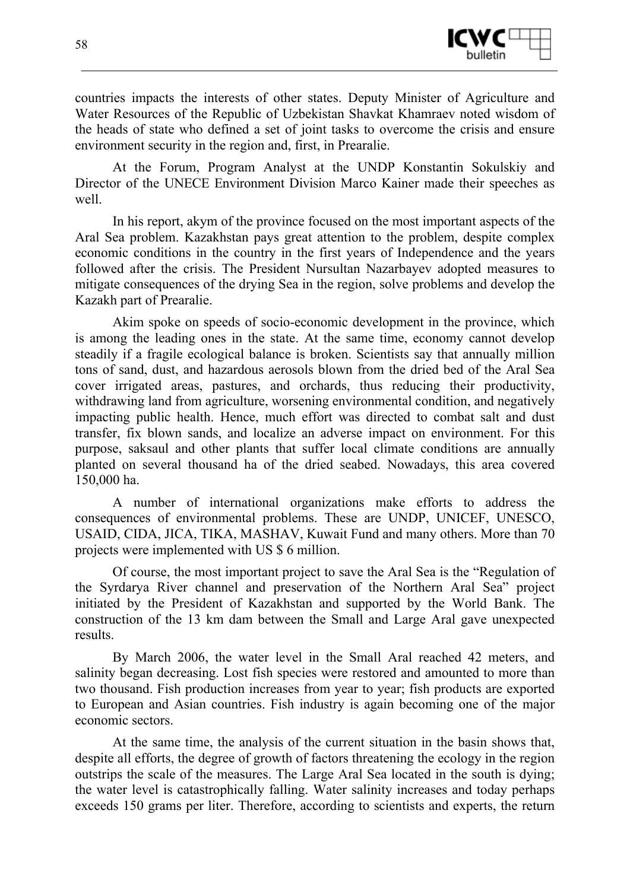

countries impacts the interests of other states. Deputy Minister of Agriculture and Water Resources of the Republic of Uzbekistan Shavkat Khamraev noted wisdom of the heads of state who defined a set of joint tasks to overcome the crisis and ensure environment security in the region and, first, in Prearalie.

At the Forum, Program Analyst at the UNDP Konstantin Sokulskiy and Director of the UNECE Environment Division Marco Kainer made their speeches as well.

In his report, akym of the province focused on the most important aspects of the Aral Sea problem. Kazakhstan pays great attention to the problem, despite complex economic conditions in the country in the first years of Independence and the years followed after the crisis. The President Nursultan Nazarbayev adopted measures to mitigate consequences of the drying Sea in the region, solve problems and develop the Kazakh part of Prearalie.

Akim spoke on speeds of socio-economic development in the province, which is among the leading ones in the state. At the same time, economy cannot develop steadily if a fragile ecological balance is broken. Scientists say that annually million tons of sand, dust, and hazardous aerosols blown from the dried bed of the Aral Sea cover irrigated areas, pastures, and orchards, thus reducing their productivity, withdrawing land from agriculture, worsening environmental condition, and negatively impacting public health. Hence, much effort was directed to combat salt and dust transfer, fix blown sands, and localize an adverse impact on environment. For this purpose, saksaul and other plants that suffer local climate conditions are annually planted on several thousand ha of the dried seabed. Nowadays, this area covered 150,000 ha.

A number of international organizations make efforts to address the consequences of environmental problems. These are UNDP, UNICEF, UNESCO, USAID, CIDA, JICA, TIKA, MASHAV, Kuwait Fund and many others. More than 70 projects were implemented with US \$ 6 million.

Of course, the most important project to save the Aral Sea is the "Regulation of the Syrdarya River channel and preservation of the Northern Aral Sea" project initiated by the President of Kazakhstan and supported by the World Bank. The construction of the 13 km dam between the Small and Large Aral gave unexpected results.

By March 2006, the water level in the Small Aral reached 42 meters, and salinity began decreasing. Lost fish species were restored and amounted to more than two thousand. Fish production increases from year to year; fish products are exported to European and Asian countries. Fish industry is again becoming one of the major economic sectors.

At the same time, the analysis of the current situation in the basin shows that, despite all efforts, the degree of growth of factors threatening the ecology in the region outstrips the scale of the measures. The Large Aral Sea located in the south is dying; the water level is catastrophically falling. Water salinity increases and today perhaps exceeds 150 grams per liter. Therefore, according to scientists and experts, the return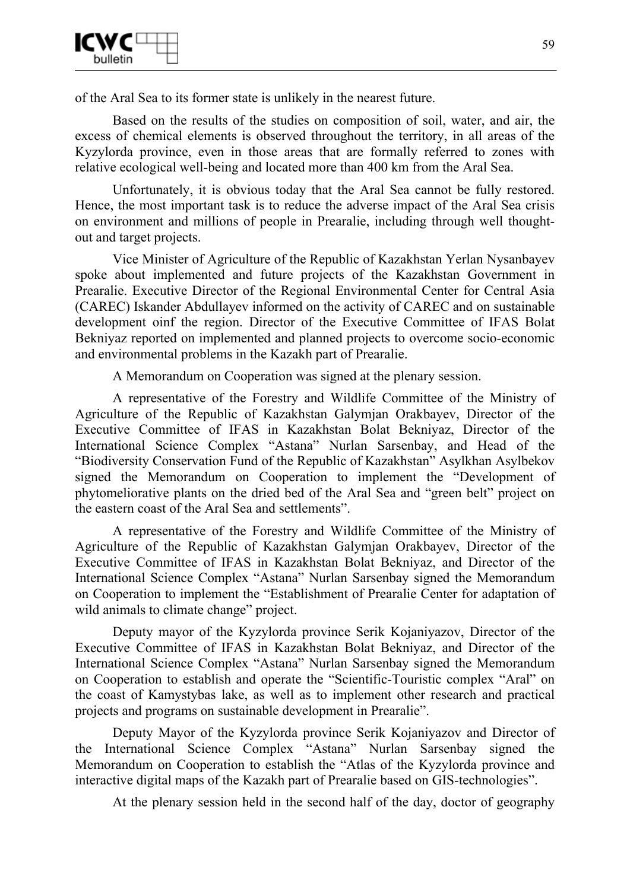

of the Aral Sea to its former state is unlikely in the nearest future.

Based on the results of the studies on composition of soil, water, and air, the excess of chemical elements is observed throughout the territory, in all areas of the Kyzylorda province, even in those areas that are formally referred to zones with relative ecological well-being and located more than 400 km from the Aral Sea.

Unfortunately, it is obvious today that the Aral Sea cannot be fully restored. Hence, the most important task is to reduce the adverse impact of the Aral Sea crisis on environment and millions of people in Prearalie, including through well thoughtout and target projects.

Vice Minister of Agriculture of the Republic of Kazakhstan Yerlan Nysanbayev spoke about implemented and future projects of the Kazakhstan Government in Prearalie. Executive Director of the Regional Environmental Center for Central Asia (CAREC) Iskander Abdullayev informed on the activity of CAREC and on sustainable development oinf the region. Director of the Executive Committee of IFAS Bolat Bekniyaz reported on implemented and planned projects to overcome socio-economic and environmental problems in the Kazakh part of Prearalie.

A Memorandum on Cooperation was signed at the plenary session.

A representative of the Forestry and Wildlife Committee of the Ministry of Agriculture of the Republic of Kazakhstan Galymjan Orakbayev, Director of the Executive Committee of IFAS in Kazakhstan Bolat Bekniyaz, Director of the International Science Complex "Astana" Nurlan Sarsenbay, and Head of the "Biodiversity Conservation Fund of the Republic of Kazakhstan" Asylkhan Asylbekov signed the Memorandum on Cooperation to implement the "Development of phytomeliorative plants on the dried bed of the Aral Sea and "green belt" project on the eastern coast of the Aral Sea and settlements".

A representative of the Forestry and Wildlife Committee of the Ministry of Agriculture of the Republic of Kazakhstan Galymjan Orakbayev, Director of the Executive Committee of IFAS in Kazakhstan Bolat Bekniyaz, and Director of the International Science Complex "Astana" Nurlan Sarsenbay signed the Memorandum on Cooperation to implement the "Establishment of Prearalie Center for adaptation of wild animals to climate change" project.

Deputy mayor of the Kyzylorda province Serik Kojaniyazov, Director of the Executive Committee of IFAS in Kazakhstan Bolat Bekniyaz, and Director of the International Science Complex "Astana" Nurlan Sarsenbay signed the Memorandum on Cooperation to establish and operate the "Scientific-Touristic complex "Aral" on the coast of Kamystybas lake, as well as to implement other research and practical projects and programs on sustainable development in Prearalie".

Deputy Mayor of the Kyzylorda province Serik Kojaniyazov and Director of the International Science Complex "Astana" Nurlan Sarsenbay signed the Memorandum on Cooperation to establish the "Atlas of the Kyzylorda province and interactive digital maps of the Kazakh part of Prearalie based on GIS-technologies".

At the plenary session held in the second half of the day, doctor of geography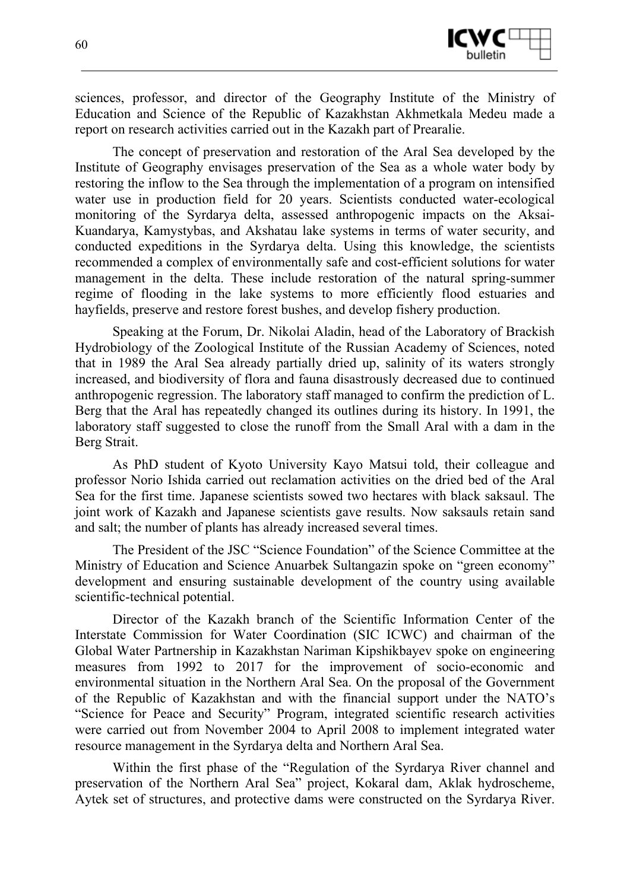

sciences, professor, and director of the Geography Institute of the Ministry of Education and Science of the Republic of Kazakhstan Akhmetkala Medeu made a report on research activities carried out in the Kazakh part of Prearalie.

The concept of preservation and restoration of the Aral Sea developed by the Institute of Geography envisages preservation of the Sea as a whole water body by restoring the inflow to the Sea through the implementation of a program on intensified water use in production field for 20 years. Scientists conducted water-ecological monitoring of the Syrdarya delta, assessed anthropogenic impacts on the Aksai-Kuandarya, Kamystybas, and Akshatau lake systems in terms of water security, and conducted expeditions in the Syrdarya delta. Using this knowledge, the scientists recommended a complex of environmentally safe and cost-efficient solutions for water management in the delta. These include restoration of the natural spring-summer regime of flooding in the lake systems to more efficiently flood estuaries and hayfields, preserve and restore forest bushes, and develop fishery production.

Speaking at the Forum, Dr. Nikolai Aladin, head of the Laboratory of Brackish Hydrobiology of the Zoological Institute of the Russian Academy of Sciences, noted that in 1989 the Aral Sea already partially dried up, salinity of its waters strongly increased, and biodiversity of flora and fauna disastrously decreased due to continued anthropogenic regression. The laboratory staff managed to confirm the prediction of L. Berg that the Aral has repeatedly changed its outlines during its history. In 1991, the laboratory staff suggested to close the runoff from the Small Aral with a dam in the Berg Strait.

As PhD student of Kyoto University Kayo Matsui told, their colleague and professor Norio Ishida carried out reclamation activities on the dried bed of the Aral Sea for the first time. Japanese scientists sowed two hectares with black saksaul. The joint work of Kazakh and Japanese scientists gave results. Now saksauls retain sand and salt; the number of plants has already increased several times.

The President of the JSC "Science Foundation" of the Science Committee at the Ministry of Education and Science Anuarbek Sultangazin spoke on "green economy" development and ensuring sustainable development of the country using available scientific-technical potential.

Director of the Kazakh branch of the Scientific Information Center of the Interstate Commission for Water Coordination (SIC ICWC) and chairman of the Global Water Partnership in Kazakhstan Nariman Kipshikbayev spoke on engineering measures from 1992 to 2017 for the improvement of socio-economic and environmental situation in the Northern Aral Sea. On the proposal of the Government of the Republic of Kazakhstan and with the financial support under the NATO's "Science for Peace and Security" Program, integrated scientific research activities were carried out from November 2004 to April 2008 to implement integrated water resource management in the Syrdarya delta and Northern Aral Sea.

Within the first phase of the "Regulation of the Syrdarya River channel and preservation of the Northern Aral Sea" project, Kokaral dam, Aklak hydroscheme, Aytek set of structures, and protective dams were constructed on the Syrdarya River.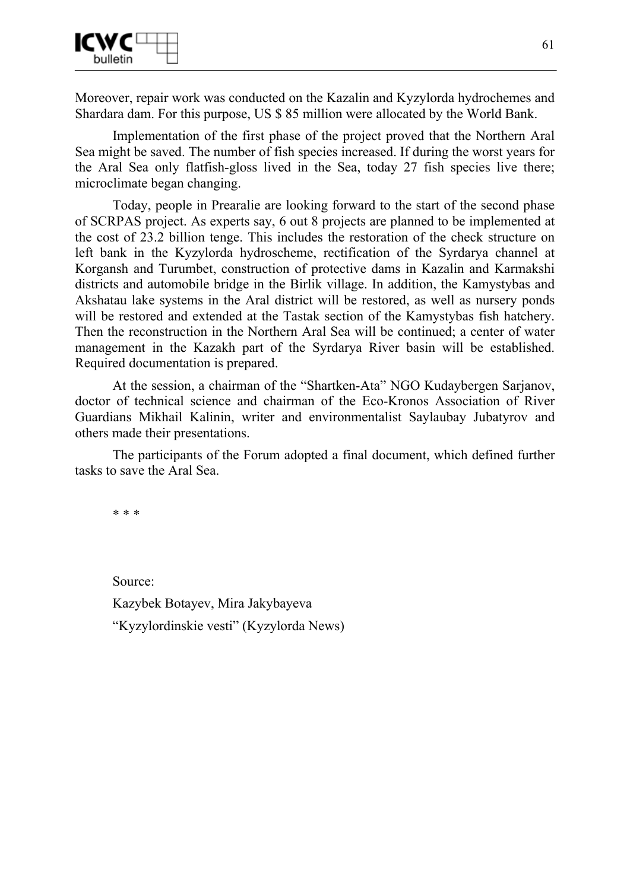

Moreover, repair work was conducted on the Kazalin and Kyzylorda hydrochemes and Shardara dam. For this purpose, US \$ 85 million were allocated by the World Bank.

Implementation of the first phase of the project proved that the Northern Aral Sea might be saved. The number of fish species increased. If during the worst years for the Aral Sea only flatfish-gloss lived in the Sea, today 27 fish species live there; microclimate began changing.

Today, people in Prearalie are looking forward to the start of the second phase of SCRPAS project. As experts say, 6 out 8 projects are planned to be implemented at the cost of 23.2 billion tenge. This includes the restoration of the check structure on left bank in the Kyzylorda hydroscheme, rectification of the Syrdarya channel at Korgansh and Turumbet, construction of protective dams in Kazalin and Karmakshi districts and automobile bridge in the Birlik village. In addition, the Kamystybas and Akshatau lake systems in the Aral district will be restored, as well as nursery ponds will be restored and extended at the Tastak section of the Kamystybas fish hatchery. Then the reconstruction in the Northern Aral Sea will be continued; a center of water management in the Kazakh part of the Syrdarya River basin will be established. Required documentation is prepared.

At the session, a chairman of the "Shartken-Ata" NGO Kudaybergen Sarjanov, doctor of technical science and chairman of the Eco-Kronos Association of River Guardians Mikhail Kalinin, writer and environmentalist Saylaubay Jubatyrov and others made their presentations.

The participants of the Forum adopted a final document, which defined further tasks to save the Aral Sea.

\* \* \*

Source: Kazybek Botayev, Mira Jakybayeva "Kyzylordinskie vesti" (Kyzylorda News)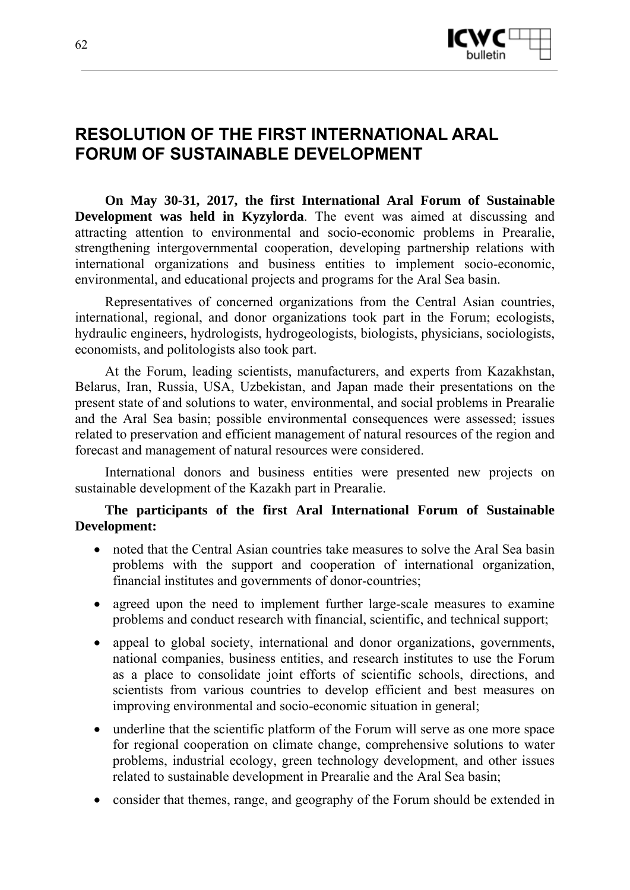

# **RESOLUTION OF THE FIRST INTERNATIONAL ARAL FORUM OF SUSTAINABLE DEVELOPMENT**

**On May 30-31, 2017, the first International Aral Forum of Sustainable Development was held in Kyzylorda**. The event was aimed at discussing and attracting attention to environmental and socio-economic problems in Prearalie, strengthening intergovernmental cooperation, developing partnership relations with international organizations and business entities to implement socio-economic, environmental, and educational projects and programs for the Aral Sea basin.

Representatives of concerned organizations from the Central Asian countries, international, regional, and donor organizations took part in the Forum; ecologists, hydraulic engineers, hydrologists, hydrogeologists, biologists, physicians, sociologists, economists, and politologists also took part.

At the Forum, leading scientists, manufacturers, and experts from Kazakhstan, Belarus, Iran, Russia, USA, Uzbekistan, and Japan made their presentations on the present state of and solutions to water, environmental, and social problems in Prearalie and the Aral Sea basin; possible environmental consequences were assessed; issues related to preservation and efficient management of natural resources of the region and forecast and management of natural resources were considered.

International donors and business entities were presented new projects on sustainable development of the Kazakh part in Prearalie.

### **The participants of the first Aral International Forum of Sustainable Development:**

- noted that the Central Asian countries take measures to solve the Aral Sea basin problems with the support and cooperation of international organization, financial institutes and governments of donor-countries;
- agreed upon the need to implement further large-scale measures to examine problems and conduct research with financial, scientific, and technical support;
- appeal to global society, international and donor organizations, governments, national companies, business entities, and research institutes to use the Forum as a place to consolidate joint efforts of scientific schools, directions, and scientists from various countries to develop efficient and best measures on improving environmental and socio-economic situation in general;
- underline that the scientific platform of the Forum will serve as one more space for regional cooperation on climate change, comprehensive solutions to water problems, industrial ecology, green technology development, and other issues related to sustainable development in Prearalie and the Aral Sea basin;
- consider that themes, range, and geography of the Forum should be extended in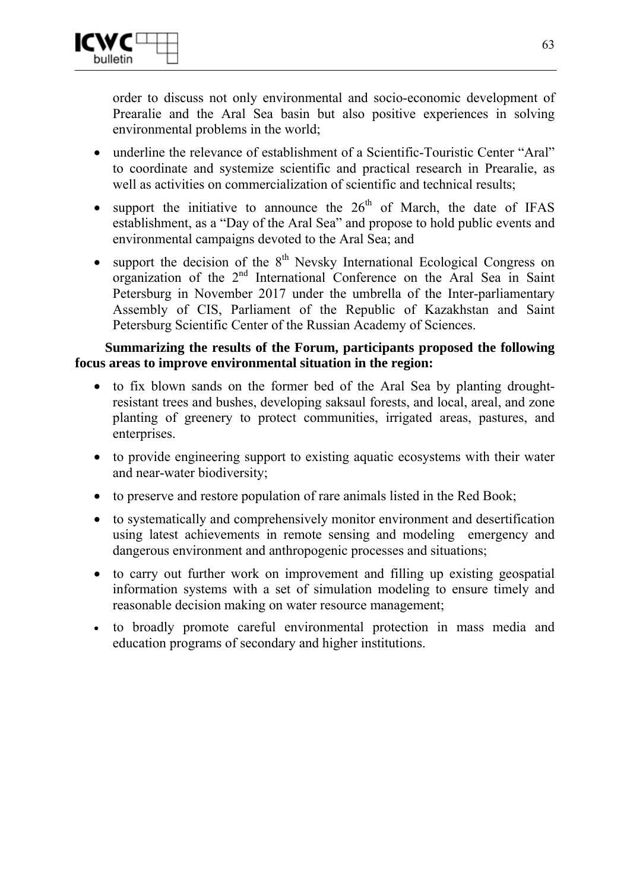

order to discuss not only environmental and socio-economic development of Prearalie and the Aral Sea basin but also positive experiences in solving environmental problems in the world;

- underline the relevance of establishment of a Scientific-Touristic Center "Aral" to coordinate and systemize scientific and practical research in Prearalie, as well as activities on commercialization of scientific and technical results;
- support the initiative to announce the  $26<sup>th</sup>$  of March, the date of IFAS establishment, as a "Day of the Aral Sea" and propose to hold public events and environmental campaigns devoted to the Aral Sea; and
- support the decision of the  $8<sup>th</sup>$  Nevsky International Ecological Congress on organization of the  $2^{nd}$  International Conference on the Aral Sea in Saint Petersburg in November 2017 under the umbrella of the Inter-parliamentary Assembly of CIS, Parliament of the Republic of Kazakhstan and Saint Petersburg Scientific Center of the Russian Academy of Sciences.

# **Summarizing the results of the Forum, participants proposed the following focus areas to improve environmental situation in the region:**

- to fix blown sands on the former bed of the Aral Sea by planting droughtresistant trees and bushes, developing saksaul forests, and local, areal, and zone planting of greenery to protect communities, irrigated areas, pastures, and enterprises.
- to provide engineering support to existing aquatic ecosystems with their water and near-water biodiversity;
- to preserve and restore population of rare animals listed in the Red Book;
- to systematically and comprehensively monitor environment and desertification using latest achievements in remote sensing and modeling emergency and dangerous environment and anthropogenic processes and situations;
- to carry out further work on improvement and filling up existing geospatial information systems with a set of simulation modeling to ensure timely and reasonable decision making on water resource management;
- to broadly promote careful environmental protection in mass media and education programs of secondary and higher institutions.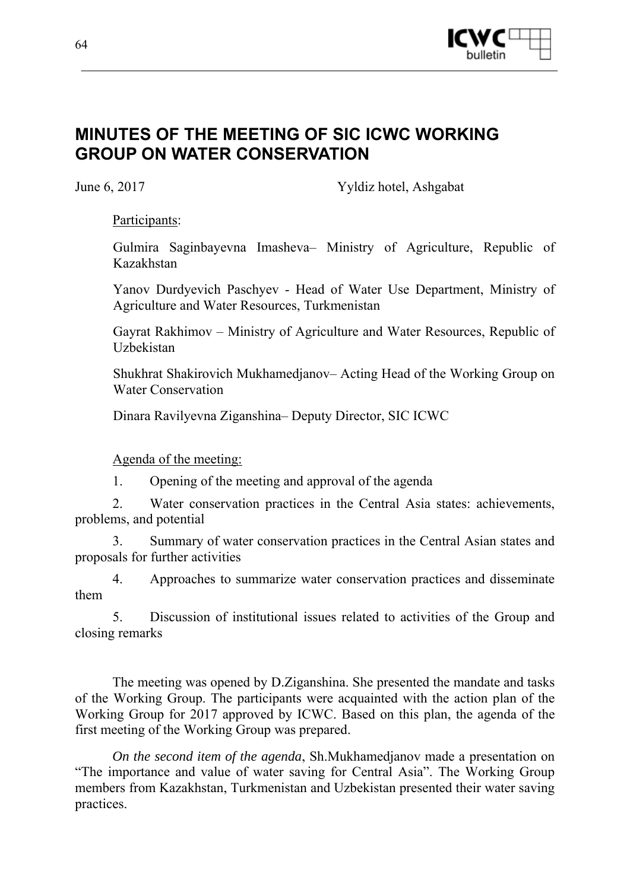

# **MINUTES OF THE MEETING OF SIC ICWC WORKING GROUP ON WATER CONSERVATION**

June 6, 2017 Yyldiz hotel, Ashgabat

Participants:

Gulmira Saginbayevna Imasheva– Ministry of Agriculture, Republic of Kazakhstan

Yanov Durdyevich Paschyev - Head of Water Use Department, Ministry of Agriculture and Water Resources, Turkmenistan

Gayrat Rakhimov – Ministry of Agriculture and Water Resources, Republic of **Uzbekistan** 

Shukhrat Shakirovich Mukhamedjanov– Acting Head of the Working Group on Water Conservation

Dinara Ravilyevna Ziganshina– Deputy Director, SIC ICWC

### Agenda of the meeting:

1. Opening of the meeting and approval of the agenda

2. Water conservation practices in the Central Asia states: achievements, problems, and potential

3. Summary of water conservation practices in the Central Asian states and proposals for further activities

4. Approaches to summarize water conservation practices and disseminate them

5. Discussion of institutional issues related to activities of the Group and closing remarks

The meeting was opened by D.Ziganshina. She presented the mandate and tasks of the Working Group. The participants were acquainted with the action plan of the Working Group for 2017 approved by ICWC. Based on this plan, the agenda of the first meeting of the Working Group was prepared.

*On the second item of the agenda*, Sh.Mukhamedjanov made a presentation on "The importance and value of water saving for Central Asia". The Working Group members from Kazakhstan, Turkmenistan and Uzbekistan presented their water saving practices.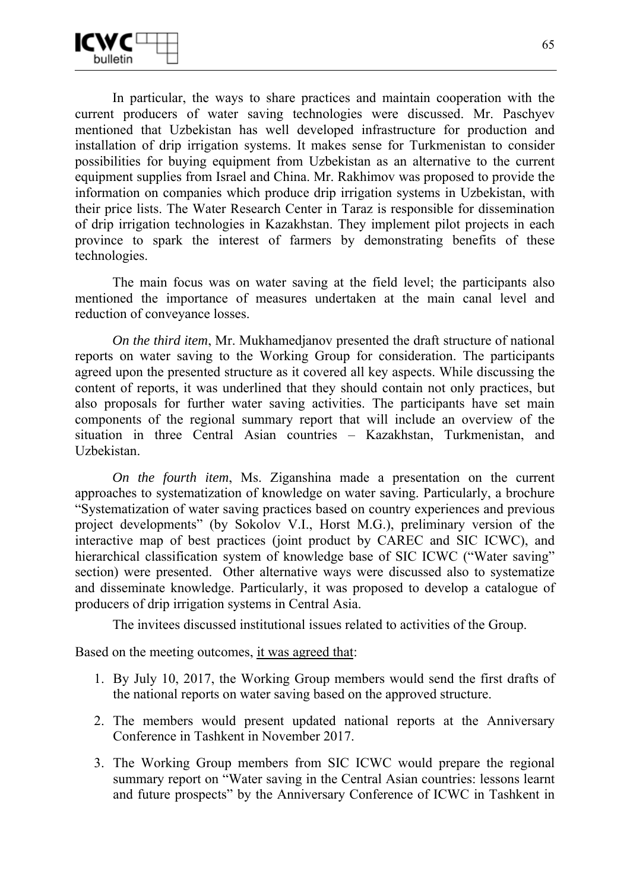

In particular, the ways to share practices and maintain cooperation with the current producers of water saving technologies were discussed. Mr. Paschyev mentioned that Uzbekistan has well developed infrastructure for production and installation of drip irrigation systems. It makes sense for Turkmenistan to consider possibilities for buying equipment from Uzbekistan as an alternative to the current equipment supplies from Israel and China. Mr. Rakhimov was proposed to provide the information on companies which produce drip irrigation systems in Uzbekistan, with their price lists. The Water Research Center in Taraz is responsible for dissemination of drip irrigation technologies in Kazakhstan. They implement pilot projects in each province to spark the interest of farmers by demonstrating benefits of these technologies.

The main focus was on water saving at the field level; the participants also mentioned the importance of measures undertaken at the main canal level and reduction of conveyance losses.

*On the third item*, Mr. Mukhamedjanov presented the draft structure of national reports on water saving to the Working Group for consideration. The participants agreed upon the presented structure as it covered all key aspects. While discussing the content of reports, it was underlined that they should contain not only practices, but also proposals for further water saving activities. The participants have set main components of the regional summary report that will include an overview of the situation in three Central Asian countries – Kazakhstan, Turkmenistan, and Uzbekistan.

*On the fourth item*, Ms. Ziganshina made a presentation on the current approaches to systematization of knowledge on water saving. Particularly, a brochure "Systematization of water saving practices based on country experiences and previous project developments" (by Sokolov V.I., Horst M.G.), preliminary version of the interactive map of best practices (joint product by CAREC and SIC ICWC), and hierarchical classification system of knowledge base of SIC ICWC ("Water saving" section) were presented. Other alternative ways were discussed also to systematize and disseminate knowledge. Particularly, it was proposed to develop a catalogue of producers of drip irrigation systems in Central Asia.

The invitees discussed institutional issues related to activities of the Group.

Based on the meeting outcomes, it was agreed that:

- 1. By July 10, 2017, the Working Group members would send the first drafts of the national reports on water saving based on the approved structure.
- 2. The members would present updated national reports at the Anniversary Conference in Tashkent in November 2017.
- 3. The Working Group members from SIC ICWC would prepare the regional summary report on "Water saving in the Central Asian countries: lessons learnt and future prospects" by the Anniversary Conference of ICWC in Tashkent in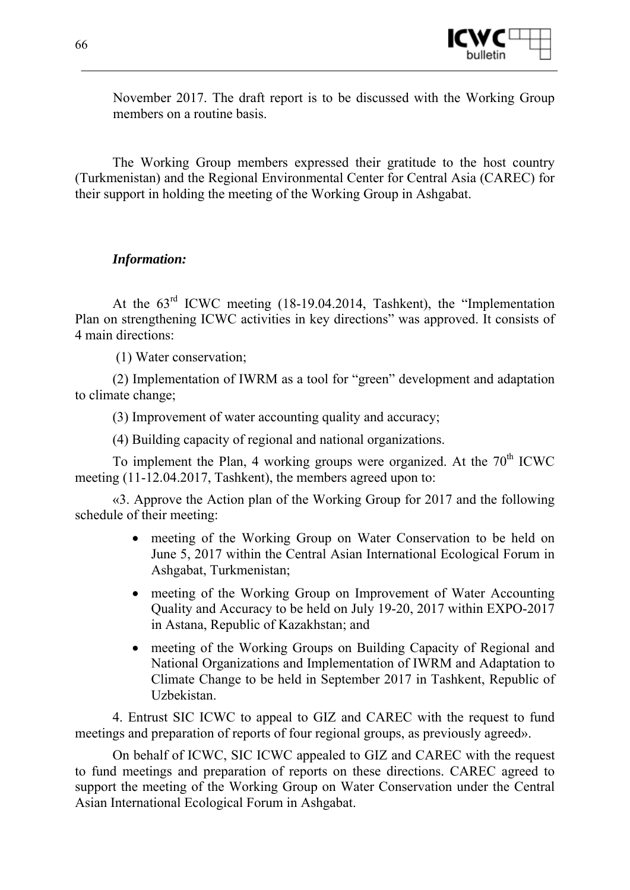

November 2017. The draft report is to be discussed with the Working Group members on a routine basis.

The Working Group members expressed their gratitude to the host country (Turkmenistan) and the Regional Environmental Center for Central Asia (CAREC) for their support in holding the meeting of the Working Group in Ashgabat.

### *Information:*

At the 63rd ICWC meeting (18-19.04.2014, Tashkent), the "Implementation Plan on strengthening ICWC activities in key directions" was approved. It consists of 4 main directions:

(1) Water conservation;

(2) Implementation of IWRM as a tool for "green" development and adaptation to climate change;

(3) Improvement of water accounting quality and accuracy;

(4) Building capacity of regional and national organizations.

To implement the Plan, 4 working groups were organized. At the  $70<sup>th</sup>$  ICWC meeting (11-12.04.2017, Tashkent), the members agreed upon to:

«3. Approve the Action plan of the Working Group for 2017 and the following schedule of their meeting:

- meeting of the Working Group on Water Conservation to be held on June 5, 2017 within the Central Asian International Ecological Forum in Ashgabat, Turkmenistan;
- meeting of the Working Group on Improvement of Water Accounting Quality and Accuracy to be held on July 19-20, 2017 within EXPO-2017 in Astana, Republic of Kazakhstan; and
- meeting of the Working Groups on Building Capacity of Regional and National Organizations and Implementation of IWRM and Adaptation to Climate Change to be held in September 2017 in Tashkent, Republic of Uzbekistan.

4. Entrust SIC ICWC to appeal to GIZ and CAREC with the request to fund meetings and preparation of reports of four regional groups, as previously agreed».

On behalf of ICWC, SIC ICWC appealed to GIZ and CAREC with the request to fund meetings and preparation of reports on these directions. CAREC agreed to support the meeting of the Working Group on Water Conservation under the Central Asian International Ecological Forum in Ashgabat.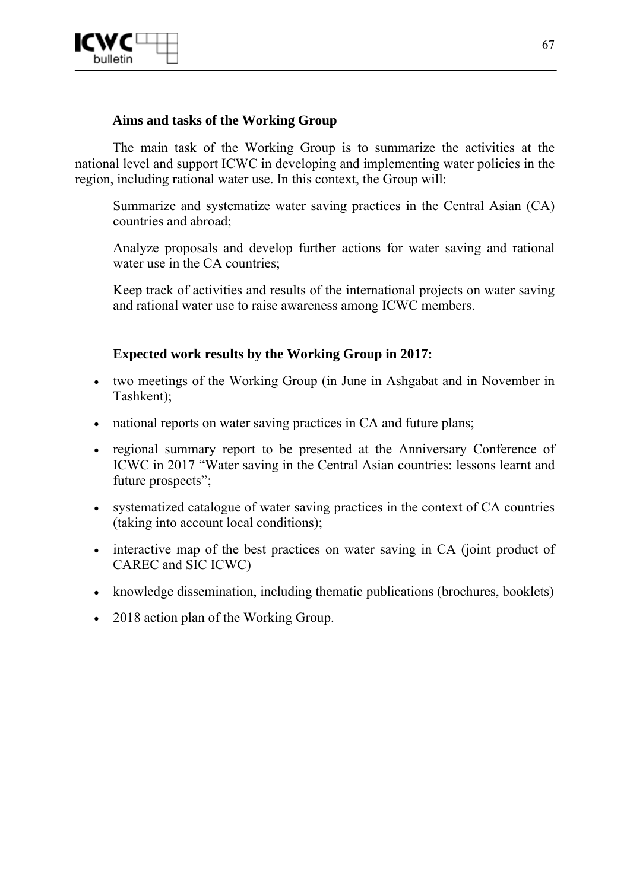

### **Aims and tasks of the Working Group**

The main task of the Working Group is to summarize the activities at the national level and support ICWC in developing and implementing water policies in the region, including rational water use. In this context, the Group will:

Summarize and systematize water saving practices in the Central Asian (CA) countries and abroad;

Analyze proposals and develop further actions for water saving and rational water use in the CA countries:

Keep track of activities and results of the international projects on water saving and rational water use to raise awareness among ICWC members.

### **Expected work results by the Working Group in 2017:**

- two meetings of the Working Group (in June in Ashgabat and in November in Tashkent);
- national reports on water saving practices in CA and future plans;
- regional summary report to be presented at the Anniversary Conference of ICWC in 2017 "Water saving in the Central Asian countries: lessons learnt and future prospects":
- systematized catalogue of water saving practices in the context of CA countries (taking into account local conditions);
- interactive map of the best practices on water saving in CA (joint product of CAREC and SIC ICWC)
- knowledge dissemination, including thematic publications (brochures, booklets)
- 2018 action plan of the Working Group.